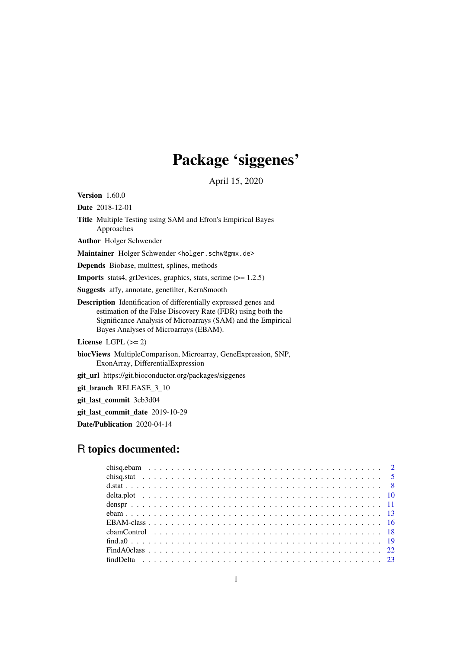# Package 'siggenes'

April 15, 2020

<span id="page-0-0"></span>Version 1.60.0

Date 2018-12-01

Title Multiple Testing using SAM and Efron's Empirical Bayes Approaches

Author Holger Schwender

Maintainer Holger Schwender <holger.schw@gmx.de>

Depends Biobase, multtest, splines, methods

Imports stats4, grDevices, graphics, stats, scrime (>= 1.2.5)

Suggests affy, annotate, genefilter, KernSmooth

Description Identification of differentially expressed genes and estimation of the False Discovery Rate (FDR) using both the Significance Analysis of Microarrays (SAM) and the Empirical Bayes Analyses of Microarrays (EBAM).

License LGPL  $(>= 2)$ 

biocViews MultipleComparison, Microarray, GeneExpression, SNP, ExonArray, DifferentialExpression

git\_url https://git.bioconductor.org/packages/siggenes

git branch RELEASE 3 10

git\_last\_commit 3cb3d04

git\_last\_commit\_date 2019-10-29

Date/Publication 2020-04-14

## R topics documented: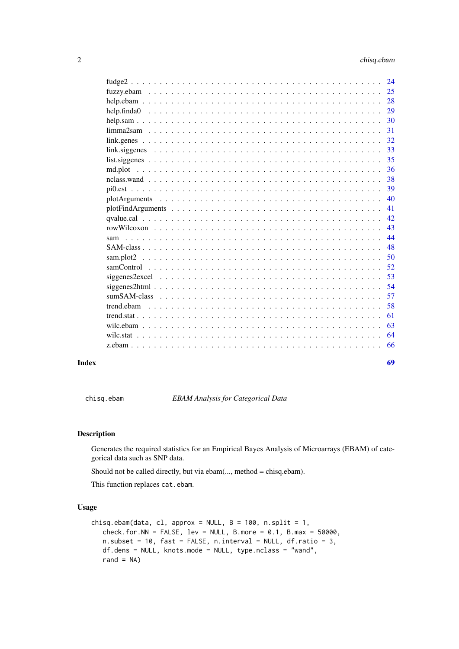<span id="page-1-0"></span>

| $fudge2$   | 24  |
|------------|-----|
|            |     |
|            | 28  |
|            | 29  |
|            | 30  |
|            | 31  |
|            | 32  |
|            | 33  |
|            | 35  |
| md.plot    | 36  |
|            | 38  |
|            | 39  |
|            | 40  |
|            | 41  |
|            | 42. |
|            | 43  |
|            | 44  |
|            | 48  |
|            | 50  |
|            | 52  |
|            | 53  |
|            | 54  |
|            | 57  |
| trend.ebam | 58  |
|            | 61  |
|            | 63  |
|            | 64  |
|            | 66  |
|            |     |

#### **Index** [69](#page-68-0)

<span id="page-1-1"></span>chisq.ebam *EBAM Analysis for Categorical Data*

### <span id="page-1-2"></span>Description

Generates the required statistics for an Empirical Bayes Analysis of Microarrays (EBAM) of categorical data such as SNP data.

Should not be called directly, but via ebam(..., method = chisq.ebam).

This function replaces cat.ebam.

### Usage

```
chisq.ebam(data, cl, approx = NULL, B = 100, n.split = 1,
   check.format. for.NN = FALSE, lev = NULL, B.more = 0.1, B.max = 50000,n.subset = 10, fast = FALSE, n.interval = NULL, df.ratio = 3,
   df.dens = NULL, knots.mode = NULL, type.nclass = "wand",
   rand = NA)
```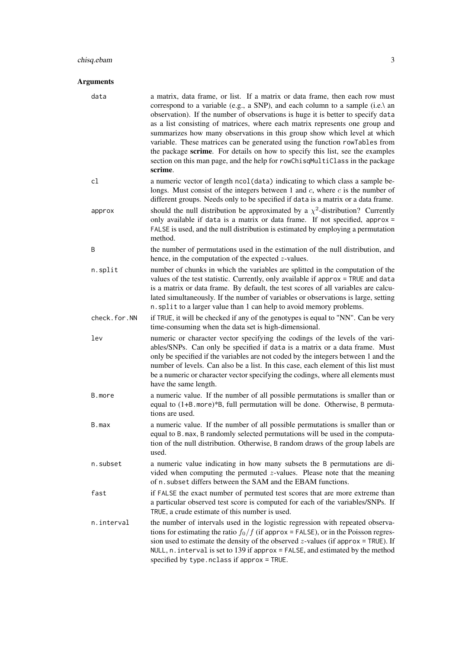### chisq.ebam 3

| data         | a matrix, data frame, or list. If a matrix or data frame, then each row must<br>correspond to a variable (e.g., a SNP), and each column to a sample (i.e.\ an<br>observation). If the number of observations is huge it is better to specify data<br>as a list consisting of matrices, where each matrix represents one group and<br>summarizes how many observations in this group show which level at which<br>variable. These matrices can be generated using the function rowTables from<br>the package scrime. For details on how to specify this list, see the examples<br>section on this man page, and the help for rowChisqMultiClass in the package<br>scrime. |
|--------------|--------------------------------------------------------------------------------------------------------------------------------------------------------------------------------------------------------------------------------------------------------------------------------------------------------------------------------------------------------------------------------------------------------------------------------------------------------------------------------------------------------------------------------------------------------------------------------------------------------------------------------------------------------------------------|
| cl           | a numeric vector of length ncol (data) indicating to which class a sample be-<br>longs. Must consist of the integers between 1 and $c$ , where $c$ is the number of<br>different groups. Needs only to be specified if data is a matrix or a data frame.                                                                                                                                                                                                                                                                                                                                                                                                                 |
| approx       | should the null distribution be approximated by a $\chi^2$ -distribution? Currently<br>only available if data is a matrix or data frame. If not specified, approx =<br>FALSE is used, and the null distribution is estimated by employing a permutation<br>method.                                                                                                                                                                                                                                                                                                                                                                                                       |
| B            | the number of permutations used in the estimation of the null distribution, and<br>hence, in the computation of the expected $z$ -values.                                                                                                                                                                                                                                                                                                                                                                                                                                                                                                                                |
| n.split      | number of chunks in which the variables are splitted in the computation of the<br>values of the test statistic. Currently, only available if approx = TRUE and data<br>is a matrix or data frame. By default, the test scores of all variables are calcu-<br>lated simultaneously. If the number of variables or observations is large, setting<br>n. split to a larger value than 1 can help to avoid memory problems.                                                                                                                                                                                                                                                  |
| check.for.NN | if TRUE, it will be checked if any of the genotypes is equal to "NN". Can be very<br>time-consuming when the data set is high-dimensional.                                                                                                                                                                                                                                                                                                                                                                                                                                                                                                                               |
| lev          | numeric or character vector specifying the codings of the levels of the vari-<br>ables/SNPs. Can only be specified if data is a matrix or a data frame. Must<br>only be specified if the variables are not coded by the integers between 1 and the<br>number of levels. Can also be a list. In this case, each element of this list must<br>be a numeric or character vector specifying the codings, where all elements must<br>have the same length.                                                                                                                                                                                                                    |
| B.more       | a numeric value. If the number of all possible permutations is smaller than or<br>equal to (1+B.more)*B, full permutation will be done. Otherwise, B permuta-<br>tions are used.                                                                                                                                                                                                                                                                                                                                                                                                                                                                                         |
| B.max        | a numeric value. If the number of all possible permutations is smaller than or<br>equal to B. max, B randomly selected permutations will be used in the computa-<br>tion of the null distribution. Otherwise, B random draws of the group labels are<br>used.                                                                                                                                                                                                                                                                                                                                                                                                            |
| n.subset     | a numeric value indicating in how many subsets the B permutations are di-<br>vided when computing the permuted $z$ -values. Please note that the meaning<br>of n. subset differs between the SAM and the EBAM functions.                                                                                                                                                                                                                                                                                                                                                                                                                                                 |
| fast         | if FALSE the exact number of permuted test scores that are more extreme than<br>a particular observed test score is computed for each of the variables/SNPs. If<br>TRUE, a crude estimate of this number is used.                                                                                                                                                                                                                                                                                                                                                                                                                                                        |
| n.interval   | the number of intervals used in the logistic regression with repeated observa-<br>tions for estimating the ratio $f_0/f$ (if approx = FALSE), or in the Poisson regres-<br>sion used to estimate the density of the observed $z$ -values (if approx = TRUE). If<br>NULL, $n$ . interval is set to 139 if approx = FALSE, and estimated by the method<br>specified by type.nclass if approx = TRUE.                                                                                                                                                                                                                                                                       |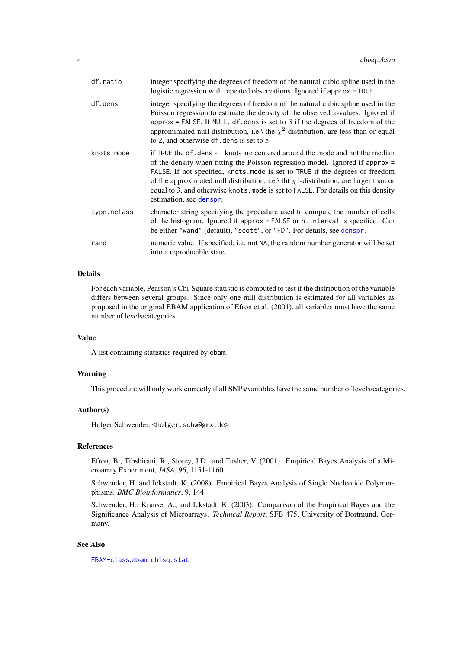<span id="page-3-0"></span>

| df.ratio    | integer specifying the degrees of freedom of the natural cubic spline used in the<br>logistic regression with repeated observations. Ignored if approx = TRUE.                                                                                                                                                                                                                                                                                                    |
|-------------|-------------------------------------------------------------------------------------------------------------------------------------------------------------------------------------------------------------------------------------------------------------------------------------------------------------------------------------------------------------------------------------------------------------------------------------------------------------------|
| df.dens     | integer specifying the degrees of freedom of the natural cubic spline used in the<br>Poisson regression to estimate the density of the observed $z$ -values. Ignored if<br>approx = FALSE. If NULL, $df$ dens is set to 3 if the degrees of freedom of the<br>appromimated null distribution, i.e.\ the $\chi^2$ -distribution, are less than or equal<br>to 2, and otherwise df. dens is set to 5.                                                               |
| knots.mode  | if TRUE the df. dens - 1 knots are centered around the mode and not the median<br>of the density when fitting the Poisson regression model. Ignored if approx $=$<br>FALSE. If not specified, knots mode is set to TRUE if the degrees of freedom<br>of the approximated null distribution, i.e.\ tht $\chi^2$ -distribution, are larger than or<br>equal to 3, and otherwise knots. mode is set to FALSE. For details on this density<br>estimation, see denspr. |
| type.nclass | character string specifying the procedure used to compute the number of cells<br>of the histogram. Ignored if approx = FALSE or n. interval is specified. Can<br>be either "wand" (default), "scott", or "FD". For details, see denspr.                                                                                                                                                                                                                           |
| rand        | numeric value. If specified, i.e. not NA, the random number generator will be set<br>into a reproducible state.                                                                                                                                                                                                                                                                                                                                                   |

### Details

For each variable, Pearson's Chi-Square statistic is computed to test if the distribution of the variable differs between several groups. Since only one null distribution is estimated for all variables as proposed in the original EBAM application of Efron et al. (2001), all variables must have the same number of levels/categories.

#### Value

A list containing statistics required by ebam.

#### Warning

This procedure will only work correctly if all SNPs/variables have the same number of levels/categories.

#### Author(s)

Holger Schwender, <holger.schw@gmx.de>

### References

Efron, B., Tibshirani, R., Storey, J.D., and Tusher, V. (2001). Empirical Bayes Analysis of a Microarray Experiment, *JASA*, 96, 1151-1160.

Schwender, H. and Ickstadt, K. (2008). Empirical Bayes Analysis of Single Nucleotide Polymorphisms. *BMC Bioinformatics*, 9, 144.

Schwender, H., Krause, A., and Ickstadt, K. (2003). Comparison of the Empirical Bayes and the Significance Analysis of Microarrays. *Technical Report*, SFB 475, University of Dortmund, Germany.

#### See Also

[EBAM-class](#page-15-1),[ebam](#page-12-1), [chisq.stat](#page-4-1)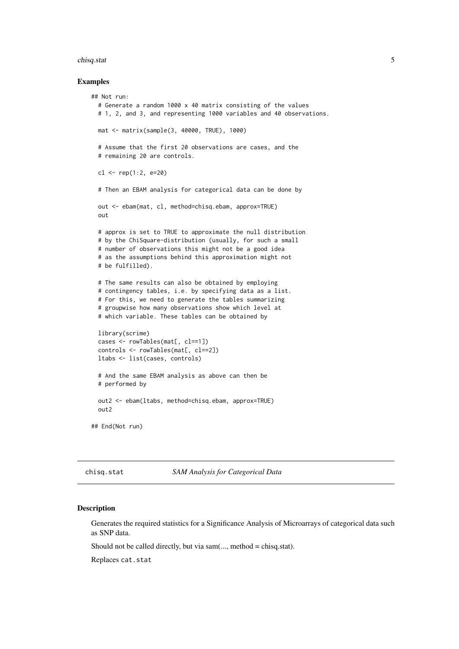#### <span id="page-4-0"></span>chisq.stat 5

#### Examples

```
## Not run:
  # Generate a random 1000 x 40 matrix consisting of the values
  # 1, 2, and 3, and representing 1000 variables and 40 observations.
 mat <- matrix(sample(3, 40000, TRUE), 1000)
  # Assume that the first 20 observations are cases, and the
  # remaining 20 are controls.
  cl \leftarrow rep(1:2, e=20)# Then an EBAM analysis for categorical data can be done by
  out <- ebam(mat, cl, method=chisq.ebam, approx=TRUE)
  out
  # approx is set to TRUE to approximate the null distribution
  # by the ChiSquare-distribution (usually, for such a small
  # number of observations this might not be a good idea
  # as the assumptions behind this approximation might not
  # be fulfilled).
  # The same results can also be obtained by employing
  # contingency tables, i.e. by specifying data as a list.
  # For this, we need to generate the tables summarizing
  # groupwise how many observations show which level at
  # which variable. These tables can be obtained by
  library(scrime)
  cases <- rowTables(mat[, cl==1])
  controls <- rowTables(mat[, cl==2])
  ltabs <- list(cases, controls)
  # And the same EBAM analysis as above can then be
  # performed by
 out2 <- ebam(ltabs, method=chisq.ebam, approx=TRUE)
 out2
## End(Not run)
```
<span id="page-4-1"></span>chisq.stat *SAM Analysis for Categorical Data*

#### Description

Generates the required statistics for a Significance Analysis of Microarrays of categorical data such as SNP data.

Should not be called directly, but via  $sam(..., method = chisq.stat)$ .

Replaces cat.stat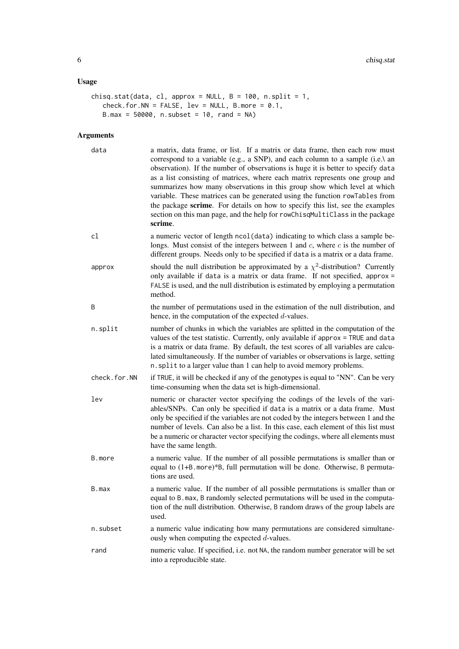### Usage

```
chisq.stat(data, cl, approx = NULL, B = 100, n.split = 1,
   check.for.NN = FALSE, lev = NULL, B.more = 0.1,
   B.max = 50000, n.subset = 10, rand = NA)
```

| data         | a matrix, data frame, or list. If a matrix or data frame, then each row must<br>correspond to a variable (e.g., a SNP), and each column to a sample (i.e.\ an<br>observation). If the number of observations is huge it is better to specify data<br>as a list consisting of matrices, where each matrix represents one group and<br>summarizes how many observations in this group show which level at which<br>variable. These matrices can be generated using the function rowTables from<br>the package scrime. For details on how to specify this list, see the examples<br>section on this man page, and the help for rowChisqMultiClass in the package<br>scrime. |
|--------------|--------------------------------------------------------------------------------------------------------------------------------------------------------------------------------------------------------------------------------------------------------------------------------------------------------------------------------------------------------------------------------------------------------------------------------------------------------------------------------------------------------------------------------------------------------------------------------------------------------------------------------------------------------------------------|
| cl           | a numeric vector of length ncol (data) indicating to which class a sample be-<br>longs. Must consist of the integers between 1 and $c$ , where $c$ is the number of<br>different groups. Needs only to be specified if data is a matrix or a data frame.                                                                                                                                                                                                                                                                                                                                                                                                                 |
| approx       | should the null distribution be approximated by a $\chi^2$ -distribution? Currently<br>only available if data is a matrix or data frame. If not specified, approx =<br>FALSE is used, and the null distribution is estimated by employing a permutation<br>method.                                                                                                                                                                                                                                                                                                                                                                                                       |
| Β            | the number of permutations used in the estimation of the null distribution, and<br>hence, in the computation of the expected $d$ -values.                                                                                                                                                                                                                                                                                                                                                                                                                                                                                                                                |
| n.split      | number of chunks in which the variables are splitted in the computation of the<br>values of the test statistic. Currently, only available if approx = TRUE and data<br>is a matrix or data frame. By default, the test scores of all variables are calcu-<br>lated simultaneously. If the number of variables or observations is large, setting<br>n. split to a larger value than 1 can help to avoid memory problems.                                                                                                                                                                                                                                                  |
| check.for.NN | if TRUE, it will be checked if any of the genotypes is equal to "NN". Can be very<br>time-consuming when the data set is high-dimensional.                                                                                                                                                                                                                                                                                                                                                                                                                                                                                                                               |
| lev          | numeric or character vector specifying the codings of the levels of the vari-<br>ables/SNPs. Can only be specified if data is a matrix or a data frame. Must<br>only be specified if the variables are not coded by the integers between 1 and the<br>number of levels. Can also be a list. In this case, each element of this list must<br>be a numeric or character vector specifying the codings, where all elements must<br>have the same length.                                                                                                                                                                                                                    |
| B.more       | a numeric value. If the number of all possible permutations is smaller than or<br>equal to (1+B. more)*B, full permutation will be done. Otherwise, B permuta-<br>tions are used.                                                                                                                                                                                                                                                                                                                                                                                                                                                                                        |
| B.max        | a numeric value. If the number of all possible permutations is smaller than or<br>equal to B. max, B randomly selected permutations will be used in the computa-<br>tion of the null distribution. Otherwise, B random draws of the group labels are<br>used.                                                                                                                                                                                                                                                                                                                                                                                                            |
| n.subset     | a numeric value indicating how many permutations are considered simultane-<br>ously when computing the expected $d$ -values.                                                                                                                                                                                                                                                                                                                                                                                                                                                                                                                                             |
| rand         | numeric value. If specified, i.e. not NA, the random number generator will be set<br>into a reproducible state.                                                                                                                                                                                                                                                                                                                                                                                                                                                                                                                                                          |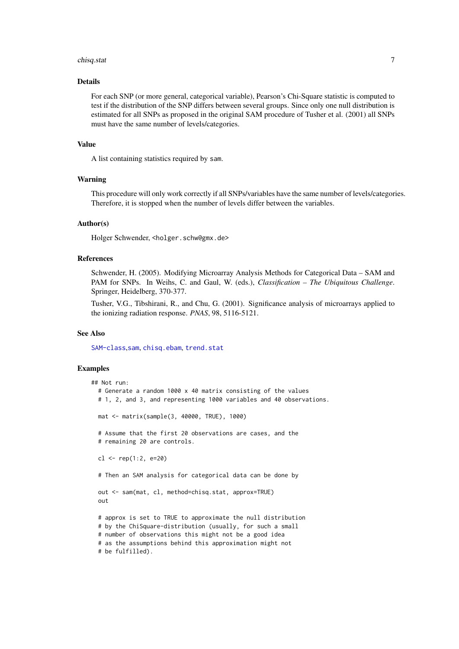#### <span id="page-6-0"></span>chisq.stat 7

#### Details

For each SNP (or more general, categorical variable), Pearson's Chi-Square statistic is computed to test if the distribution of the SNP differs between several groups. Since only one null distribution is estimated for all SNPs as proposed in the original SAM procedure of Tusher et al. (2001) all SNPs must have the same number of levels/categories.

### Value

A list containing statistics required by sam.

#### Warning

This procedure will only work correctly if all SNPs/variables have the same number of levels/categories. Therefore, it is stopped when the number of levels differ between the variables.

### Author(s)

Holger Schwender, <holger.schw@gmx.de>

#### References

Schwender, H. (2005). Modifying Microarray Analysis Methods for Categorical Data – SAM and PAM for SNPs. In Weihs, C. and Gaul, W. (eds.), *Classification – The Ubiquitous Challenge*. Springer, Heidelberg, 370-377.

Tusher, V.G., Tibshirani, R., and Chu, G. (2001). Significance analysis of microarrays applied to the ionizing radiation response. *PNAS*, 98, 5116-5121.

#### See Also

[SAM-class](#page-47-1),[sam](#page-43-1), [chisq.ebam](#page-1-1), [trend.stat](#page-60-1)

### Examples

```
## Not run:
  # Generate a random 1000 x 40 matrix consisting of the values
  # 1, 2, and 3, and representing 1000 variables and 40 observations.
  mat <- matrix(sample(3, 40000, TRUE), 1000)
  # Assume that the first 20 observations are cases, and the
  # remaining 20 are controls.
  cl \leftarrow rep(1:2, e=20)# Then an SAM analysis for categorical data can be done by
  out <- sam(mat, cl, method=chisq.stat, approx=TRUE)
  out
  # approx is set to TRUE to approximate the null distribution
  # by the ChiSquare-distribution (usually, for such a small
  # number of observations this might not be a good idea
  # as the assumptions behind this approximation might not
  # be fulfilled).
```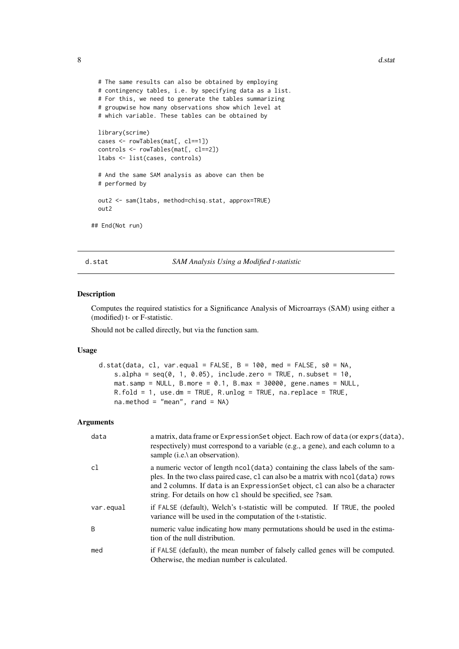```
# The same results can also be obtained by employing
  # contingency tables, i.e. by specifying data as a list.
  # For this, we need to generate the tables summarizing
  # groupwise how many observations show which level at
  # which variable. These tables can be obtained by
  library(scrime)
  cases <- rowTables(mat[, cl==1])
  controls <- rowTables(mat[, cl==2])
  ltabs <- list(cases, controls)
  # And the same SAM analysis as above can then be
  # performed by
  out2 <- sam(ltabs, method=chisq.stat, approx=TRUE)
  out2
## End(Not run)
```
<span id="page-7-1"></span>d.stat *SAM Analysis Using a Modified t-statistic*

#### Description

Computes the required statistics for a Significance Analysis of Microarrays (SAM) using either a (modified) t- or F-statistic.

Should not be called directly, but via the function sam.

### Usage

```
d.stat(data, cl, var.equal = FALSE, B = 100, med = FALSE, s0 = NA,
    s.alpha = seq(0, 1, 0.05), include.zero = TRUE, n.subset = 10,
   mat.sum = NULL, B.more = 0.1, B.max = 30000, gene.names = NULL,
   R.fold = 1, use.dm = TRUE, R.unlog = TRUE, na.replace = TRUE,
   na.method = "mean", rand = NA)
```

| data           | a matrix, data frame or Expression Set object. Each row of data (or exprs (data),<br>respectively) must correspond to a variable (e.g., a gene), and each column to a<br>sample (i.e.\ an observation).                                                                                                               |
|----------------|-----------------------------------------------------------------------------------------------------------------------------------------------------------------------------------------------------------------------------------------------------------------------------------------------------------------------|
| c1             | a numeric vector of length ncol (data) containing the class labels of the sam-<br>ples. In the two class paired case, c1 can also be a matrix with nool (data) rows<br>and 2 columns. If data is an Expression Set object, cl can also be a character<br>string. For details on how c1 should be specified, see ?sam. |
| var.equal      | if FALSE (default), Welch's t-statistic will be computed. If TRUE, the pooled<br>variance will be used in the computation of the t-statistic.                                                                                                                                                                         |
| $\overline{B}$ | numeric value indicating how many permutations should be used in the estima-<br>tion of the null distribution.                                                                                                                                                                                                        |
| med            | if FALSE (default), the mean number of falsely called genes will be computed.<br>Otherwise, the median number is calculated.                                                                                                                                                                                          |

<span id="page-7-0"></span>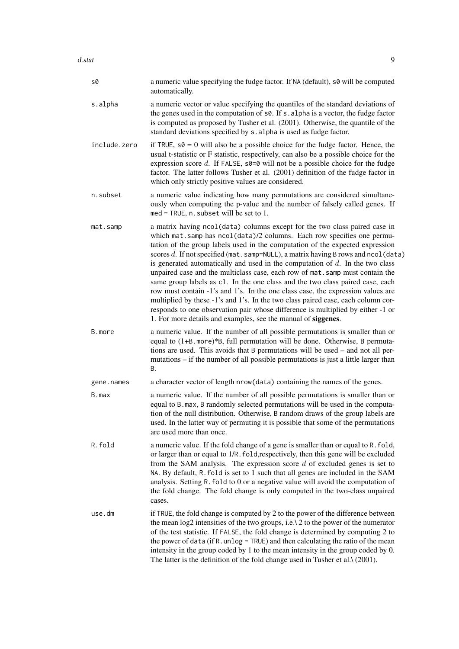| s0           | a numeric value specifying the fudge factor. If NA (default), s0 will be computed<br>automatically.                                                                                                                                                                                                                                                                                                                                                                                                                                                                                                                                                                                                                                                                                                                                                                                                           |
|--------------|---------------------------------------------------------------------------------------------------------------------------------------------------------------------------------------------------------------------------------------------------------------------------------------------------------------------------------------------------------------------------------------------------------------------------------------------------------------------------------------------------------------------------------------------------------------------------------------------------------------------------------------------------------------------------------------------------------------------------------------------------------------------------------------------------------------------------------------------------------------------------------------------------------------|
| s.alpha      | a numeric vector or value specifying the quantiles of the standard deviations of<br>the genes used in the computation of s0. If s. alpha is a vector, the fudge factor<br>is computed as proposed by Tusher et al. (2001). Otherwise, the quantile of the<br>standard deviations specified by s. alpha is used as fudge factor.                                                                                                                                                                                                                                                                                                                                                                                                                                                                                                                                                                               |
| include.zero | if TRUE, $s\theta = 0$ will also be a possible choice for the fudge factor. Hence, the<br>usual t-statistic or F statistic, respectively, can also be a possible choice for the<br>expression score $d$ . If FALSE, $s0=0$ will not be a possible choice for the fudge<br>factor. The latter follows Tusher et al. (2001) definition of the fudge factor in<br>which only strictly positive values are considered.                                                                                                                                                                                                                                                                                                                                                                                                                                                                                            |
| n.subset     | a numeric value indicating how many permutations are considered simultane-<br>ously when computing the p-value and the number of falsely called genes. If<br>$med = TRUE, n.subset will be set to 1.$                                                                                                                                                                                                                                                                                                                                                                                                                                                                                                                                                                                                                                                                                                         |
| mat.samp     | a matrix having ncol(data) columns except for the two class paired case in<br>which mat.samp has ncol(data)/2 columns. Each row specifies one permu-<br>tation of the group labels used in the computation of the expected expression<br>scores d. If not specified (mat. samp=NULL), a matrix having B rows and ncol (data)<br>is generated automatically and used in the computation of $d$ . In the two class<br>unpaired case and the multiclass case, each row of mat. samp must contain the<br>same group labels as c1. In the one class and the two class paired case, each<br>row must contain -1's and 1's. In the one class case, the expression values are<br>multiplied by these -1's and 1's. In the two class paired case, each column cor-<br>responds to one observation pair whose difference is multiplied by either -1 or<br>1. For more details and examples, see the manual of siggenes. |
| B.more       | a numeric value. If the number of all possible permutations is smaller than or<br>equal to (1+B. more)*B, full permutation will be done. Otherwise, B permuta-<br>tions are used. This avoids that B permutations will be used – and not all per-<br>mutations – if the number of all possible permutations is just a little larger than<br>В.                                                                                                                                                                                                                                                                                                                                                                                                                                                                                                                                                                |
| gene.names   | a character vector of length nrow(data) containing the names of the genes.                                                                                                                                                                                                                                                                                                                                                                                                                                                                                                                                                                                                                                                                                                                                                                                                                                    |
| B.max        | a numeric value. If the number of all possible permutations is smaller than or<br>equal to B. max, B randomly selected permutations will be used in the computa-<br>tion of the null distribution. Otherwise, B random draws of the group labels are<br>used. In the latter way of permuting it is possible that some of the permutations<br>are used more than once.                                                                                                                                                                                                                                                                                                                                                                                                                                                                                                                                         |
| R.fold       | a numeric value. If the fold change of a gene is smaller than or equal to R. fold,<br>or larger than or equal to 1/R. fold, respectively, then this gene will be excluded<br>from the SAM analysis. The expression score $d$ of excluded genes is set to<br>NA. By default, R. fold is set to 1 such that all genes are included in the SAM<br>analysis. Setting R. fold to 0 or a negative value will avoid the computation of<br>the fold change. The fold change is only computed in the two-class unpaired<br>cases.                                                                                                                                                                                                                                                                                                                                                                                      |
| use.dm       | if TRUE, the fold change is computed by 2 to the power of the difference between<br>the mean $log2$ intensities of the two groups, i.e. $\lambda$ 2 to the power of the numerator<br>of the test statistic. If FALSE, the fold change is determined by computing 2 to<br>the power of data (if R. unlog = TRUE) and then calculating the ratio of the mean<br>intensity in the group coded by 1 to the mean intensity in the group coded by 0.<br>The latter is the definition of the fold change used in Tusher et al. $\lambda$ (2001).                                                                                                                                                                                                                                                                                                                                                                     |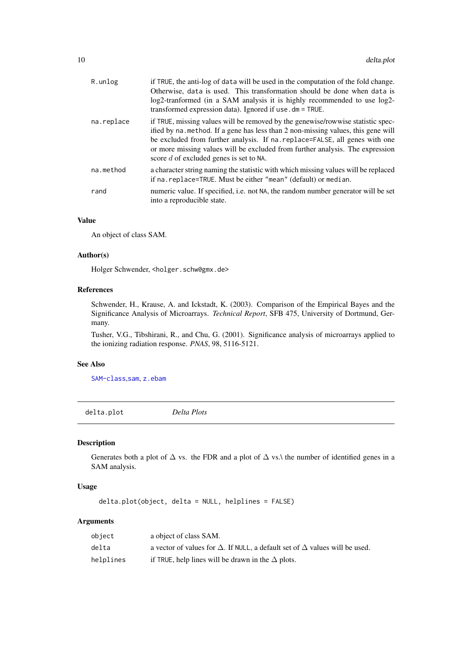<span id="page-9-0"></span>

| R.unlog    | if TRUE, the anti-log of data will be used in the computation of the fold change.<br>Otherwise, data is used. This transformation should be done when data is<br>log2-tranformed (in a SAM analysis it is highly recommended to use log2-<br>transformed expression data). Ignored if use . dm = TRUE.                                                                            |
|------------|-----------------------------------------------------------------------------------------------------------------------------------------------------------------------------------------------------------------------------------------------------------------------------------------------------------------------------------------------------------------------------------|
| na.replace | if TRUE, missing values will be removed by the genewise/rowwise statistic spec-<br>ified by na. method. If a gene has less than 2 non-missing values, this gene will<br>be excluded from further analysis. If na. replace=FALSE, all genes with one<br>or more missing values will be excluded from further analysis. The expression<br>score $d$ of excluded genes is set to NA. |
| na.method  | a character string naming the statistic with which missing values will be replaced<br>if na. replace=TRUE. Must be either "mean" (default) or median.                                                                                                                                                                                                                             |
| rand       | numeric value. If specified, i.e. not NA, the random number generator will be set<br>into a reproducible state.                                                                                                                                                                                                                                                                   |

### Value

An object of class SAM.

#### Author(s)

Holger Schwender, <holger.schw@gmx.de>

### References

Schwender, H., Krause, A. and Ickstadt, K. (2003). Comparison of the Empirical Bayes and the Significance Analysis of Microarrays. *Technical Report*, SFB 475, University of Dortmund, Germany.

Tusher, V.G., Tibshirani, R., and Chu, G. (2001). Significance analysis of microarrays applied to the ionizing radiation response. *PNAS*, 98, 5116-5121.

#### See Also

[SAM-class](#page-47-1),[sam](#page-43-1), [z.ebam](#page-65-1)

<span id="page-9-1"></span>delta.plot *Delta Plots*

Description

Generates both a plot of  $\Delta$  vs. the FDR and a plot of  $\Delta$  vs.\ the number of identified genes in a SAM analysis.

### Usage

delta.plot(object, delta = NULL, helplines = FALSE)

| object    | a object of class SAM.                                                                    |
|-----------|-------------------------------------------------------------------------------------------|
| delta     | a vector of values for $\Delta$ . If NULL, a default set of $\Delta$ values will be used. |
| helplines | if TRUE, help lines will be drawn in the $\Delta$ plots.                                  |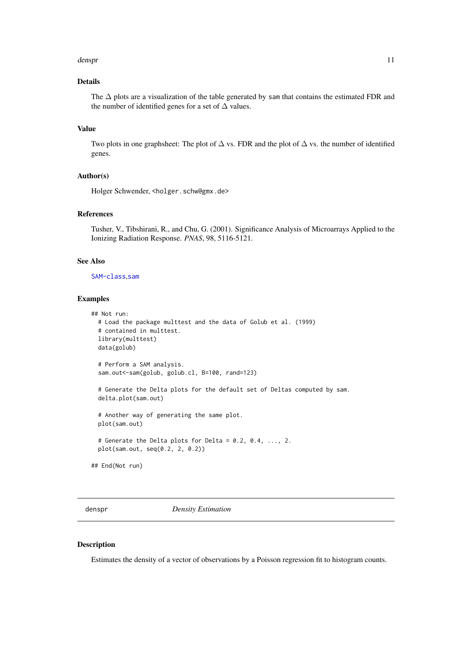#### <span id="page-10-0"></span>densprendent and the contract of the contract of the contract of the contract of the contract of the contract of the contract of the contract of the contract of the contract of the contract of the contract of the contract

### Details

The ∆ plots are a visualization of the table generated by sam that contains the estimated FDR and the number of identified genes for a set of  $\Delta$  values.

### Value

Two plots in one graphsheet: The plot of  $\Delta$  vs. FDR and the plot of  $\Delta$  vs. the number of identified genes.

### Author(s)

Holger Schwender, <holger.schw@gmx.de>

### References

Tusher, V., Tibshirani, R., and Chu, G. (2001). Significance Analysis of Microarrays Applied to the Ionizing Radiation Response. *PNAS*, 98, 5116-5121.

#### See Also

#### [SAM-class](#page-47-1),[sam](#page-43-1)

### Examples

```
## Not run:
  # Load the package multtest and the data of Golub et al. (1999)
  # contained in multtest.
 library(multtest)
 data(golub)
  # Perform a SAM analysis.
  sam.out<-sam(golub, golub.cl, B=100, rand=123)
  # Generate the Delta plots for the default set of Deltas computed by sam.
  delta.plot(sam.out)
  # Another way of generating the same plot.
  plot(sam.out)
  # Generate the Delta plots for Delta = 0.2, 0.4, ..., 2.
  plot(sam.out, seq(0.2, 2, 0.2))
## End(Not run)
```
<span id="page-10-1"></span>denspr *Density Estimation*

#### Description

Estimates the density of a vector of observations by a Poisson regression fit to histogram counts.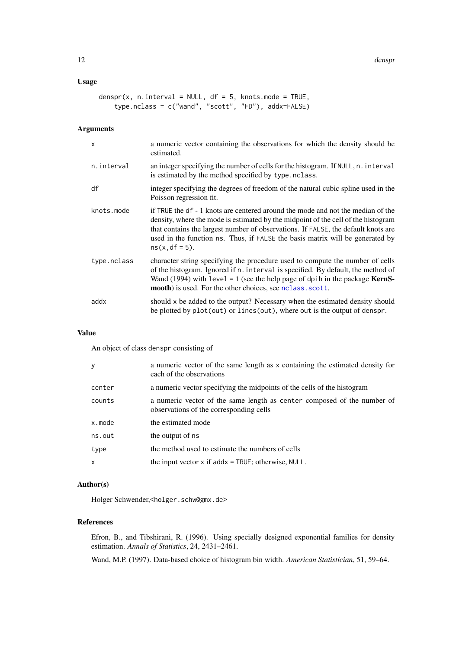### <span id="page-11-0"></span>Usage

```
denspr(x, n.interval = NULL, df = 5, knots.mode = TRUE,
    type.nclass = c("wand", "scott", "FD"), addx=FALSE)
```
### Arguments

| $\mathsf{x}$ | a numeric vector containing the observations for which the density should be<br>estimated.                                                                                                                                                                                                                                                                      |
|--------------|-----------------------------------------------------------------------------------------------------------------------------------------------------------------------------------------------------------------------------------------------------------------------------------------------------------------------------------------------------------------|
| n.interval   | an integer specifying the number of cells for the histogram. If NULL, n. interval<br>is estimated by the method specified by type.nclass.                                                                                                                                                                                                                       |
| df           | integer specifying the degrees of freedom of the natural cubic spline used in the<br>Poisson regression fit.                                                                                                                                                                                                                                                    |
| knots.mode   | if TRUE the df - 1 knots are centered around the mode and not the median of the<br>density, where the mode is estimated by the midpoint of the cell of the histogram<br>that contains the largest number of observations. If FALSE, the default knots are<br>used in the function ns. Thus, if FALSE the basis matrix will be generated by<br>$ns(x, df = 5)$ . |
| type.nclass  | character string specifying the procedure used to compute the number of cells<br>of the histogram. Ignored if n. interval is specified. By default, the method of<br>Wand (1994) with $level = 1$ (see the help page of dpih in the package <b>KernS</b> -<br>mooth) is used. For the other choices, see nclass. scott.                                         |
| addx         | should x be added to the output? Necessary when the estimated density should<br>be plotted by plot(out) or lines(out), where out is the output of denspr.                                                                                                                                                                                                       |

### Value

An object of class denspr consisting of

| у      | a numeric vector of the same length as x containing the estimated density for<br>each of the observations          |
|--------|--------------------------------------------------------------------------------------------------------------------|
| center | a numeric vector specifying the midpoints of the cells of the histogram                                            |
| counts | a numeric vector of the same length as center composed of the number of<br>observations of the corresponding cells |
| x.mode | the estimated mode                                                                                                 |
| ns.out | the output of ns                                                                                                   |
| type   | the method used to estimate the numbers of cells                                                                   |
| x      | the input vector $x$ if add $x = TRUE$ ; otherwise, NULL.                                                          |

### Author(s)

Holger Schwender,<holger.schw@gmx.de>

### References

Efron, B., and Tibshirani, R. (1996). Using specially designed exponential families for density estimation. *Annals of Statistics*, 24, 2431–2461.

Wand, M.P. (1997). Data-based choice of histogram bin width. *American Statistician*, 51, 59–64.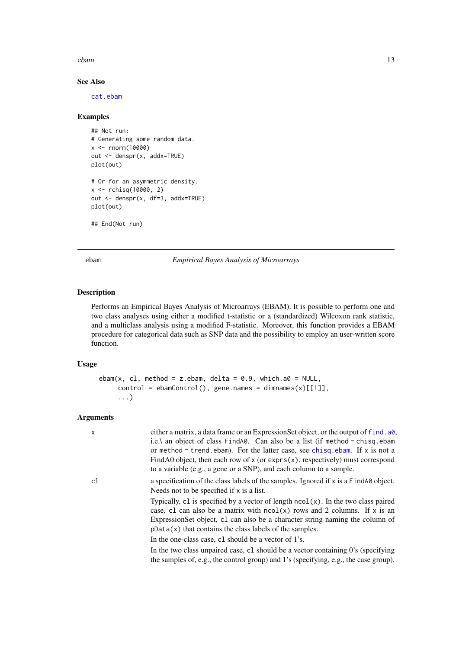#### <span id="page-12-0"></span>ebam and the set of the set of the set of the set of the set of the set of the set of the set of the set of the set of the set of the set of the set of the set of the set of the set of the set of the set of the set of the

### See Also

[cat.ebam](#page-1-2)

### Examples

```
## Not run:
# Generating some random data.
x <- rnorm(10000)
out <- denspr(x, addx=TRUE)
plot(out)
# Or for an asymmetric density.
x <- rchisq(10000, 2)
out <- denspr(x, df=3, addx=TRUE)
plot(out)
## End(Not run)
```
<span id="page-12-1"></span>ebam *Empirical Bayes Analysis of Microarrays*

### Description

Performs an Empirical Bayes Analysis of Microarrays (EBAM). It is possible to perform one and two class analyses using either a modified t-statistic or a (standardized) Wilcoxon rank statistic, and a multiclass analysis using a modified F-statistic. Moreover, this function provides a EBAM procedure for categorical data such as SNP data and the possibility to employ an user-written score function.

### Usage

```
ebam(x, cl, method = z.ebam, delta = 0.9, which.a0 = NULL,
    control = ebamControl(), gene.name = dimnames(x)[[1]],...)
```

| $\boldsymbol{\mathsf{x}}$ | either a matrix, a data frame or an ExpressionSet object, or the output of f ind. a0,<br>i.e.\ an object of class $FindA\emptyset$ . Can also be a list (if method = chisq.ebam<br>or method = trend. ebam). For the latter case, see chisq. ebam. If $x$ is not a<br>FindA0 object, then each row of $x$ (or exprs $(x)$ , respectively) must correspond<br>to a variable (e.g., a gene or a SNP), and each column to a sample. |
|---------------------------|----------------------------------------------------------------------------------------------------------------------------------------------------------------------------------------------------------------------------------------------------------------------------------------------------------------------------------------------------------------------------------------------------------------------------------|
| cl                        | a specification of the class labels of the samples. Ignored if x is a FindA0 object.<br>Needs not to be specified if x is a list.                                                                                                                                                                                                                                                                                                |
|                           | Typically, c1 is specified by a vector of length $ncol(x)$ . In the two class paired<br>case, c1 can also be a matrix with $ncol(x)$ rows and 2 columns. If x is an<br>Expression Set object, c1 can also be a character string naming the column of<br>$pData(x)$ that contains the class labels of the samples.                                                                                                                |
|                           | In the one-class case, c1 should be a vector of 1's.                                                                                                                                                                                                                                                                                                                                                                             |
|                           | In the two class unpaired case, c1 should be a vector containing 0's (specifying<br>the samples of, e.g., the control group) and 1's (specifying, e.g., the case group).                                                                                                                                                                                                                                                         |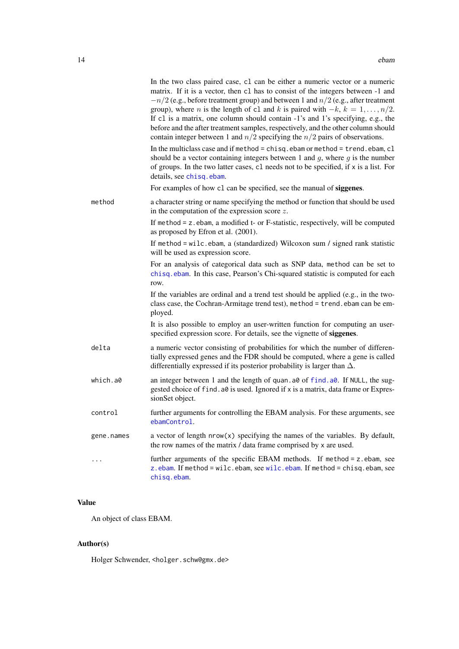<span id="page-13-0"></span>

|            | In the two class paired case, c1 can be either a numeric vector or a numeric<br>matrix. If it is a vector, then c1 has to consist of the integers between -1 and<br>$-n/2$ (e.g., before treatment group) and between 1 and $n/2$ (e.g., after treatment<br>group), where <i>n</i> is the length of c1 and <i>k</i> is paired with $-k$ , $k = 1, , n/2$ .<br>If c1 is a matrix, one column should contain -1's and 1's specifying, e.g., the<br>before and the after treatment samples, respectively, and the other column should<br>contain integer between 1 and $n/2$ specifying the $n/2$ pairs of observations. |
|------------|-----------------------------------------------------------------------------------------------------------------------------------------------------------------------------------------------------------------------------------------------------------------------------------------------------------------------------------------------------------------------------------------------------------------------------------------------------------------------------------------------------------------------------------------------------------------------------------------------------------------------|
|            | In the multiclass case and if method = chisq. ebam or method = trend. ebam, cl<br>should be a vector containing integers between 1 and $q$ , where $q$ is the number<br>of groups. In the two latter cases, c1 needs not to be specified, if x is a list. For<br>details, see chisq.ebam.                                                                                                                                                                                                                                                                                                                             |
|            | For examples of how c1 can be specified, see the manual of siggenes.                                                                                                                                                                                                                                                                                                                                                                                                                                                                                                                                                  |
| method     | a character string or name specifying the method or function that should be used<br>in the computation of the expression score $z$ .                                                                                                                                                                                                                                                                                                                                                                                                                                                                                  |
|            | If method $= z$ ebam, a modified t- or F-statistic, respectively, will be computed<br>as proposed by Efron et al. (2001).                                                                                                                                                                                                                                                                                                                                                                                                                                                                                             |
|            | If method = wilc.ebam, a (standardized) Wilcoxon sum / signed rank statistic<br>will be used as expression score.                                                                                                                                                                                                                                                                                                                                                                                                                                                                                                     |
|            | For an analysis of categorical data such as SNP data, method can be set to<br>chisq.ebam. In this case, Pearson's Chi-squared statistic is computed for each<br>row.                                                                                                                                                                                                                                                                                                                                                                                                                                                  |
|            | If the variables are ordinal and a trend test should be applied (e.g., in the two-<br>class case, the Cochran-Armitage trend test), method = trend. ebam can be em-<br>ployed.                                                                                                                                                                                                                                                                                                                                                                                                                                        |
|            | It is also possible to employ an user-written function for computing an user-<br>specified expression score. For details, see the vignette of siggenes.                                                                                                                                                                                                                                                                                                                                                                                                                                                               |
| delta      | a numeric vector consisting of probabilities for which the number of differen-<br>tially expressed genes and the FDR should be computed, where a gene is called<br>differentially expressed if its posterior probability is larger than $\Delta$ .                                                                                                                                                                                                                                                                                                                                                                    |
| which.a0   | an integer between 1 and the length of quan. a0 of find. a0. If NULL, the sug-<br>gested choice of find. a0 is used. Ignored if x is a matrix, data frame or Expres-<br>sionSet object.                                                                                                                                                                                                                                                                                                                                                                                                                               |
| control    | further arguments for controlling the EBAM analysis. For these arguments, see<br>ebamControl.                                                                                                                                                                                                                                                                                                                                                                                                                                                                                                                         |
| gene.names | a vector of length $nrow(x)$ specifying the names of the variables. By default,<br>the row names of the matrix / data frame comprised by x are used.                                                                                                                                                                                                                                                                                                                                                                                                                                                                  |
| .          | further arguments of the specific EBAM methods. If method = z.ebam, see<br>z.ebam. If method = wilc.ebam, see wilc.ebam. If method = chisq.ebam, see<br>chisq.ebam.                                                                                                                                                                                                                                                                                                                                                                                                                                                   |

### Value

An object of class EBAM.

### Author(s)

Holger Schwender, <holger.schw@gmx.de>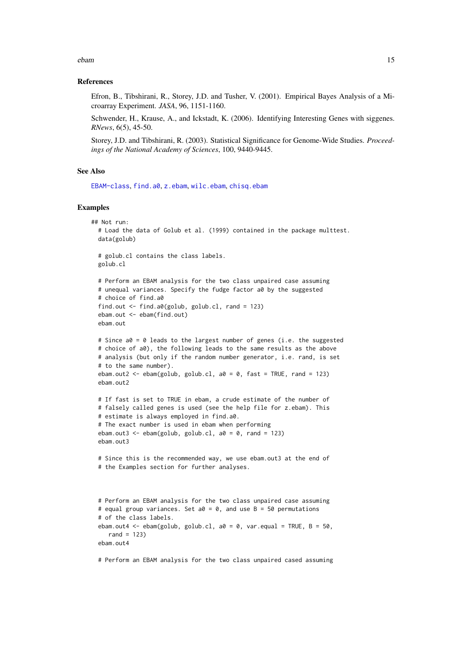<span id="page-14-0"></span>ebam and the set of the set of the set of the set of the set of the set of the set of the set of the set of the set of the set of the set of the set of the set of the set of the set of the set of the set of the set of the

#### References

Efron, B., Tibshirani, R., Storey, J.D. and Tusher, V. (2001). Empirical Bayes Analysis of a Microarray Experiment. *JASA*, 96, 1151-1160.

Schwender, H., Krause, A., and Ickstadt, K. (2006). Identifying Interesting Genes with siggenes. *RNews*, 6(5), 45-50.

Storey, J.D. and Tibshirani, R. (2003). Statistical Significance for Genome-Wide Studies. *Proceedings of the National Academy of Sciences*, 100, 9440-9445.

#### See Also

[EBAM-class](#page-15-1), [find.a0](#page-18-1), [z.ebam](#page-65-1), [wilc.ebam](#page-62-1), [chisq.ebam](#page-1-1)

#### Examples

```
## Not run:
  # Load the data of Golub et al. (1999) contained in the package multtest.
  data(golub)
  # golub.cl contains the class labels.
  golub.cl
  # Perform an EBAM analysis for the two class unpaired case assuming
  # unequal variances. Specify the fudge factor a0 by the suggested
  # choice of find.a0
  find.out <- find.a0(golub, golub.cl, rand = 123)
  ebam.out <- ebam(find.out)
  ebam.out
  # Since a0 = 0 leads to the largest number of genes (i.e. the suggested
  # choice of a0), the following leads to the same results as the above
  # analysis (but only if the random number generator, i.e. rand, is set
  # to the same number).
  ebam.out2 <- ebam(golub, golub.cl, a0 = 0, fast = TRUE, rand = 123)
  ebam.out2
  # If fast is set to TRUE in ebam, a crude estimate of the number of
  # falsely called genes is used (see the help file for z.ebam). This
  # estimate is always employed in find.a0.
  # The exact number is used in ebam when performing
  ebam.out3 <- ebam(golub, golub.cl, a0 = 0, rand = 123)
  ebam.out3
  # Since this is the recommended way, we use ebam.out3 at the end of
  # the Examples section for further analyses.
  # Perform an EBAM analysis for the two class unpaired case assuming
  # equal group variances. Set a0 = 0, and use B = 50 permutations
  # of the class labels.
  ebam.out4 <- ebam(golub, golub.cl, a0 = 0, var.equal = TRUE, B = 50,
    rand = 123)
  ebam.out4
```
# Perform an EBAM analysis for the two class unpaired cased assuming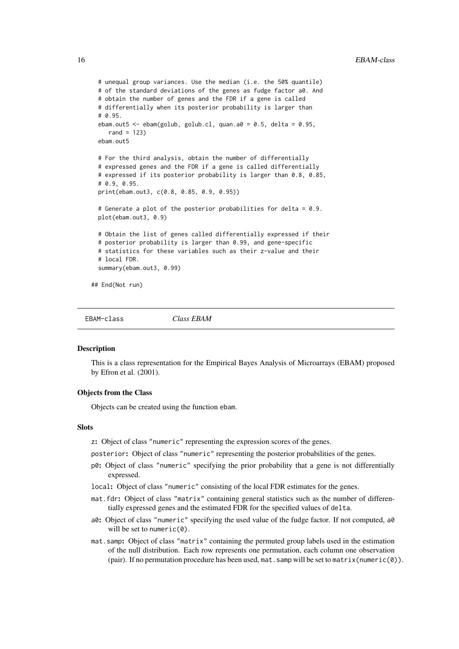```
# unequal group variances. Use the median (i.e. the 50% quantile)
  # of the standard deviations of the genes as fudge factor a0. And
  # obtain the number of genes and the FDR if a gene is called
  # differentially when its posterior probability is larger than
  # 0.95.
  ebam.out5 <- ebam(golub, golub.cl, quan.a0 = 0.5, delta = 0.95,
    rand = 123)
  ebam.out5
  # For the third analysis, obtain the number of differentially
  # expressed genes and the FDR if a gene is called differentially
  # expressed if its posterior probability is larger than 0.8, 0.85,
  # 0.9, 0.95.
  print(ebam.out3, c(0.8, 0.85, 0.9, 0.95))
  # Generate a plot of the posterior probabilities for delta = 0.9.
  plot(ebam.out3, 0.9)
  # Obtain the list of genes called differentially expressed if their
  # posterior probability is larger than 0.99, and gene-specific
  # statistics for these variables such as their z-value and their
  # local FDR.
  summary(ebam.out3, 0.99)
## End(Not run)
```
<span id="page-15-1"></span>EBAM-class *Class EBAM*

#### Description

This is a class representation for the Empirical Bayes Analysis of Microarrays (EBAM) proposed by Efron et al. (2001).

#### Objects from the Class

Objects can be created using the function ebam.

#### **Slots**

- z: Object of class "numeric" representing the expression scores of the genes.
- posterior: Object of class "numeric" representing the posterior probabilities of the genes.
- p0: Object of class "numeric" specifying the prior probability that a gene is not differentially expressed.
- local: Object of class "numeric" consisting of the local FDR estimates for the genes.
- mat.fdr: Object of class "matrix" containing general statistics such as the number of differentially expressed genes and the estimated FDR for the specified values of delta.
- a0: Object of class "numeric" specifying the used value of the fudge factor. If not computed, a0 will be set to numeric(0).
- mat.samp: Object of class "matrix" containing the permuted group labels used in the estimation of the null distribution. Each row represents one permutation, each column one observation (pair). If no permutation procedure has been used, mat.samp will be set to matrix(numeric(0)).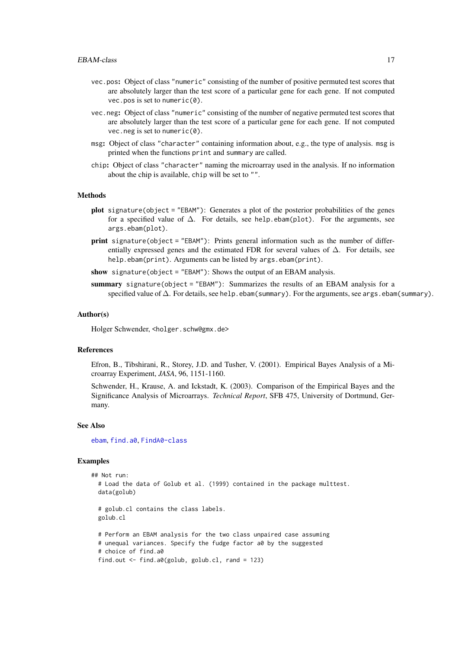- <span id="page-16-0"></span>vec.pos: Object of class "numeric" consisting of the number of positive permuted test scores that are absolutely larger than the test score of a particular gene for each gene. If not computed vec.pos is set to numeric(0).
- vec.neg: Object of class "numeric" consisting of the number of negative permuted test scores that are absolutely larger than the test score of a particular gene for each gene. If not computed vec.neg is set to numeric(0).
- msg: Object of class "character" containing information about, e.g., the type of analysis. msg is printed when the functions print and summary are called.
- chip: Object of class "character" naming the microarray used in the analysis. If no information about the chip is available, chip will be set to "".

#### Methods

- plot signature(object = "EBAM"): Generates a plot of the posterior probabilities of the genes for a specified value of  $\Delta$ . For details, see help.ebam(plot). For the arguments, see args.ebam(plot).
- print signature(object = "EBAM"): Prints general information such as the number of differentially expressed genes and the estimated FDR for several values of  $\Delta$ . For details, see help.ebam(print). Arguments can be listed by args.ebam(print).

show signature(object = "EBAM"): Shows the output of an EBAM analysis.

summary signature(object = "EBAM"): Summarizes the results of an EBAM analysis for a specified value of  $\Delta$ . For details, see help.ebam(summary). For the arguments, see args.ebam(summary).

#### Author(s)

Holger Schwender, <holger.schw@gmx.de>

#### References

Efron, B., Tibshirani, R., Storey, J.D. and Tusher, V. (2001). Empirical Bayes Analysis of a Microarray Experiment, *JASA*, 96, 1151-1160.

Schwender, H., Krause, A. and Ickstadt, K. (2003). Comparison of the Empirical Bayes and the Significance Analysis of Microarrays. *Technical Report*, SFB 475, University of Dortmund, Germany.

#### See Also

[ebam](#page-12-1), [find.a0](#page-18-1), [FindA0-class](#page-21-1)

#### Examples

```
## Not run:
  # Load the data of Golub et al. (1999) contained in the package multtest.
  data(golub)
  # golub.cl contains the class labels.
  golub.cl
  # Perform an EBAM analysis for the two class unpaired case assuming
  # unequal variances. Specify the fudge factor a0 by the suggested
  # choice of find.a0
```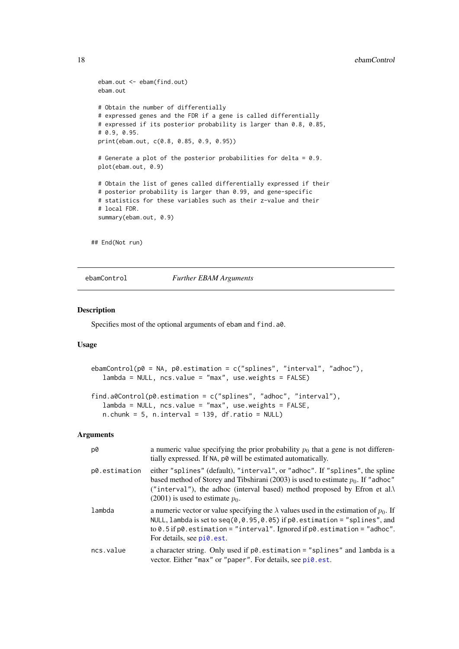#### <span id="page-17-0"></span>18 ebamControl

```
ebam.out <- ebam(find.out)
  ebam.out
  # Obtain the number of differentially
  # expressed genes and the FDR if a gene is called differentially
  # expressed if its posterior probability is larger than 0.8, 0.85,
  # 0.9, 0.95.
  print(ebam.out, c(0.8, 0.85, 0.9, 0.95))
  # Generate a plot of the posterior probabilities for delta = 0.9.
  plot(ebam.out, 0.9)
  # Obtain the list of genes called differentially expressed if their
  # posterior probability is larger than 0.99, and gene-specific
  # statistics for these variables such as their z-value and their
  # local FDR.
  summary(ebam.out, 0.9)
## End(Not run)
```
#### <span id="page-17-1"></span>ebamControl *Further EBAM Arguments*

#### <span id="page-17-2"></span>Description

Specifies most of the optional arguments of ebam and find.a0.

#### Usage

```
ebamControl(p0 = NA, p0.estimation = c("splines", "interval", "adhoc"),
   lambda = NULL, ncs.value = "max", use.weights = FALSE)
find.a0Control(p0.estimation = c("splines", "adhoc", "interval"),
   lambda = NULL, ncs.value = "max", use.weights = FALSE,
   n.chunk = 5, n.interval = 139, df.ratio = NULL)
```

| p0            | a numeric value specifying the prior probability $p_0$ that a gene is not differen-<br>tially expressed. If NA, p0 will be estimated automatically.                                                                                                                                            |
|---------------|------------------------------------------------------------------------------------------------------------------------------------------------------------------------------------------------------------------------------------------------------------------------------------------------|
| p0.estimation | either "splines" (default), "interval", or "adhoc". If "splines", the spline<br>based method of Storey and Tibshirani (2003) is used to estimate $p_0$ . If "adhoc"<br>("interval"), the adhoc (interval based) method proposed by Efron et al.<br>$(2001)$ is used to estimate $p_0$ .        |
| lambda        | a numeric vector or value specifying the $\lambda$ values used in the estimation of $p_0$ . If<br>NULL, lambda is set to seq(0,0.95,0.05) if $p0$ estimation = "splines", and<br>to $0.5$ if p0. estimation = "interval". Ignored if $p0$ . estimation = "adhoc".<br>For details, see pi0.est. |
| ncs.value     | a character string. Only used if $p\theta$ estimation = "splines" and lambda is a<br>vector. Either "max" or "paper". For details, see pi0.est.                                                                                                                                                |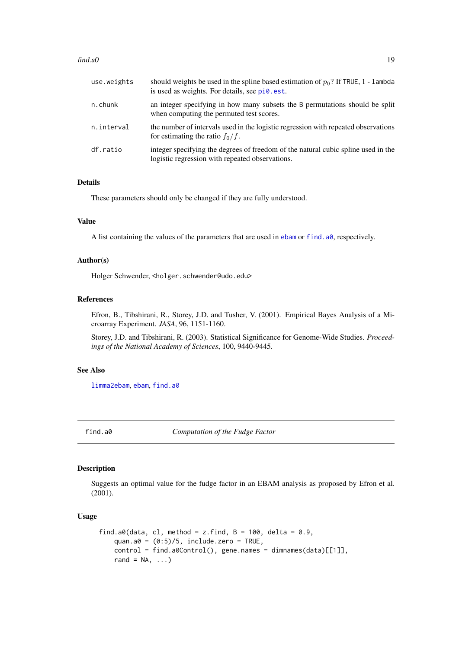#### <span id="page-18-0"></span> $find.a0$   $19$

| use.weights | should weights be used in the spline based estimation of $p_0$ ? If TRUE, 1 - lambda<br>is used as weights. For details, see pi0.est. |
|-------------|---------------------------------------------------------------------------------------------------------------------------------------|
| $n$ . chunk | an integer specifying in how many subsets the B permutations should be split<br>when computing the permuted test scores.              |
| n.interval  | the number of intervals used in the logistic regression with repeated observations<br>for estimating the ratio $f_0/f$ .              |
| df.ratio    | integer specifying the degrees of freedom of the natural cubic spline used in the<br>logistic regression with repeated observations.  |

### Details

These parameters should only be changed if they are fully understood.

### Value

A list containing the values of the parameters that are used in [ebam](#page-12-1) or [find.a0](#page-18-1), respectively.

### Author(s)

Holger Schwender, <holger.schwender@udo.edu>

### References

Efron, B., Tibshirani, R., Storey, J.D. and Tusher, V. (2001). Empirical Bayes Analysis of a Microarray Experiment. *JASA*, 96, 1151-1160.

Storey, J.D. and Tibshirani, R. (2003). Statistical Significance for Genome-Wide Studies. *Proceedings of the National Academy of Sciences*, 100, 9440-9445.

### See Also

[limma2ebam](#page-30-1), [ebam](#page-12-1), [find.a0](#page-18-1)

<span id="page-18-1"></span>

find.a0 *Computation of the Fudge Factor*

### Description

Suggests an optimal value for the fudge factor in an EBAM analysis as proposed by Efron et al. (2001).

#### Usage

```
find.a0(data, cl, method = z.find, B = 100, delta = 0.9,
   quan.a0 = (0:5)/5, include.zero = TRUE,
   control = find.a0Control(), gene.names = dimnames(data)[[1]],
   rand = NA, ...
```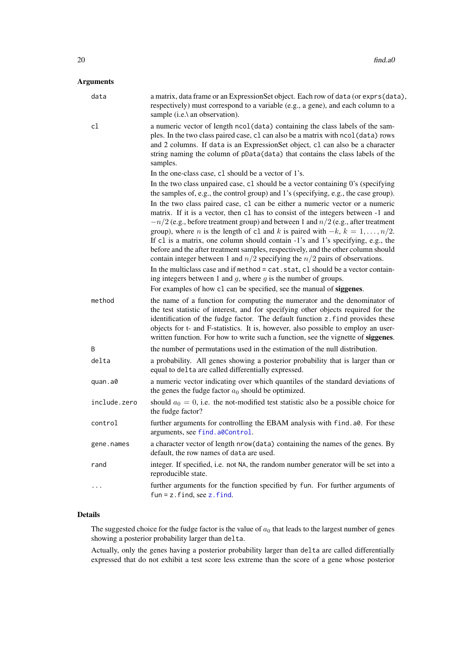### <span id="page-19-0"></span>Arguments

| data         | a matrix, data frame or an ExpressionSet object. Each row of data (or exprs(data),<br>respectively) must correspond to a variable (e.g., a gene), and each column to a<br>sample (i.e.\ an observation).                                                                                                                                                                                                                                                                                                                                                                                                                                                                                                                                                                                                                                                |
|--------------|---------------------------------------------------------------------------------------------------------------------------------------------------------------------------------------------------------------------------------------------------------------------------------------------------------------------------------------------------------------------------------------------------------------------------------------------------------------------------------------------------------------------------------------------------------------------------------------------------------------------------------------------------------------------------------------------------------------------------------------------------------------------------------------------------------------------------------------------------------|
| cl           | a numeric vector of length ncol (data) containing the class labels of the sam-<br>ples. In the two class paired case, c1 can also be a matrix with nco1(data) rows<br>and 2 columns. If data is an ExpressionSet object, c1 can also be a character<br>string naming the column of pData(data) that contains the class labels of the<br>samples.                                                                                                                                                                                                                                                                                                                                                                                                                                                                                                        |
|              | In the one-class case, c1 should be a vector of 1's.                                                                                                                                                                                                                                                                                                                                                                                                                                                                                                                                                                                                                                                                                                                                                                                                    |
|              | In the two class unpaired case, c1 should be a vector containing 0's (specifying<br>the samples of, e.g., the control group) and 1's (specifying, e.g., the case group).                                                                                                                                                                                                                                                                                                                                                                                                                                                                                                                                                                                                                                                                                |
|              | In the two class paired case, c1 can be either a numeric vector or a numeric<br>matrix. If it is a vector, then c1 has to consist of the integers between -1 and<br>$-n/2$ (e.g., before treatment group) and between 1 and $n/2$ (e.g., after treatment<br>group), where <i>n</i> is the length of c1 and <i>k</i> is paired with $-k$ , $k = 1, , n/2$ .<br>If c1 is a matrix, one column should contain -1's and 1's specifying, e.g., the<br>before and the after treatment samples, respectively, and the other column should<br>contain integer between 1 and $n/2$ specifying the $n/2$ pairs of observations.<br>In the multiclass case and if method = cat.stat, cl should be a vector contain-<br>ing integers between 1 and $q$ , where $q$ is the number of groups.<br>For examples of how c1 can be specified, see the manual of siggenes. |
| method       | the name of a function for computing the numerator and the denominator of<br>the test statistic of interest, and for specifying other objects required for the<br>identification of the fudge factor. The default function z.find provides these<br>objects for t- and F-statistics. It is, however, also possible to employ an user-<br>written function. For how to write such a function, see the vignette of siggenes.                                                                                                                                                                                                                                                                                                                                                                                                                              |
| B            | the number of permutations used in the estimation of the null distribution.                                                                                                                                                                                                                                                                                                                                                                                                                                                                                                                                                                                                                                                                                                                                                                             |
| delta        | a probability. All genes showing a posterior probability that is larger than or<br>equal to delta are called differentially expressed.                                                                                                                                                                                                                                                                                                                                                                                                                                                                                                                                                                                                                                                                                                                  |
| quan.a0      | a numeric vector indicating over which quantiles of the standard deviations of<br>the genes the fudge factor $a_0$ should be optimized.                                                                                                                                                                                                                                                                                                                                                                                                                                                                                                                                                                                                                                                                                                                 |
| include.zero | should $a_0 = 0$ , i.e. the not-modified test statistic also be a possible choice for<br>the fudge factor?                                                                                                                                                                                                                                                                                                                                                                                                                                                                                                                                                                                                                                                                                                                                              |
| control      | further arguments for controlling the EBAM analysis with find. a0. For these<br>arguments, see find, a0Control.                                                                                                                                                                                                                                                                                                                                                                                                                                                                                                                                                                                                                                                                                                                                         |
| gene.names   | a character vector of length nrow(data) containing the names of the genes. By<br>default, the row names of data are used.                                                                                                                                                                                                                                                                                                                                                                                                                                                                                                                                                                                                                                                                                                                               |
| rand         | integer. If specified, i.e. not NA, the random number generator will be set into a<br>reproducible state.                                                                                                                                                                                                                                                                                                                                                                                                                                                                                                                                                                                                                                                                                                                                               |
|              | further arguments for the function specified by fun. For further arguments of<br>$fun = z$ . find, see z. find.                                                                                                                                                                                                                                                                                                                                                                                                                                                                                                                                                                                                                                                                                                                                         |

### Details

The suggested choice for the fudge factor is the value of  $a_0$  that leads to the largest number of genes showing a posterior probability larger than delta.

Actually, only the genes having a posterior probability larger than delta are called differentially expressed that do not exhibit a test score less extreme than the score of a gene whose posterior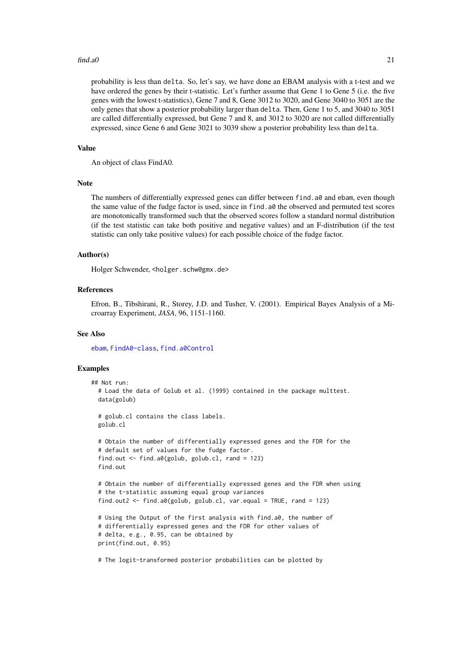#### <span id="page-20-0"></span> $find.a0$  21

probability is less than delta. So, let's say, we have done an EBAM analysis with a t-test and we have ordered the genes by their t-statistic. Let's further assume that Gene 1 to Gene 5 (i.e. the five genes with the lowest t-statistics), Gene 7 and 8, Gene 3012 to 3020, and Gene 3040 to 3051 are the only genes that show a posterior probability larger than delta. Then, Gene 1 to 5, and 3040 to 3051 are called differentially expressed, but Gene 7 and 8, and 3012 to 3020 are not called differentially expressed, since Gene 6 and Gene 3021 to 3039 show a posterior probability less than delta.

#### Value

An object of class FindA0.

#### Note

The numbers of differentially expressed genes can differ between find.a0 and ebam, even though the same value of the fudge factor is used, since in find.a0 the observed and permuted test scores are monotonically transformed such that the observed scores follow a standard normal distribution (if the test statistic can take both positive and negative values) and an F-distribution (if the test statistic can only take positive values) for each possible choice of the fudge factor.

#### Author(s)

Holger Schwender, <holger.schw@gmx.de>

### References

Efron, B., Tibshirani, R., Storey, J.D. and Tusher, V. (2001). Empirical Bayes Analysis of a Microarray Experiment, *JASA*, 96, 1151-1160.

### See Also

[ebam](#page-12-1), [FindA0-class](#page-21-1), [find.a0Control](#page-17-2)

### Examples

```
## Not run:
  # Load the data of Golub et al. (1999) contained in the package multtest.
  data(golub)
  # golub.cl contains the class labels.
  golub.cl
  # Obtain the number of differentially expressed genes and the FDR for the
  # default set of values for the fudge factor.
  find.out <- find.a0(golub, golub.cl, rand = 123)
  find.out
  # Obtain the number of differentially expressed genes and the FDR when using
  # the t-statistic assuming equal group variances
  find.out2 <- find.a0(golub, golub.cl, var.equal = TRUE, rand = 123)
  # Using the Output of the first analysis with find.a0, the number of
  # differentially expressed genes and the FDR for other values of
  # delta, e.g., 0.95, can be obtained by
  print(find.out, 0.95)
```
# The logit-transformed posterior probabilities can be plotted by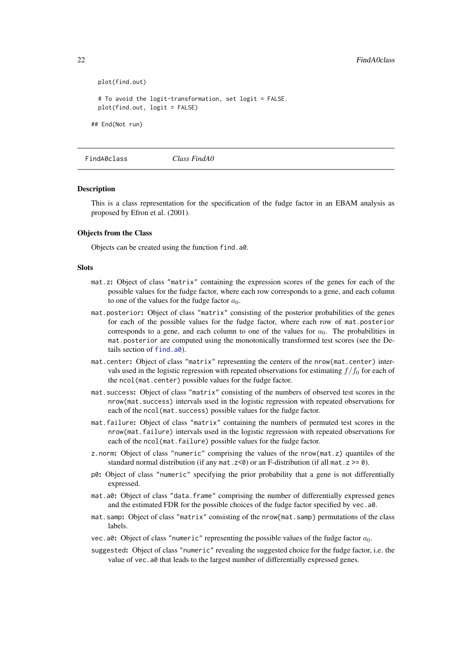```
plot(find.out)
# To avoid the logit-transformation, set logit = FALSE.
plot(find.out, logit = FALSE)
```
## End(Not run)

FindA0class *Class FindA0*

#### <span id="page-21-1"></span>**Description**

This is a class representation for the specification of the fudge factor in an EBAM analysis as proposed by Efron et al. (2001).

#### Objects from the Class

Objects can be created using the function find.a0.

#### Slots

- mat.z: Object of class "matrix" containing the expression scores of the genes for each of the possible values for the fudge factor, where each row corresponds to a gene, and each column to one of the values for the fudge factor  $a_0$ .
- mat.posterior: Object of class "matrix" consisting of the posterior probabilities of the genes for each of the possible values for the fudge factor, where each row of mat.posterior corresponds to a gene, and each column to one of the values for  $a_0$ . The probabilities in mat.posterior are computed using the monotonically transformed test scores (see the Details section of [find.a0](#page-18-1)).
- mat.center: Object of class "matrix" representing the centers of the nrow(mat.center) intervals used in the logistic regression with repeated observations for estimating  $f/f_0$  for each of the ncol(mat.center) possible values for the fudge factor.
- mat.success: Object of class "matrix" consisting of the numbers of observed test scores in the nrow(mat.success) intervals used in the logistic regression with repeated observations for each of the ncol(mat.success) possible values for the fudge factor.
- mat.failure: Object of class "matrix" containing the numbers of permuted test scores in the nrow(mat.failure) intervals used in the logistic regression with repeated observations for each of the ncol(mat.failure) possible values for the fudge factor.
- z.norm: Object of class "numeric" comprising the values of the nrow(mat.z) quantiles of the standard normal distribution (if any mat.  $z < 0$ ) or an F-distribution (if all mat.  $z > = 0$ ).
- p0: Object of class "numeric" specifying the prior probability that a gene is not differentially expressed.
- mat.a0: Object of class "data.frame" comprising the number of differentially expressed genes and the estimated FDR for the possible choices of the fudge factor specified by vec.a0.
- mat.samp: Object of class "matrix" consisting of the nrow{mat.samp} permutations of the class labels.
- vec.a0: Object of class "numeric" representing the possible values of the fudge factor  $a_0$ .
- suggested: Object of class "numeric" revealing the suggested choice for the fudge factor, i.e. the value of vec.a0 that leads to the largest number of differentially expressed genes.

<span id="page-21-0"></span>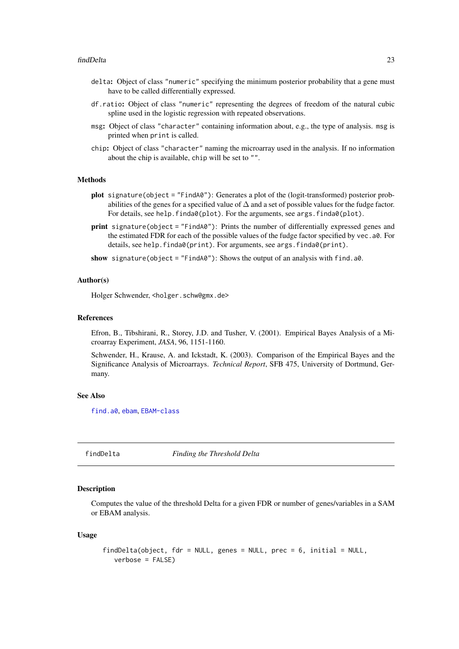- <span id="page-22-0"></span>delta: Object of class "numeric" specifying the minimum posterior probability that a gene must have to be called differentially expressed.
- df.ratio: Object of class "numeric" representing the degrees of freedom of the natural cubic spline used in the logistic regression with repeated observations.
- msg: Object of class "character" containing information about, e.g., the type of analysis. msg is printed when print is called.
- chip: Object of class "character" naming the microarray used in the analysis. If no information about the chip is available, chip will be set to "".

#### Methods

- plot signature(object = "FindA0"): Generates a plot of the (logit-transformed) posterior probabilities of the genes for a specified value of  $\Delta$  and a set of possible values for the fudge factor. For details, see help.finda0(plot). For the arguments, see args.finda0(plot).
- print signature(object = "FindA0"): Prints the number of differentially expressed genes and the estimated FDR for each of the possible values of the fudge factor specified by vec.a0. For details, see help.finda0(print). For arguments, see args.finda0(print).
- show signature(object = "FindA0"): Shows the output of an analysis with find.a0.

#### Author(s)

Holger Schwender, <holger.schw@gmx.de>

#### References

Efron, B., Tibshirani, R., Storey, J.D. and Tusher, V. (2001). Empirical Bayes Analysis of a Microarray Experiment, *JASA*, 96, 1151-1160.

Schwender, H., Krause, A. and Ickstadt, K. (2003). Comparison of the Empirical Bayes and the Significance Analysis of Microarrays. *Technical Report*, SFB 475, University of Dortmund, Germany.

### See Also

[find.a0](#page-18-1), [ebam](#page-12-1), [EBAM-class](#page-15-1)

findDelta *Finding the Threshold Delta*

#### **Description**

Computes the value of the threshold Delta for a given FDR or number of genes/variables in a SAM or EBAM analysis.

#### Usage

```
findDelta(object, fdr = NULL, genes = NULL, prec = 6, initial = NULL,
   verbose = FALSE)
```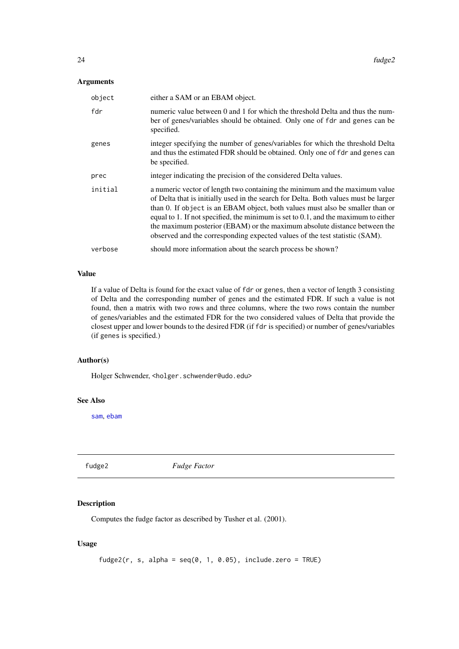### <span id="page-23-0"></span>Arguments

| object  | either a SAM or an EBAM object.                                                                                                                                                                                                                                                                                                                                                                                                                                                                          |
|---------|----------------------------------------------------------------------------------------------------------------------------------------------------------------------------------------------------------------------------------------------------------------------------------------------------------------------------------------------------------------------------------------------------------------------------------------------------------------------------------------------------------|
| fdr     | numeric value between 0 and 1 for which the threshold Delta and thus the num-<br>ber of genes/variables should be obtained. Only one of fdr and genes can be<br>specified.                                                                                                                                                                                                                                                                                                                               |
| genes   | integer specifying the number of genes/variables for which the threshold Delta<br>and thus the estimated FDR should be obtained. Only one of fdr and genes can<br>be specified.                                                                                                                                                                                                                                                                                                                          |
| prec    | integer indicating the precision of the considered Delta values.                                                                                                                                                                                                                                                                                                                                                                                                                                         |
| initial | a numeric vector of length two containing the minimum and the maximum value<br>of Delta that is initially used in the search for Delta. Both values must be larger<br>than 0. If object is an EBAM object, both values must also be smaller than or<br>equal to 1. If not specified, the minimum is set to $0.1$ , and the maximum to either<br>the maximum posterior (EBAM) or the maximum absolute distance between the<br>observed and the corresponding expected values of the test statistic (SAM). |
| verbose | should more information about the search process be shown?                                                                                                                                                                                                                                                                                                                                                                                                                                               |

### Value

If a value of Delta is found for the exact value of fdr or genes, then a vector of length 3 consisting of Delta and the corresponding number of genes and the estimated FDR. If such a value is not found, then a matrix with two rows and three columns, where the two rows contain the number of genes/variables and the estimated FDR for the two considered values of Delta that provide the closest upper and lower bounds to the desired FDR (if fdr is specified) or number of genes/variables (if genes is specified.)

### Author(s)

Holger Schwender, <holger.schwender@udo.edu>

#### See Also

[sam](#page-43-1), [ebam](#page-12-1)

fudge2 *Fudge Factor*

### Description

Computes the fudge factor as described by Tusher et al. (2001).

### Usage

fudge2(r, s, alpha =  $seq(0, 1, 0.05)$ , include.zero = TRUE)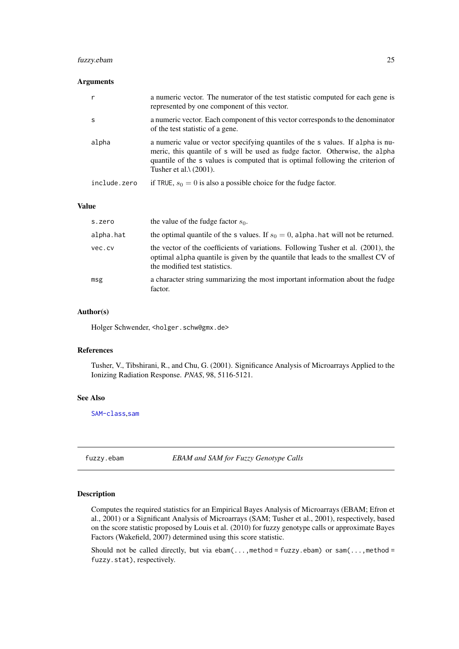#### <span id="page-24-0"></span>fuzzy.ebam 25

### Arguments

| r            | a numeric vector. The numerator of the test statistic computed for each gene is<br>represented by one component of this vector.                                                                                                                                                       |
|--------------|---------------------------------------------------------------------------------------------------------------------------------------------------------------------------------------------------------------------------------------------------------------------------------------|
| <sub>S</sub> | a numeric vector. Each component of this vector corresponds to the denominator<br>of the test statistic of a gene.                                                                                                                                                                    |
| alpha        | a numeric value or vector specifying quantiles of the s values. If alpha is nu-<br>meric, this quantile of s will be used as fudge factor. Otherwise, the alpha<br>quantile of the s values is computed that is optimal following the criterion of<br>Tusher et al. $\lambda$ (2001). |
| include.zero | if TRUE, $s_0 = 0$ is also a possible choice for the fudge factor.                                                                                                                                                                                                                    |

### Value

| s.zero    | the value of the fudge factor $s_0$ .                                                                                                                                                                  |
|-----------|--------------------------------------------------------------------------------------------------------------------------------------------------------------------------------------------------------|
| alpha.hat | the optimal quantile of the s values. If $s_0 = 0$ , alpha hat will not be returned.                                                                                                                   |
| vec.cv    | the vector of the coefficients of variations. Following Tusher et al. (2001), the<br>optimal alpha quantile is given by the quantile that leads to the smallest CV of<br>the modified test statistics. |
| msg       | a character string summarizing the most important information about the fudge<br>factor.                                                                                                               |

### Author(s)

Holger Schwender, <holger.schw@gmx.de>

### References

Tusher, V., Tibshirani, R., and Chu, G. (2001). Significance Analysis of Microarrays Applied to the Ionizing Radiation Response. *PNAS*, 98, 5116-5121.

#### See Also

[SAM-class](#page-47-1),[sam](#page-43-1)

fuzzy.ebam *EBAM and SAM for Fuzzy Genotype Calls*

### Description

Computes the required statistics for an Empirical Bayes Analysis of Microarrays (EBAM; Efron et al., 2001) or a Significant Analysis of Microarrays (SAM; Tusher et al., 2001), respectively, based on the score statistic proposed by Louis et al. (2010) for fuzzy genotype calls or approximate Bayes Factors (Wakefield, 2007) determined using this score statistic.

Should not be called directly, but via ebam(..., method = fuzzy.ebam) or sam(..., method = fuzzy.stat), respectively.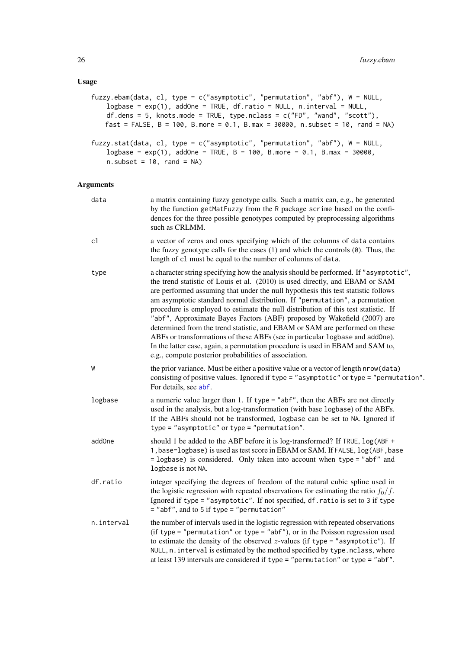### <span id="page-25-0"></span>Usage

| fuzzy.ebam(data, cl, type = $c("asymptotic", "permutation", "abf"), W = NULL,$<br>$logbase = exp(1)$ , addOne = TRUE, df.ratio = NULL, n.interval = NULL,<br>df.dens = 5, knots.mode = TRUE, type.nclass = $c("FD", "wand", "scott"),$<br>fast = FALSE, $B = 100$ , B.more = 0.1, B.max = 30000, n.subset = 10, rand = NA) |
|----------------------------------------------------------------------------------------------------------------------------------------------------------------------------------------------------------------------------------------------------------------------------------------------------------------------------|
| fuzzy.stat(data, cl, type = c("asymptotic", "permutation", "abf"), $W = NULL$ ,<br>logbase = $exp(1)$ , addOne = TRUE, B = 100, B.more = 0.1, B.max = 30000,<br>$n.subset = 10$ , $rand = NA$ )                                                                                                                            |

| data               | a matrix containing fuzzy genotype calls. Such a matrix can, e.g., be generated<br>by the function getMatFuzzy from the R package scrime based on the confi-<br>dences for the three possible genotypes computed by preprocessing algorithms<br>such as CRLMM.                                                                                                                                                                                                                                                                                                                                                                                                                                                                                                                                                       |
|--------------------|----------------------------------------------------------------------------------------------------------------------------------------------------------------------------------------------------------------------------------------------------------------------------------------------------------------------------------------------------------------------------------------------------------------------------------------------------------------------------------------------------------------------------------------------------------------------------------------------------------------------------------------------------------------------------------------------------------------------------------------------------------------------------------------------------------------------|
| c1                 | a vector of zeros and ones specifying which of the columns of data contains<br>the fuzzy genotype calls for the cases $(1)$ and which the controls $(0)$ . Thus, the<br>length of c1 must be equal to the number of columns of data.                                                                                                                                                                                                                                                                                                                                                                                                                                                                                                                                                                                 |
| type               | a character string specifying how the analysis should be performed. If "asymptotic",<br>the trend statistic of Louis et al. (2010) is used directly, and EBAM or SAM<br>are performed assuming that under the null hypothesis this test statistic follows<br>am asymptotic standard normal distribution. If "permutation", a permutation<br>procedure is employed to estimate the null distribution of this test statistic. If<br>"abf", Approximate Bayes Factors (ABF) proposed by Wakefield (2007) are<br>determined from the trend statistic, and EBAM or SAM are performed on these<br>ABFs or transformations of these ABFs (see in particular logbase and addOne).<br>In the latter case, again, a permutation procedure is used in EBAM and SAM to,<br>e.g., compute posterior probabilities of association. |
| W                  | the prior variance. Must be either a positive value or a vector of length nrow(data)<br>consisting of positive values. Ignored if type = "asymptotic" or type = "permutation".<br>For details, see abf.                                                                                                                                                                                                                                                                                                                                                                                                                                                                                                                                                                                                              |
| logbase            | a numeric value larger than 1. If type = "abf", then the ABFs are not directly<br>used in the analysis, but a log-transformation (with base logbase) of the ABFs.<br>If the ABFs should not be transformed, logbase can be set to NA. Ignored if<br>$type = "asymptotic"$ or $type = "permutation".$                                                                                                                                                                                                                                                                                                                                                                                                                                                                                                                 |
| add <sub>One</sub> | should 1 be added to the ABF before it is log-transformed? If TRUE, log(ABF +<br>1, base=logbase) is used as test score in EBAM or SAM. If FALSE, log (ABF, base<br>= logbase) is considered. Only taken into account when type = "abf" and<br>logbase is not NA.                                                                                                                                                                                                                                                                                                                                                                                                                                                                                                                                                    |
| df.ratio           | integer specifying the degrees of freedom of the natural cubic spline used in<br>the logistic regression with repeated observations for estimating the ratio $f_0/f$ .<br>Ignored if type = "asymptotic". If not specified, df. ratio is set to 3 if type<br>$=$ "abf", and to 5 if type $=$ "permutation"                                                                                                                                                                                                                                                                                                                                                                                                                                                                                                           |
| n.interval         | the number of intervals used in the logistic regression with repeated observations<br>(if type = "permutation" or type = "abf"), or in the Poisson regression used<br>to estimate the density of the observed $z$ -values (if type = "asymptotic"). If<br>NULL, n. interval is estimated by the method specified by type. nclass, where<br>at least 139 intervals are considered if type = "permutation" or type = "abf".                                                                                                                                                                                                                                                                                                                                                                                            |
|                    |                                                                                                                                                                                                                                                                                                                                                                                                                                                                                                                                                                                                                                                                                                                                                                                                                      |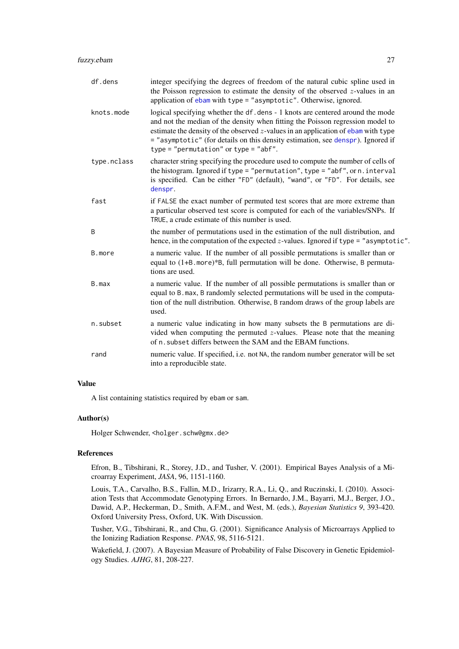<span id="page-26-0"></span>

| df.dens     | integer specifying the degrees of freedom of the natural cubic spline used in<br>the Poisson regression to estimate the density of the observed $z$ -values in an<br>application of ebam with type = "asymptotic". Otherwise, ignored.                                                                                                                                                   |
|-------------|------------------------------------------------------------------------------------------------------------------------------------------------------------------------------------------------------------------------------------------------------------------------------------------------------------------------------------------------------------------------------------------|
| knots.mode  | logical specifying whether the df. dens - 1 knots are centered around the mode<br>and not the median of the density when fitting the Poisson regression model to<br>estimate the density of the observed $z$ -values in an application of ebam with type<br>= "asymptotic" (for details on this density estimation, see denspr). Ignored if<br>$type = "permutation"$ or $type = "abf".$ |
| type.nclass | character string specifying the procedure used to compute the number of cells of<br>the histogram. Ignored if type = "permutation", type = "abf", or $n$ . interval<br>is specified. Can be either "FD" (default), "wand", or "FD". For details, see<br>denspr.                                                                                                                          |
| fast        | if FALSE the exact number of permuted test scores that are more extreme than<br>a particular observed test score is computed for each of the variables/SNPs. If<br>TRUE, a crude estimate of this number is used.                                                                                                                                                                        |
| B           | the number of permutations used in the estimation of the null distribution, and<br>hence, in the computation of the expected $z$ -values. Ignored if type = "asymptotic".                                                                                                                                                                                                                |
| B.more      | a numeric value. If the number of all possible permutations is smaller than or<br>equal to (1+B.more)*B, full permutation will be done. Otherwise, B permuta-<br>tions are used.                                                                                                                                                                                                         |
| B.max       | a numeric value. If the number of all possible permutations is smaller than or<br>equal to B. max, B randomly selected permutations will be used in the computa-<br>tion of the null distribution. Otherwise, B random draws of the group labels are<br>used.                                                                                                                            |
| n.subset    | a numeric value indicating in how many subsets the B permutations are di-<br>vided when computing the permuted $z$ -values. Please note that the meaning<br>of n. subset differs between the SAM and the EBAM functions.                                                                                                                                                                 |
| rand        | numeric value. If specified, i.e. not NA, the random number generator will be set<br>into a reproducible state.                                                                                                                                                                                                                                                                          |

### Value

A list containing statistics required by ebam or sam.

### Author(s)

Holger Schwender, <holger.schw@gmx.de>

### References

Efron, B., Tibshirani, R., Storey, J.D., and Tusher, V. (2001). Empirical Bayes Analysis of a Microarray Experiment, *JASA*, 96, 1151-1160.

Louis, T.A., Carvalho, B.S., Fallin, M.D., Irizarry, R.A., Li, Q., and Ruczinski, I. (2010). Association Tests that Accommodate Genotyping Errors. In Bernardo, J.M., Bayarri, M.J., Berger, J.O., Dawid, A.P., Heckerman, D., Smith, A.F.M., and West, M. (eds.), *Bayesian Statistics 9*, 393-420. Oxford University Press, Oxford, UK. With Discussion.

Tusher, V.G., Tibshirani, R., and Chu, G. (2001). Significance Analysis of Microarrays Applied to the Ionizing Radiation Response. *PNAS*, 98, 5116-5121.

Wakefield, J. (2007). A Bayesian Measure of Probability of False Discovery in Genetic Epidemiology Studies. *AJHG*, 81, 208-227.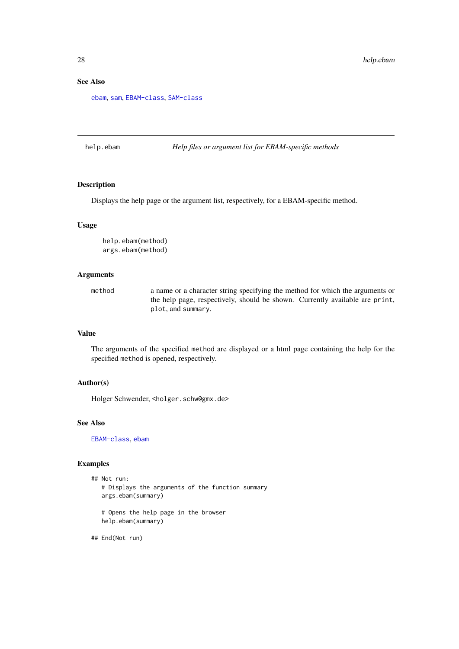### See Also

[ebam](#page-12-1), [sam](#page-43-1), [EBAM-class](#page-15-1), [SAM-class](#page-47-1)

help.ebam *Help files or argument list for EBAM-specific methods*

### Description

Displays the help page or the argument list, respectively, for a EBAM-specific method.

#### Usage

help.ebam(method) args.ebam(method)

### Arguments

method a name or a character string specifying the method for which the arguments or the help page, respectively, should be shown. Currently available are print, plot, and summary.

### Value

The arguments of the specified method are displayed or a html page containing the help for the specified method is opened, respectively.

### Author(s)

Holger Schwender, <holger.schw@gmx.de>

#### See Also

[EBAM-class](#page-15-1), [ebam](#page-12-1)

#### Examples

```
## Not run:
   # Displays the arguments of the function summary
  args.ebam(summary)
   # Opens the help page in the browser
  help.ebam(summary)
```
## End(Not run)

<span id="page-27-0"></span>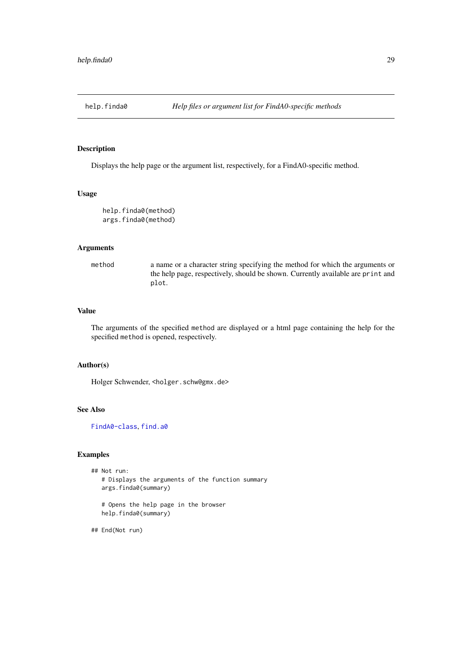<span id="page-28-0"></span>

Displays the help page or the argument list, respectively, for a FindA0-specific method.

### Usage

```
help.finda0(method)
args.finda0(method)
```
### Arguments

method a name or a character string specifying the method for which the arguments or the help page, respectively, should be shown. Currently available are print and plot.

### Value

The arguments of the specified method are displayed or a html page containing the help for the specified method is opened, respectively.

#### Author(s)

Holger Schwender, <holger.schw@gmx.de>

### See Also

[FindA0-class](#page-21-1), [find.a0](#page-18-1)

### Examples

```
## Not run:
  # Displays the arguments of the function summary
  args.finda0(summary)
   # Opens the help page in the browser
  help.finda0(summary)
```
## End(Not run)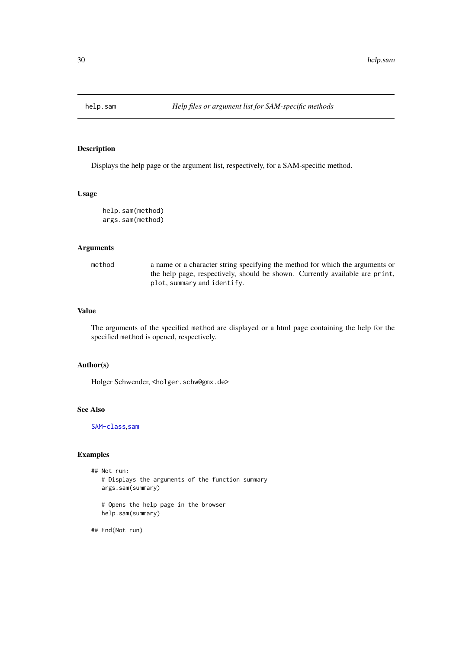<span id="page-29-1"></span><span id="page-29-0"></span>

Displays the help page or the argument list, respectively, for a SAM-specific method.

### Usage

```
help.sam(method)
args.sam(method)
```
### Arguments

method a name or a character string specifying the method for which the arguments or the help page, respectively, should be shown. Currently available are print, plot, summary and identify.

### Value

The arguments of the specified method are displayed or a html page containing the help for the specified method is opened, respectively.

#### Author(s)

Holger Schwender, <holger.schw@gmx.de>

### See Also

[SAM-class](#page-47-1),[sam](#page-43-1)

#### Examples

```
## Not run:
  # Displays the arguments of the function summary
  args.sam(summary)
   # Opens the help page in the browser
  help.sam(summary)
```
## End(Not run)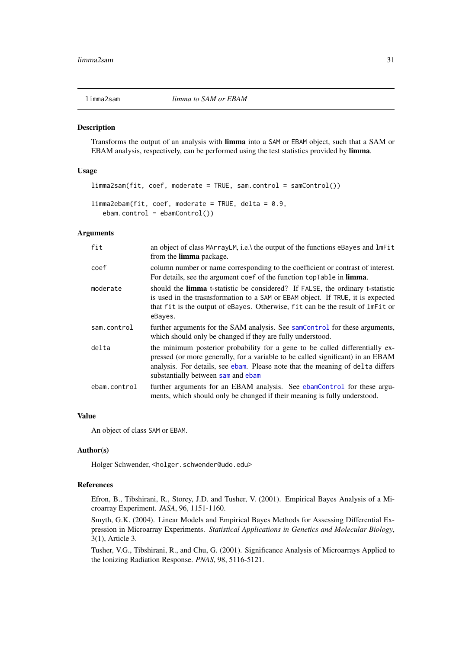<span id="page-30-2"></span><span id="page-30-1"></span><span id="page-30-0"></span>

Transforms the output of an analysis with limma into a SAM or EBAM object, such that a SAM or EBAM analysis, respectively, can be performed using the test statistics provided by limma.

#### Usage

```
limma2sam(fit, coef, moderate = TRUE, sam.contrib = samControl())limma2ebam(fit, coef, moderate = TRUE, delta = 0.9,
   ebam.control = ebamControl())
```
### Arguments

| fit          | an object of class MArrayLM, i.e. \ the output of the functions eBayes and lmFit<br>from the <b>limma</b> package.                                                                                                                                                                      |
|--------------|-----------------------------------------------------------------------------------------------------------------------------------------------------------------------------------------------------------------------------------------------------------------------------------------|
| coef         | column number or name corresponding to the coefficient or contrast of interest.<br>For details, see the argument coef of the function topTable in limma.                                                                                                                                |
| moderate     | should the <b>limma</b> t-statistic be considered? If FALSE, the ordinary t-statistic<br>is used in the trasnsformation to a SAM or EBAM object. If TRUE, it is expected<br>that fit is the output of eBayes. Otherwise, fit can be the result of lmFit or<br>eBayes.                   |
| sam.control  | further arguments for the SAM analysis. See samControl for these arguments,<br>which should only be changed if they are fully understood.                                                                                                                                               |
| delta        | the minimum posterior probability for a gene to be called differentially ex-<br>pressed (or more generally, for a variable to be called significant) in an EBAM<br>analysis. For details, see ebam. Please note that the meaning of delta differs<br>substantially between sam and ebam |
| ebam.control | further arguments for an EBAM analysis. See ebamControl for these argu-<br>ments, which should only be changed if their meaning is fully understood.                                                                                                                                    |

### Value

An object of class SAM or EBAM.

### Author(s)

Holger Schwender, <holger.schwender@udo.edu>

### References

Efron, B., Tibshirani, R., Storey, J.D. and Tusher, V. (2001). Empirical Bayes Analysis of a Microarray Experiment. *JASA*, 96, 1151-1160.

Smyth, G.K. (2004). Linear Models and Empirical Bayes Methods for Assessing Differential Expression in Microarray Experiments. *Statistical Applications in Genetics and Molecular Biology*, 3(1), Article 3.

Tusher, V.G., Tibshirani, R., and Chu, G. (2001). Significance Analysis of Microarrays Applied to the Ionizing Radiation Response. *PNAS*, 98, 5116-5121.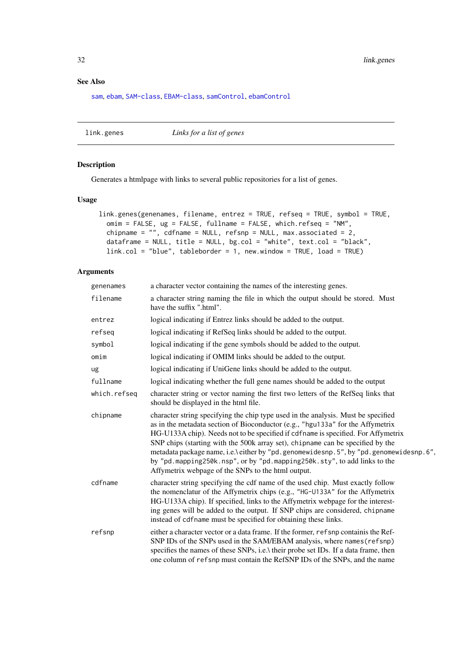<span id="page-31-0"></span>32 link.genes

### See Also

[sam](#page-43-1), [ebam](#page-12-1), [SAM-class](#page-47-1), [EBAM-class](#page-15-1), [samControl](#page-51-1), [ebamControl](#page-17-1)

<span id="page-31-1"></span>link.genes *Links for a list of genes*

### Description

Generates a htmlpage with links to several public repositories for a list of genes.

### Usage

```
link.genes(genenames, filename, entrez = TRUE, refseq = TRUE, symbol = TRUE,
 omim = FALSE, ug = FALSE, fullname = FALSE, which.refseq = "NM",
 chipname = ", cdfname = NULL, refsnp = NULL, max.associated = 2,
 dataframe = NULL, title = NULL, bg.col = "white", text.col = "black",
 link.col = "blue", tableborder = 1, new.window = TRUE, load = TRUE)
```

| genenames    | a character vector containing the names of the interesting genes.                                                                                                                                                                                                                                                                                                                                                                                                                                                                                                         |
|--------------|---------------------------------------------------------------------------------------------------------------------------------------------------------------------------------------------------------------------------------------------------------------------------------------------------------------------------------------------------------------------------------------------------------------------------------------------------------------------------------------------------------------------------------------------------------------------------|
| filename     | a character string naming the file in which the output should be stored. Must<br>have the suffix ".html".                                                                                                                                                                                                                                                                                                                                                                                                                                                                 |
| entrez       | logical indicating if Entrez links should be added to the output.                                                                                                                                                                                                                                                                                                                                                                                                                                                                                                         |
| refseq       | logical indicating if RefSeq links should be added to the output.                                                                                                                                                                                                                                                                                                                                                                                                                                                                                                         |
| symbol       | logical indicating if the gene symbols should be added to the output.                                                                                                                                                                                                                                                                                                                                                                                                                                                                                                     |
| omim         | logical indicating if OMIM links should be added to the output.                                                                                                                                                                                                                                                                                                                                                                                                                                                                                                           |
| ug           | logical indicating if UniGene links should be added to the output.                                                                                                                                                                                                                                                                                                                                                                                                                                                                                                        |
| fullname     | logical indicating whether the full gene names should be added to the output                                                                                                                                                                                                                                                                                                                                                                                                                                                                                              |
| which.refseq | character string or vector naming the first two letters of the RefSeq links that<br>should be displayed in the html file.                                                                                                                                                                                                                                                                                                                                                                                                                                                 |
| chipname     | character string specifying the chip type used in the analysis. Must be specified<br>as in the metadata section of Bioconductor (e.g., "hgu133a" for the Affymetrix<br>HG-U133A chip). Needs not to be specified if cdfname is specified. For Affymetrix<br>SNP chips (starting with the 500k array set), chipname can be specified by the<br>metadata package name, i.e.\ either by "pd. genomewidesnp. 5", by "pd. genomewidesnp. 6",<br>by "pd.mapping250k.nsp", or by "pd.mapping250k.sty", to add links to the<br>Affymetrix webpage of the SNPs to the html output. |
| cdfname      | character string specifying the cdf name of the used chip. Must exactly follow<br>the nomenclatur of the Affymetrix chips (e.g., "HG-U133A" for the Affymetrix<br>HG-U133A chip). If specified, links to the Affymetrix webpage for the interest-<br>ing genes will be added to the output. If SNP chips are considered, chipname<br>instead of cdfname must be specified for obtaining these links.                                                                                                                                                                      |
| refsnp       | either a character vector or a data frame. If the former, refsnp containis the Ref-<br>SNP IDs of the SNPs used in the SAM/EBAM analysis, where names (refsnp)<br>specifies the names of these SNPs, i.e.\ their probe set IDs. If a data frame, then<br>one column of refsnp must contain the RefSNP IDs of the SNPs, and the name                                                                                                                                                                                                                                       |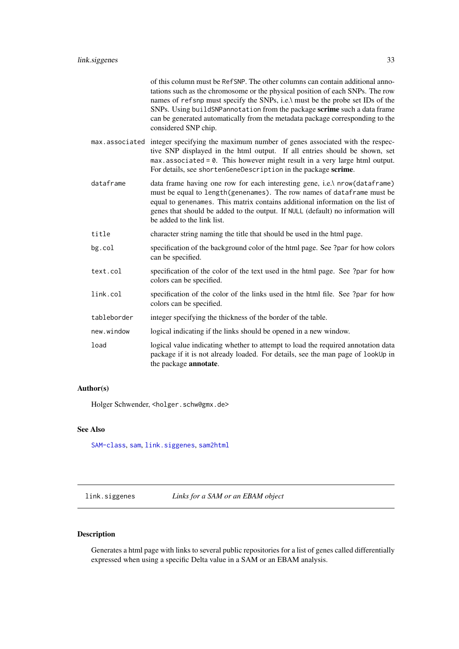<span id="page-32-0"></span>

|             | of this column must be RefSNP. The other columns can contain additional anno-<br>tations such as the chromosome or the physical position of each SNPs. The row<br>names of refsnp must specify the SNPs, i.e.\ must be the probe set IDs of the<br>SNPs. Using buildSNPannotation from the package scrime such a data frame<br>can be generated automatically from the metadata package corresponding to the<br>considered SNP chip. |
|-------------|--------------------------------------------------------------------------------------------------------------------------------------------------------------------------------------------------------------------------------------------------------------------------------------------------------------------------------------------------------------------------------------------------------------------------------------|
|             | max associated integer specifying the maximum number of genes associated with the respec-<br>tive SNP displayed in the html output. If all entries should be shown, set<br>$max. associated = 0$ . This however might result in a very large html output.<br>For details, see shortenGeneDescription in the package scrime.                                                                                                          |
| dataframe   | data frame having one row for each interesting gene, i.e.\ nrow(dataframe)<br>must be equal to length(genenames). The row names of dataframe must be<br>equal to genenames. This matrix contains additional information on the list of<br>genes that should be added to the output. If NULL (default) no information will<br>be added to the link list.                                                                              |
| title       | character string naming the title that should be used in the html page.                                                                                                                                                                                                                                                                                                                                                              |
| bg.col      | specification of the background color of the html page. See ?par for how colors<br>can be specified.                                                                                                                                                                                                                                                                                                                                 |
| text.col    | specification of the color of the text used in the html page. See ?par for how<br>colors can be specified.                                                                                                                                                                                                                                                                                                                           |
| link.col    | specification of the color of the links used in the html file. See ?par for how<br>colors can be specified.                                                                                                                                                                                                                                                                                                                          |
| tableborder | integer specifying the thickness of the border of the table.                                                                                                                                                                                                                                                                                                                                                                         |
| new.window  | logical indicating if the links should be opened in a new window.                                                                                                                                                                                                                                                                                                                                                                    |
| load        | logical value indicating whether to attempt to load the required annotation data<br>package if it is not already loaded. For details, see the man page of lookUp in<br>the package <b>annotate</b> .                                                                                                                                                                                                                                 |

### Author(s)

Holger Schwender, <holger.schw@gmx.de>

### See Also

[SAM-class](#page-47-1), [sam](#page-43-1), [link.siggenes](#page-32-1), [sam2html](#page-53-1)

<span id="page-32-1"></span>link.siggenes *Links for a SAM or an EBAM object*

### Description

Generates a html page with links to several public repositories for a list of genes called differentially expressed when using a specific Delta value in a SAM or an EBAM analysis.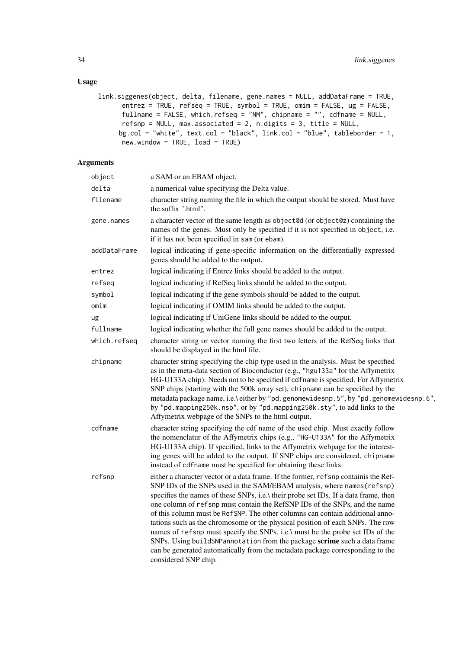### Usage

```
link.siggenes(object, delta, filename, gene.names = NULL, addDataFrame = TRUE,
      entrez = TRUE, refseq = TRUE, symbol = TRUE, omim = FALSE, ug = FALSE,
      fullname = FALSE, which.refseq = "NM", chipname = "", cdfname = NULL,
      refsnp = NULL, max.associated = 2, n.digits = 3, title = NULL,
     bg.col = "white", text.col = "black", link.col = "blue", tableborder = 1,
      new.window = TRUE, load = TRUE)
```

| object       | a SAM or an EBAM object.                                                                                                                                                                                                                                                                                                                                                                                                                                                                                                                                                                                                                                                                                                                                                    |
|--------------|-----------------------------------------------------------------------------------------------------------------------------------------------------------------------------------------------------------------------------------------------------------------------------------------------------------------------------------------------------------------------------------------------------------------------------------------------------------------------------------------------------------------------------------------------------------------------------------------------------------------------------------------------------------------------------------------------------------------------------------------------------------------------------|
| delta        | a numerical value specifying the Delta value.                                                                                                                                                                                                                                                                                                                                                                                                                                                                                                                                                                                                                                                                                                                               |
| filename     | character string naming the file in which the output should be stored. Must have<br>the suffix ".html".                                                                                                                                                                                                                                                                                                                                                                                                                                                                                                                                                                                                                                                                     |
| gene.names   | a character vector of the same length as object@d (or object@z) containing the<br>names of the genes. Must only be specified if it is not specified in object, i.e.<br>if it has not been specified in sam (or ebam).                                                                                                                                                                                                                                                                                                                                                                                                                                                                                                                                                       |
| addDataFrame | logical indicating if gene-specific information on the differentially expressed<br>genes should be added to the output.                                                                                                                                                                                                                                                                                                                                                                                                                                                                                                                                                                                                                                                     |
| entrez       | logical indicating if Entrez links should be added to the output.                                                                                                                                                                                                                                                                                                                                                                                                                                                                                                                                                                                                                                                                                                           |
| refseg       | logical indicating if RefSeq links should be added to the output.                                                                                                                                                                                                                                                                                                                                                                                                                                                                                                                                                                                                                                                                                                           |
| symbol       | logical indicating if the gene symbols should be added to the output.                                                                                                                                                                                                                                                                                                                                                                                                                                                                                                                                                                                                                                                                                                       |
| omim         | logical indicating if OMIM links should be added to the output.                                                                                                                                                                                                                                                                                                                                                                                                                                                                                                                                                                                                                                                                                                             |
| ug           | logical indicating if UniGene links should be added to the output.                                                                                                                                                                                                                                                                                                                                                                                                                                                                                                                                                                                                                                                                                                          |
| fullname     | logical indicating whether the full gene names should be added to the output.                                                                                                                                                                                                                                                                                                                                                                                                                                                                                                                                                                                                                                                                                               |
| which.refseq | character string or vector naming the first two letters of the RefSeq links that<br>should be displayed in the html file.                                                                                                                                                                                                                                                                                                                                                                                                                                                                                                                                                                                                                                                   |
| chipname     | character string specifying the chip type used in the analysis. Must be specified<br>as in the meta-data section of Bioconductor (e.g., "hgu133a" for the Affymetrix<br>HG-U133A chip). Needs not to be specified if cdfname is specified. For Affymetrix<br>SNP chips (starting with the 500k array set), chipname can be specified by the<br>metadata package name, i.e.\ either by "pd.genomewidesnp.5", by "pd.genomewidesnp.6",<br>by "pd.mapping250k.nsp", or by "pd.mapping250k.sty", to add links to the<br>Affymetrix webpage of the SNPs to the html output.                                                                                                                                                                                                      |
| cdfname      | character string specifying the cdf name of the used chip. Must exactly follow<br>the nomenclatur of the Affymetrix chips (e.g., "HG-U133A" for the Affymetrix<br>HG-U133A chip). If specified, links to the Affymetrix webpage for the interest-<br>ing genes will be added to the output. If SNP chips are considered, chipname<br>instead of cdfname must be specified for obtaining these links.                                                                                                                                                                                                                                                                                                                                                                        |
| refsnp       | either a character vector or a data frame. If the former, refsnp containis the Ref-<br>SNP IDs of the SNPs used in the SAM/EBAM analysis, where names (refsnp)<br>specifies the names of these SNPs, i.e.\ their probe set IDs. If a data frame, then<br>one column of refsnp must contain the RefSNP IDs of the SNPs, and the name<br>of this column must be RefSNP. The other columns can contain additional anno-<br>tations such as the chromosome or the physical position of each SNPs. The row<br>names of refsnp must specify the SNPs, i.e.\ must be the probe set IDs of the<br>SNPs. Using buildSNPannotation from the package scrime such a data frame<br>can be generated automatically from the metadata package corresponding to the<br>considered SNP chip. |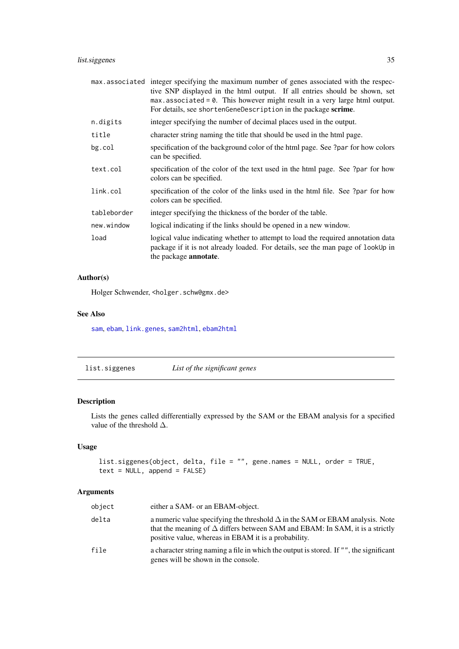### <span id="page-34-0"></span>list.siggenes 35

|             | max associated integer specifying the maximum number of genes associated with the respec-<br>tive SNP displayed in the html output. If all entries should be shown, set<br>$max. associated = 0$ . This however might result in a very large html output.<br>For details, see shortenGeneDescription in the package scrime. |
|-------------|-----------------------------------------------------------------------------------------------------------------------------------------------------------------------------------------------------------------------------------------------------------------------------------------------------------------------------|
| n.digits    | integer specifying the number of decimal places used in the output.                                                                                                                                                                                                                                                         |
| title       | character string naming the title that should be used in the html page.                                                                                                                                                                                                                                                     |
| bg.col      | specification of the background color of the html page. See ?par for how colors<br>can be specified.                                                                                                                                                                                                                        |
| text.col    | specification of the color of the text used in the html page. See ?par for how<br>colors can be specified.                                                                                                                                                                                                                  |
| link.col    | specification of the color of the links used in the html file. See ?par for how<br>colors can be specified.                                                                                                                                                                                                                 |
| tableborder | integer specifying the thickness of the border of the table.                                                                                                                                                                                                                                                                |
| new.window  | logical indicating if the links should be opened in a new window.                                                                                                                                                                                                                                                           |
| load        | logical value indicating whether to attempt to load the required annotation data<br>package if it is not already loaded. For details, see the man page of lookUp in<br>the package <b>annotate</b> .                                                                                                                        |

### Author(s)

Holger Schwender, <holger.schw@gmx.de>

### See Also

[sam](#page-43-1), [ebam](#page-12-1), [link.genes](#page-31-1), [sam2html](#page-53-1), [ebam2html](#page-53-1)

list.siggenes *List of the significant genes*

### Description

Lists the genes called differentially expressed by the SAM or the EBAM analysis for a specified value of the threshold  $\Delta$ .

### Usage

```
list.siggenes(object, delta, file = "", gene.names = NULL, order = TRUE,
text = NULL, append = FALSE)
```

| object | either a SAM- or an EBAM-object.                                                                                                                                                                                                   |
|--------|------------------------------------------------------------------------------------------------------------------------------------------------------------------------------------------------------------------------------------|
| delta  | a numeric value specifying the threshold $\Delta$ in the SAM or EBAM analysis. Note<br>that the meaning of $\Delta$ differs between SAM and EBAM: In SAM, it is a strictly<br>positive value, whereas in EBAM it is a probability. |
| file   | a character string naming a file in which the output is stored. If "", the significant<br>genes will be shown in the console.                                                                                                      |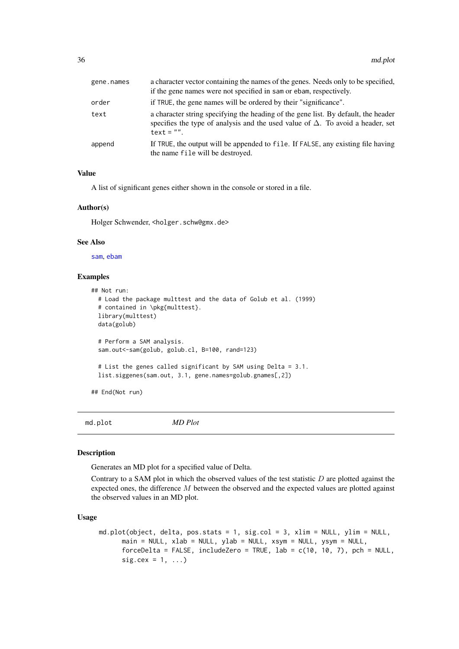<span id="page-35-0"></span>

| gene.names | a character vector containing the names of the genes. Needs only to be specified,<br>if the gene names were not specified in sam or ebam, respectively.                                      |
|------------|----------------------------------------------------------------------------------------------------------------------------------------------------------------------------------------------|
| order      | if TRUE, the gene names will be ordered by their "significance".                                                                                                                             |
| text       | a character string specifying the heading of the gene list. By default, the header<br>specifies the type of analysis and the used value of $\Delta$ . To avoid a header, set<br>$text = "".$ |
| append     | If TRUE, the output will be appended to file. If FALSE, any existing file having<br>the name file will be destroyed.                                                                         |

#### Value

A list of significant genes either shown in the console or stored in a file.

#### Author(s)

Holger Schwender, <holger.schw@gmx.de>

#### See Also

[sam](#page-43-1), [ebam](#page-12-1)

#### Examples

```
## Not run:
  # Load the package multtest and the data of Golub et al. (1999)
  # contained in \pkg{multtest}.
  library(multtest)
  data(golub)
  # Perform a SAM analysis.
  sam.out<-sam(golub, golub.cl, B=100, rand=123)
  # List the genes called significant by SAM using Delta = 3.1.
  list.siggenes(sam.out, 3.1, gene.names=golub.gnames[,2])
## End(Not run)
```
<span id="page-35-1"></span>md.plot *MD Plot*

#### Description

Generates an MD plot for a specified value of Delta.

Contrary to a SAM plot in which the observed values of the test statistic  $D$  are plotted against the expected ones, the difference M between the observed and the expected values are plotted against the observed values in an MD plot.

### Usage

```
md.plot(object, delta, pos.stats = 1, sig.col = 3, xlim = NULL, ylim = NULL,
      main = NULL, xlab = NULL, ylab = NULL, xsym = NULL, ysym = NULL,
      forceDelta = FALSE, includeZero = TRUE, lab = c(10, 10, 7), pch = NULL,
      sig. cex = 1, ...
```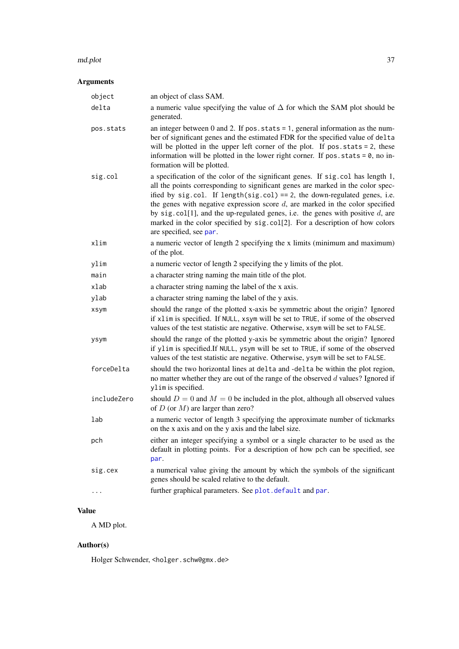#### <span id="page-36-0"></span>md.plot 37

## Arguments

| object      | an object of class SAM.                                                                                                                                                                                                                                                                                                                                                                                                                                                                                                               |
|-------------|---------------------------------------------------------------------------------------------------------------------------------------------------------------------------------------------------------------------------------------------------------------------------------------------------------------------------------------------------------------------------------------------------------------------------------------------------------------------------------------------------------------------------------------|
| delta       | a numeric value specifying the value of $\Delta$ for which the SAM plot should be<br>generated.                                                                                                                                                                                                                                                                                                                                                                                                                                       |
| pos.stats   | an integer between 0 and 2. If $pos. stats = 1$ , general information as the num-<br>ber of significant genes and the estimated FDR for the specified value of delta<br>will be plotted in the upper left corner of the plot. If $pos. stats = 2$ , these<br>information will be plotted in the lower right corner. If pos.stats = 0, no in-<br>formation will be plotted.                                                                                                                                                            |
| sig.col     | a specification of the color of the significant genes. If sig. col has length 1,<br>all the points corresponding to significant genes are marked in the color spec-<br>ified by sig.col. If length(sig.col) == 2, the down-regulated genes, i.e.<br>the genes with negative expression score $d$ , are marked in the color specified<br>by sig. col[1], and the up-regulated genes, i.e. the genes with positive $d$ , are<br>marked in the color specified by sig.col[2]. For a description of how colors<br>are specified, see par. |
| xlim        | a numeric vector of length 2 specifying the x limits (minimum and maximum)<br>of the plot.                                                                                                                                                                                                                                                                                                                                                                                                                                            |
| ylim        | a numeric vector of length 2 specifying the y limits of the plot.                                                                                                                                                                                                                                                                                                                                                                                                                                                                     |
| main        | a character string naming the main title of the plot.                                                                                                                                                                                                                                                                                                                                                                                                                                                                                 |
| xlab        | a character string naming the label of the x axis.                                                                                                                                                                                                                                                                                                                                                                                                                                                                                    |
| ylab        | a character string naming the label of the y axis.                                                                                                                                                                                                                                                                                                                                                                                                                                                                                    |
| xsym        | should the range of the plotted x-axis be symmetric about the origin? Ignored<br>if xlim is specified. If NULL, xsym will be set to TRUE, if some of the observed<br>values of the test statistic are negative. Otherwise, xsym will be set to FALSE.                                                                                                                                                                                                                                                                                 |
| ysym        | should the range of the plotted y-axis be symmetric about the origin? Ignored<br>if ylim is specified. If NULL, ysym will be set to TRUE, if some of the observed<br>values of the test statistic are negative. Otherwise, ysym will be set to FALSE.                                                                                                                                                                                                                                                                                 |
| forceDelta  | should the two horizontal lines at delta and -delta be within the plot region,<br>no matter whether they are out of the range of the observed $d$ values? Ignored if<br>ylim is specified.                                                                                                                                                                                                                                                                                                                                            |
| includeZero | should $D = 0$ and $M = 0$ be included in the plot, although all observed values<br>of $D$ (or $M$ ) are larger than zero?                                                                                                                                                                                                                                                                                                                                                                                                            |
| lab         | a numeric vector of length 3 specifying the approximate number of tickmarks<br>on the x axis and on the y axis and the label size.                                                                                                                                                                                                                                                                                                                                                                                                    |
| pch         | either an integer specifying a symbol or a single character to be used as the<br>default in plotting points. For a description of how pch can be specified, see<br>par.                                                                                                                                                                                                                                                                                                                                                               |
| sig.cex     | a numerical value giving the amount by which the symbols of the significant<br>genes should be scaled relative to the default.                                                                                                                                                                                                                                                                                                                                                                                                        |
|             | further graphical parameters. See plot.default and par.                                                                                                                                                                                                                                                                                                                                                                                                                                                                               |

### Value

A MD plot.

### Author(s)

Holger Schwender, <holger.schw@gmx.de>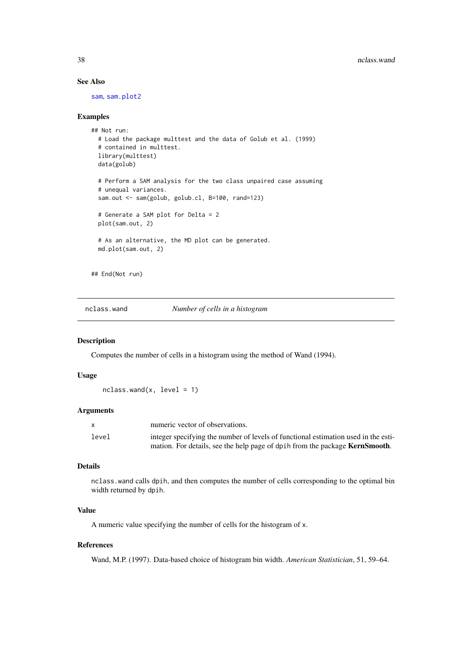### See Also

[sam](#page-43-1), [sam.plot2](#page-49-1)

#### Examples

```
## Not run:
  # Load the package multtest and the data of Golub et al. (1999)
  # contained in multtest.
  library(multtest)
  data(golub)
  # Perform a SAM analysis for the two class unpaired case assuming
  # unequal variances.
  sam.out <- sam(golub, golub.cl, B=100, rand=123)
  # Generate a SAM plot for Delta = 2
  plot(sam.out, 2)
  # As an alternative, the MD plot can be generated.
  md.plot(sam.out, 2)
## End(Not run)
```
nclass.wand *Number of cells in a histogram*

### Description

Computes the number of cells in a histogram using the method of Wand (1994).

#### Usage

 $nclass.wand(x, level = 1)$ 

#### Arguments

| $\mathsf{X}$ | numeric vector of observations.                                                     |
|--------------|-------------------------------------------------------------------------------------|
| level        | integer specifying the number of levels of functional estimation used in the esti-  |
|              | mation. For details, see the help page of dpih from the package <b>KernSmooth</b> . |

### Details

nclass.wand calls dpih, and then computes the number of cells corresponding to the optimal bin width returned by dpih.

#### Value

A numeric value specifying the number of cells for the histogram of x.

#### References

Wand, M.P. (1997). Data-based choice of histogram bin width. *American Statistician*, 51, 59–64.

<span id="page-37-0"></span>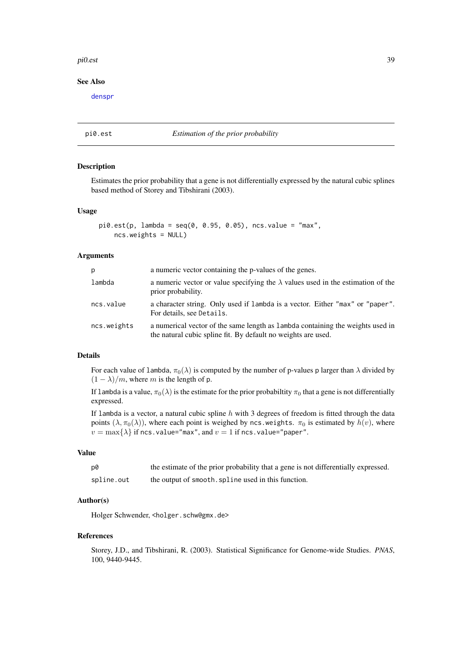#### <span id="page-38-0"></span>pi0.est 39

#### See Also

[denspr](#page-10-1)

### <span id="page-38-1"></span>pi0.est *Estimation of the prior probability*

### Description

Estimates the prior probability that a gene is not differentially expressed by the natural cubic splines based method of Storey and Tibshirani (2003).

#### Usage

```
pi0.est(p, lambda = seq(0, 0.95, 0.05), ncs.value = "max",ncs.weights = NULL)
```
#### Arguments

| p           | a numeric vector containing the p-values of the genes.                                                                                          |
|-------------|-------------------------------------------------------------------------------------------------------------------------------------------------|
| lambda      | a numeric vector or value specifying the $\lambda$ values used in the estimation of the<br>prior probability.                                   |
| ncs.value   | a character string. Only used if lambda is a vector. Either "max" or "paper".<br>For details, see Details.                                      |
| ncs.weights | a numerical vector of the same length as lambda containing the weights used in<br>the natural cubic spline fit. By default no weights are used. |

### Details

For each value of lambda,  $\pi_0(\lambda)$  is computed by the number of p-values p larger than  $\lambda$  divided by  $(1 - \lambda)/m$ , where m is the length of p.

If lambda is a value,  $\pi_0(\lambda)$  is the estimate for the prior probabiltity  $\pi_0$  that a gene is not differentially expressed.

If lambda is a vector, a natural cubic spline  $h$  with 3 degrees of freedom is fitted through the data points  $(\lambda, \pi_0(\lambda))$ , where each point is weighed by ncs.weights.  $\pi_0$  is estimated by  $h(v)$ , where  $v = \max\{\lambda\}$  if ncs.value="max", and  $v = 1$  if ncs.value="paper".

### Value

| p0         | the estimate of the prior probability that a gene is not differentially expressed. |
|------------|------------------------------------------------------------------------------------|
| spline.out | the output of smooth, spline used in this function.                                |

#### Author(s)

Holger Schwender, <holger.schw@gmx.de>

#### References

Storey, J.D., and Tibshirani, R. (2003). Statistical Significance for Genome-wide Studies. *PNAS*, 100, 9440-9445.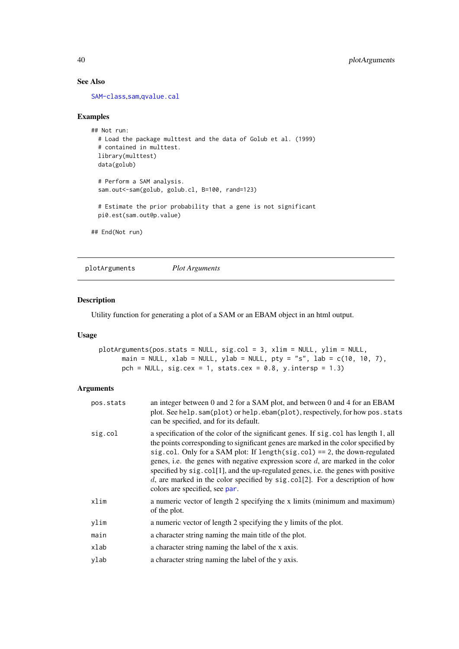### See Also

[SAM-class](#page-47-1),[sam](#page-43-1),[qvalue.cal](#page-41-1)

### Examples

```
## Not run:
 # Load the package multtest and the data of Golub et al. (1999)
  # contained in multtest.
  library(multtest)
 data(golub)
  # Perform a SAM analysis.
  sam.out<-sam(golub, golub.cl, B=100, rand=123)
  # Estimate the prior probability that a gene is not significant
 pi0.est(sam.out@p.value)
## End(Not run)
```
<span id="page-39-1"></span>plotArguments *Plot Arguments*

### Description

Utility function for generating a plot of a SAM or an EBAM object in an html output.

### Usage

```
plotArguments(pos.stats = NULL, sig.col = 3, xlim = NULL, ylim = NULL,
      main = NULL, xlab = NULL, ylab = NULL, pty = "s", lab = c(10, 10, 7),
      pch = NULL, sig.cex = 1, stats.cex = 0.8, y.intersp = 1.3)
```

| pos.stats | an integer between 0 and 2 for a SAM plot, and between 0 and 4 for an EBAM<br>plot. See help.sam(plot) or help.ebam(plot), respectively, for how pos.stats<br>can be specified, and for its default.                                                                                                                                                                                                                                                                                                                                                             |
|-----------|------------------------------------------------------------------------------------------------------------------------------------------------------------------------------------------------------------------------------------------------------------------------------------------------------------------------------------------------------------------------------------------------------------------------------------------------------------------------------------------------------------------------------------------------------------------|
| sig.col   | a specification of the color of the significant genes. If sig. col has length 1, all<br>the points corresponding to significant genes are marked in the color specified by<br>sig.col. Only for a SAM plot: If length(sig.col) == 2, the down-regulated<br>genes, i.e. the genes with negative expression score $d$ , are marked in the color<br>specified by sig. col[1], and the up-regulated genes, i.e. the genes with positive<br>d, are marked in the color specified by sig. $\text{col}[2]$ . For a description of how<br>colors are specified, see par. |
| xlim      | a numeric vector of length 2 specifying the x limits (minimum and maximum)<br>of the plot.                                                                                                                                                                                                                                                                                                                                                                                                                                                                       |
| ylim      | a numeric vector of length 2 specifying the y limits of the plot.                                                                                                                                                                                                                                                                                                                                                                                                                                                                                                |
| main      | a character string naming the main title of the plot.                                                                                                                                                                                                                                                                                                                                                                                                                                                                                                            |
| xlab      | a character string naming the label of the x axis.                                                                                                                                                                                                                                                                                                                                                                                                                                                                                                               |
| ylab      | a character string naming the label of the y axis.                                                                                                                                                                                                                                                                                                                                                                                                                                                                                                               |

<span id="page-39-0"></span>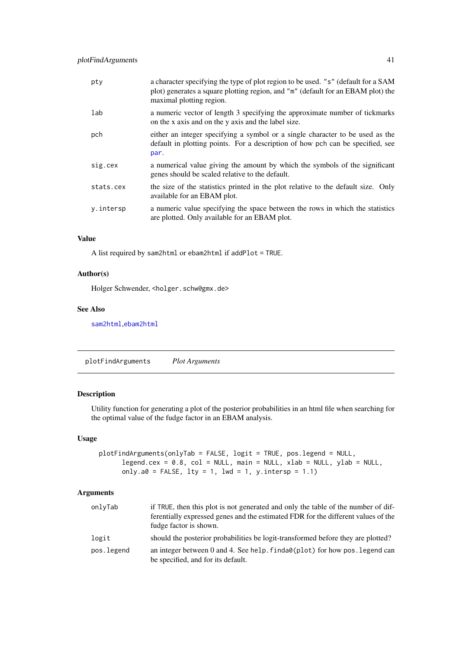<span id="page-40-0"></span>

| pty       | a character specifying the type of plot region to be used. "s" (default for a SAM<br>plot) generates a square plotting region, and "m" (default for an EBAM plot) the<br>maximal plotting region. |
|-----------|---------------------------------------------------------------------------------------------------------------------------------------------------------------------------------------------------|
| lab       | a numeric vector of length 3 specifying the approximate number of tickmarks<br>on the x axis and on the y axis and the label size.                                                                |
| pch       | either an integer specifying a symbol or a single character to be used as the<br>default in plotting points. For a description of how pch can be specified, see<br>par.                           |
| sig.cex   | a numerical value giving the amount by which the symbols of the significant<br>genes should be scaled relative to the default.                                                                    |
| stats.cex | the size of the statistics printed in the plot relative to the default size. Only<br>available for an EBAM plot.                                                                                  |
| y.intersp | a numeric value specifying the space between the rows in which the statistics<br>are plotted. Only available for an EBAM plot.                                                                    |

#### Value

A list required by sam2html or ebam2html if addPlot = TRUE.

### Author(s)

Holger Schwender, <holger.schw@gmx.de>

### See Also

[sam2html](#page-53-1),[ebam2html](#page-53-1)

<span id="page-40-1"></span>plotFindArguments *Plot Arguments*

### Description

Utility function for generating a plot of the posterior probabilities in an html file when searching for the optimal value of the fudge factor in an EBAM analysis.

### Usage

```
plotFindArguments(onlyTab = FALSE, logit = TRUE, pos.legend = NULL,
      legend.cex = 0.8, col = NULL, main = NULL, xlab = NULL, ylab = NULL,
      only.a0 = FALSE, lty = 1, lwd = 1, y.intersp = 1.1)
```

| onlyTab    | if TRUE, then this plot is not generated and only the table of the number of dif-<br>ferentially expressed genes and the estimated FDR for the different values of the |
|------------|------------------------------------------------------------------------------------------------------------------------------------------------------------------------|
| logit      | fudge factor is shown.<br>should the posterior probabilities be logit-transformed before they are plotted?                                                             |
| pos.legend | an integer between 0 and 4. See help. $finda0(plot)$ for how pos. legend can<br>be specified, and for its default.                                                     |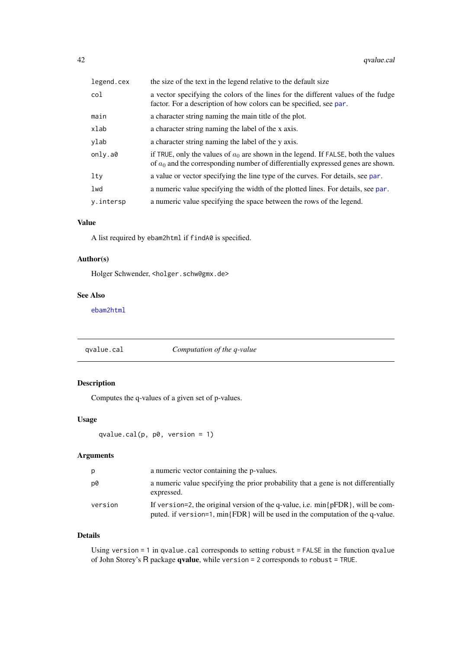<span id="page-41-0"></span>

| legend.cex | the size of the text in the legend relative to the default size                                                                                                            |
|------------|----------------------------------------------------------------------------------------------------------------------------------------------------------------------------|
| col        | a vector specifying the colors of the lines for the different values of the fudge<br>factor. For a description of how colors can be specified, see par.                    |
| main       | a character string naming the main title of the plot.                                                                                                                      |
| xlab       | a character string naming the label of the x axis.                                                                                                                         |
| ylab       | a character string naming the label of the y axis.                                                                                                                         |
| only.a0    | if TRUE, only the values of $a_0$ are shown in the legend. If FALSE, both the values<br>of $a_0$ and the corresponding number of differentially expressed genes are shown. |
| $1$ ty     | a value or vector specifying the line type of the curves. For details, see par.                                                                                            |
| lwd        | a numeric value specifying the width of the plotted lines. For details, see par.                                                                                           |
| y.intersp  | a numeric value specifying the space between the rows of the legend.                                                                                                       |

#### Value

A list required by ebam2html if findA0 is specified.

### Author(s)

Holger Schwender, <holger.schw@gmx.de>

### See Also

[ebam2html](#page-53-1)

<span id="page-41-1"></span>qvalue.cal *Computation of the q-value*

### Description

Computes the q-values of a given set of p-values.

### Usage

```
qvalue.cal(p, p\theta, version = 1)
```
### Arguments

| p       | a numeric vector containing the p-values.                                                                                                                             |
|---------|-----------------------------------------------------------------------------------------------------------------------------------------------------------------------|
| p0      | a numeric value specifying the prior probability that a gene is not differentially<br>expressed.                                                                      |
| version | If version=2, the original version of the q-value, i.e. $min\{pFDR\}$ , will be com-<br>puted. if version=1, min{FDR} will be used in the computation of the q-value. |

### Details

Using version = 1 in qvalue.cal corresponds to setting robust = FALSE in the function qvalue of John Storey's R package qvalue, while version = 2 corresponds to robust = TRUE.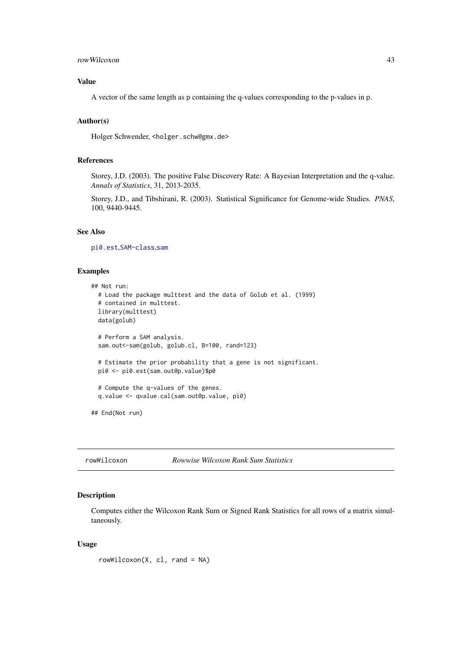#### <span id="page-42-0"></span>rowWilcoxon 43

### Value

A vector of the same length as p containing the q-values corresponding to the p-values in p.

#### Author(s)

Holger Schwender, <holger.schw@gmx.de>

### References

Storey, J.D. (2003). The positive False Discovery Rate: A Bayesian Interpretation and the q-value. *Annals of Statistics*, 31, 2013-2035.

Storey, J.D., and Tibshirani, R. (2003). Statistical Significance for Genome-wide Studies. *PNAS*, 100, 9440-9445.

### See Also

[pi0.est](#page-38-1),[SAM-class](#page-47-1),[sam](#page-43-1)

#### Examples

```
## Not run:
  # Load the package multtest and the data of Golub et al. (1999)
  # contained in multtest.
  library(multtest)
  data(golub)
  # Perform a SAM analysis.
  sam.out<-sam(golub, golub.cl, B=100, rand=123)
  # Estimate the prior probability that a gene is not significant.
  pi0 <- pi0.est(sam.out@p.value)$p0
  # Compute the q-values of the genes.
  q.value <- qvalue.cal(sam.out@p.value, pi0)
## End(Not run)
```
<span id="page-42-1"></span>

rowWilcoxon *Rowwise Wilcoxon Rank Sum Statistics*

### Description

Computes either the Wilcoxon Rank Sum or Signed Rank Statistics for all rows of a matrix simultaneously.

### Usage

```
rowWilcoxon(X, cl, rand = NA)
```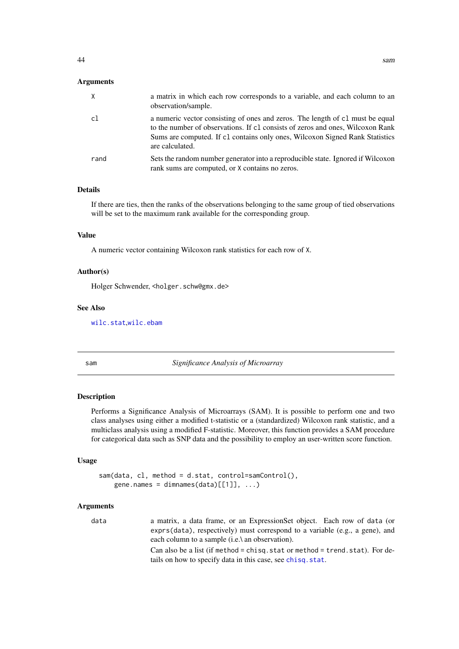#### <span id="page-43-0"></span>Arguments

| $\times$ | a matrix in which each row corresponds to a variable, and each column to an<br>observation/sample.                                                                                                                                                                 |
|----------|--------------------------------------------------------------------------------------------------------------------------------------------------------------------------------------------------------------------------------------------------------------------|
| c1       | a numeric vector consisting of ones and zeros. The length of c1 must be equal<br>to the number of observations. If c1 consists of zeros and ones, Wilcoxon Rank<br>Sums are computed. If c1 contains only ones, Wilcoxon Signed Rank Statistics<br>are calculated. |
| rand     | Sets the random number generator into a reproducible state. Ignored if Wilcoxon<br>rank sums are computed, or X contains no zeros.                                                                                                                                 |

### Details

If there are ties, then the ranks of the observations belonging to the same group of tied observations will be set to the maximum rank available for the corresponding group.

#### Value

A numeric vector containing Wilcoxon rank statistics for each row of X.

#### Author(s)

Holger Schwender, <holger.schw@gmx.de>

### See Also

[wilc.stat](#page-63-1),[wilc.ebam](#page-62-1)

<span id="page-43-1"></span>

sam *Significance Analysis of Microarray*

#### Description

Performs a Significance Analysis of Microarrays (SAM). It is possible to perform one and two class analyses using either a modified t-statistic or a (standardized) Wilcoxon rank statistic, and a multiclass analysis using a modified F-statistic. Moreover, this function provides a SAM procedure for categorical data such as SNP data and the possibility to employ an user-written score function.

#### Usage

```
sam(data, cl, method = d.stat, control=samControl(),
   gene.names = dimnames(data)[1]], ...)
```
#### Arguments

data a matrix, a data frame, or an ExpressionSet object. Each row of data (or exprs(data), respectively) must correspond to a variable (e.g., a gene), and each column to a sample (i.e.\ an observation). Can also be a list (if method = chisq.stat or method = trend.stat). For details on how to specify data in this case, see [chisq.stat](#page-4-1).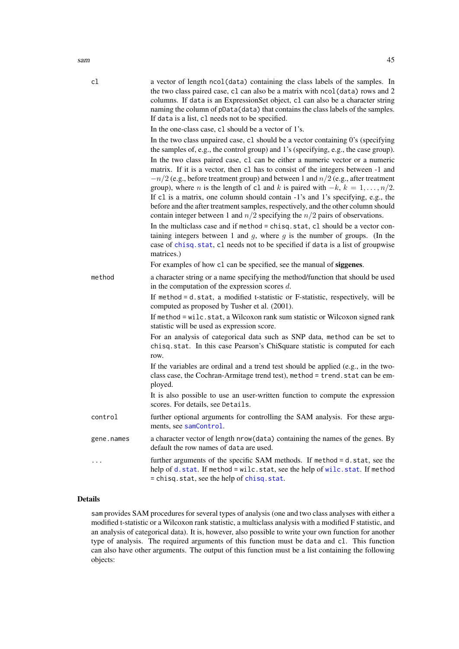<span id="page-44-0"></span>

| cl         | a vector of length ncol(data) containing the class labels of the samples. In<br>the two class paired case, c1 can also be a matrix with nco1(data) rows and 2<br>columns. If data is an ExpressionSet object, c1 can also be a character string<br>naming the column of pData(data) that contains the class labels of the samples.<br>If data is a list, c1 needs not to be specified.                                                                                                                                                                                                                                |
|------------|-----------------------------------------------------------------------------------------------------------------------------------------------------------------------------------------------------------------------------------------------------------------------------------------------------------------------------------------------------------------------------------------------------------------------------------------------------------------------------------------------------------------------------------------------------------------------------------------------------------------------|
|            | In the one-class case, c1 should be a vector of 1's.                                                                                                                                                                                                                                                                                                                                                                                                                                                                                                                                                                  |
|            | In the two class unpaired case, c1 should be a vector containing 0's (specifying<br>the samples of, e.g., the control group) and 1's (specifying, e.g., the case group).                                                                                                                                                                                                                                                                                                                                                                                                                                              |
|            | In the two class paired case, c1 can be either a numeric vector or a numeric<br>matrix. If it is a vector, then c1 has to consist of the integers between -1 and<br>$-n/2$ (e.g., before treatment group) and between 1 and $n/2$ (e.g., after treatment<br>group), where <i>n</i> is the length of c1 and <i>k</i> is paired with $-k$ , $k = 1, , n/2$ .<br>If c1 is a matrix, one column should contain -1's and 1's specifying, e.g., the<br>before and the after treatment samples, respectively, and the other column should<br>contain integer between 1 and $n/2$ specifying the $n/2$ pairs of observations. |
|            | In the multiclass case and if method = chisq.stat, cl should be a vector con-<br>taining integers between 1 and $g$ , where $g$ is the number of groups. (In the<br>case of chisq. stat, cl needs not to be specified if data is a list of groupwise<br>matrices.)                                                                                                                                                                                                                                                                                                                                                    |
|            | For examples of how c1 can be specified, see the manual of siggenes.                                                                                                                                                                                                                                                                                                                                                                                                                                                                                                                                                  |
| method     | a character string or a name specifying the method/function that should be used<br>in the computation of the expression scores $d$ .                                                                                                                                                                                                                                                                                                                                                                                                                                                                                  |
|            | If method = d.stat, a modified t-statistic or F-statistic, respectively, will be<br>computed as proposed by Tusher et al. (2001).                                                                                                                                                                                                                                                                                                                                                                                                                                                                                     |
|            | If method = wilc.stat, a Wilcoxon rank sum statistic or Wilcoxon signed rank<br>statistic will be used as expression score.                                                                                                                                                                                                                                                                                                                                                                                                                                                                                           |
|            | For an analysis of categorical data such as SNP data, method can be set to<br>chisq.stat. In this case Pearson's ChiSquare statistic is computed for each<br>row.                                                                                                                                                                                                                                                                                                                                                                                                                                                     |
|            | If the variables are ordinal and a trend test should be applied (e.g., in the two-<br>class case, the Cochran-Armitage trend test), method = trend. stat can be em-<br>ployed.                                                                                                                                                                                                                                                                                                                                                                                                                                        |
|            | It is also possible to use an user-written function to compute the expression<br>scores. For details, see Details.                                                                                                                                                                                                                                                                                                                                                                                                                                                                                                    |
| control    | further optional arguments for controlling the SAM analysis. For these argu-<br>ments, see samControl.                                                                                                                                                                                                                                                                                                                                                                                                                                                                                                                |
| gene.names | a character vector of length nrow(data) containing the names of the genes. By<br>default the row names of data are used.                                                                                                                                                                                                                                                                                                                                                                                                                                                                                              |
| $\cdots$   | further arguments of the specific SAM methods. If method = d.stat, see the<br>help of d.stat. If method = wilc.stat, see the help of wilc.stat. If method                                                                                                                                                                                                                                                                                                                                                                                                                                                             |

### Details

sam provides SAM procedures for several types of analysis (one and two class analyses with either a modified t-statistic or a Wilcoxon rank statistic, a multiclass analysis with a modified F statistic, and an analysis of categorical data). It is, however, also possible to write your own function for another type of analysis. The required arguments of this function must be data and cl. This function can also have other arguments. The output of this function must be a list containing the following objects:

= chisq.stat, see the help of [chisq.stat](#page-4-1).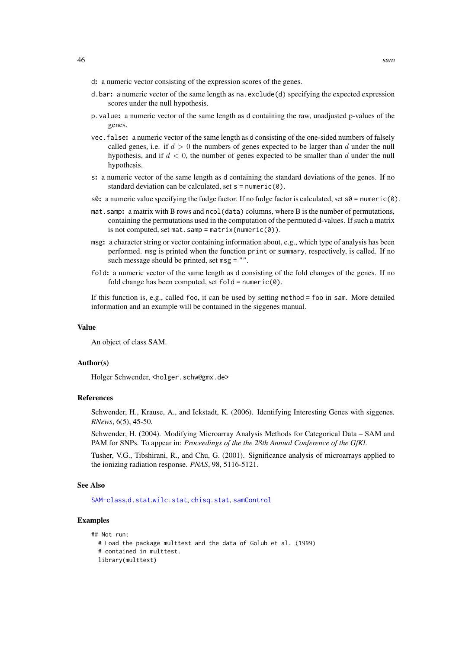- <span id="page-45-0"></span>d: a numeric vector consisting of the expression scores of the genes.
- d.bar: a numeric vector of the same length as na.  $\text{exclude}(d)$  specifying the expected expression scores under the null hypothesis.
- p.value: a numeric vector of the same length as d containing the raw, unadjusted p-values of the genes.
- vec.false: a numeric vector of the same length as d consisting of the one-sided numbers of falsely called genes, i.e. if  $d > 0$  the numbers of genes expected to be larger than d under the null hypothesis, and if  $d < 0$ , the number of genes expected to be smaller than d under the null hypothesis.
- s: a numeric vector of the same length as d containing the standard deviations of the genes. If no standard deviation can be calculated, set  $s =$  numeric(0).
- s $\theta$ : a numeric value specifying the fudge factor. If no fudge factor is calculated, set  $s\theta$  = numeric( $\theta$ ).
- mat.samp: a matrix with B rows and ncol(data) columns, where B is the number of permutations, containing the permutations used in the computation of the permuted d-values. If such a matrix is not computed, set mat.samp = matrix(numeric( $\theta$ )).
- msg: a character string or vector containing information about, e.g., which type of analysis has been performed. msg is printed when the function print or summary, respectively, is called. If no such message should be printed, set msg = "".
- fold: a numeric vector of the same length as d consisting of the fold changes of the genes. If no fold change has been computed, set  $fold = numeric(0)$ .

If this function is, e.g., called foo, it can be used by setting method  $=$  foo in sam. More detailed information and an example will be contained in the siggenes manual.

### Value

An object of class SAM.

#### Author(s)

Holger Schwender, <holger.schw@gmx.de>

#### References

Schwender, H., Krause, A., and Ickstadt, K. (2006). Identifying Interesting Genes with siggenes. *RNews*, 6(5), 45-50.

Schwender, H. (2004). Modifying Microarray Analysis Methods for Categorical Data – SAM and PAM for SNPs. To appear in: *Proceedings of the the 28th Annual Conference of the GfKl*.

Tusher, V.G., Tibshirani, R., and Chu, G. (2001). Significance analysis of microarrays applied to the ionizing radiation response. *PNAS*, 98, 5116-5121.

#### See Also

[SAM-class](#page-47-1),[d.stat](#page-7-1),[wilc.stat](#page-63-1), [chisq.stat](#page-4-1), [samControl](#page-51-1)

#### Examples

```
## Not run:
```
- # Load the package multtest and the data of Golub et al. (1999)
- # contained in multtest.
- library(multtest)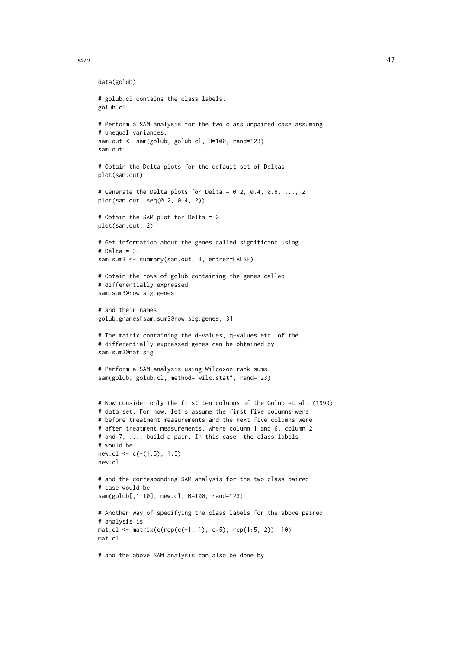```
sam and the state of the state of the state of the state of the state of the state of the state of the state of the state of the state of the state of the state of the state of the state of the state of the state of the st
```

```
data(golub)
# golub.cl contains the class labels.
golub.cl
# Perform a SAM analysis for the two class unpaired case assuming
# unequal variances.
sam.out <- sam(golub, golub.cl, B=100, rand=123)
sam.out
# Obtain the Delta plots for the default set of Deltas
plot(sam.out)
# Generate the Delta plots for Delta = 0.2, 0.4, 0.6, \ldots, 2plot(sam.out, seq(0.2, 0.4, 2))
# Obtain the SAM plot for Delta = 2
plot(sam.out, 2)
# Get information about the genes called significant using
# Delta = 3.
sam.sum3 <- summary(sam.out, 3, entrez=FALSE)
# Obtain the rows of golub containing the genes called
# differentially expressed
sam.sum3@row.sig.genes
# and their names
golub.gnames[sam.sum3@row.sig.genes, 3]
# The matrix containing the d-values, q-values etc. of the
# differentially expressed genes can be obtained by
sam.sum3@mat.sig
# Perform a SAM analysis using Wilcoxon rank sums
sam(golub, golub.cl, method="wilc.stat", rand=123)
# Now consider only the first ten columns of the Golub et al. (1999)
# data set. For now, let's assume the first five columns were
# before treatment measurements and the next five columns were
# after treatment measurements, where column 1 and 6, column 2
# and 7, ..., build a pair. In this case, the class labels
# would be
new.cl <- c(-(1:5), 1:5)new.cl
# and the corresponding SAM analysis for the two-class paired
# case would be
sam(golub[,1:10], new.cl, B=100, rand=123)
# Another way of specifying the class labels for the above paired
# analysis is
mat. cl \leftarrow matrix(c(rep(c(-1, 1), e=5), rep(1:5, 2)), 10)mat.cl
# and the above SAM analysis can also be done by
```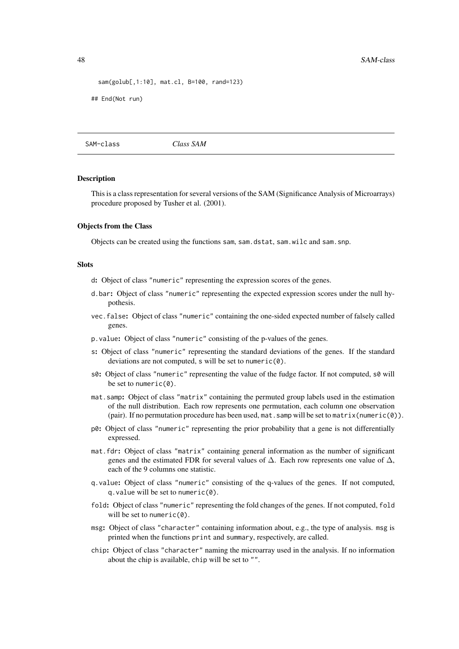```
sam(golub[,1:10], mat.cl, B=100, rand=123)
```
## End(Not run)

<span id="page-47-1"></span>SAM-class *Class SAM*

#### Description

This is a class representation for several versions of the SAM (Significance Analysis of Microarrays) procedure proposed by Tusher et al. (2001).

#### Objects from the Class

Objects can be created using the functions sam, sam.dstat, sam.wilc and sam.snp.

### Slots

- d: Object of class "numeric" representing the expression scores of the genes.
- d.bar: Object of class "numeric" representing the expected expression scores under the null hypothesis.
- vec.false: Object of class "numeric" containing the one-sided expected number of falsely called genes.
- p.value: Object of class "numeric" consisting of the p-values of the genes.
- s: Object of class "numeric" representing the standard deviations of the genes. If the standard deviations are not computed, s will be set to numeric(0).
- s0: Object of class "numeric" representing the value of the fudge factor. If not computed, s0 will be set to numeric $(0)$ .
- mat.samp: Object of class "matrix" containing the permuted group labels used in the estimation of the null distribution. Each row represents one permutation, each column one observation (pair). If no permutation procedure has been used, mat. samp will be set to matrix (numeric( $\emptyset$ )).
- p0: Object of class "numeric" representing the prior probability that a gene is not differentially expressed.
- mat.fdr: Object of class "matrix" containing general information as the number of significant genes and the estimated FDR for several values of  $\Delta$ . Each row represents one value of  $\Delta$ , each of the 9 columns one statistic.
- q.value: Object of class "numeric" consisting of the q-values of the genes. If not computed, q.value will be set to numeric(0).
- fold: Object of class "numeric" representing the fold changes of the genes. If not computed, fold will be set to numeric $(0)$ .
- msg: Object of class "character" containing information about, e.g., the type of analysis. msg is printed when the functions print and summary, respectively, are called.
- chip: Object of class "character" naming the microarray used in the analysis. If no information about the chip is available, chip will be set to "".

<span id="page-47-0"></span>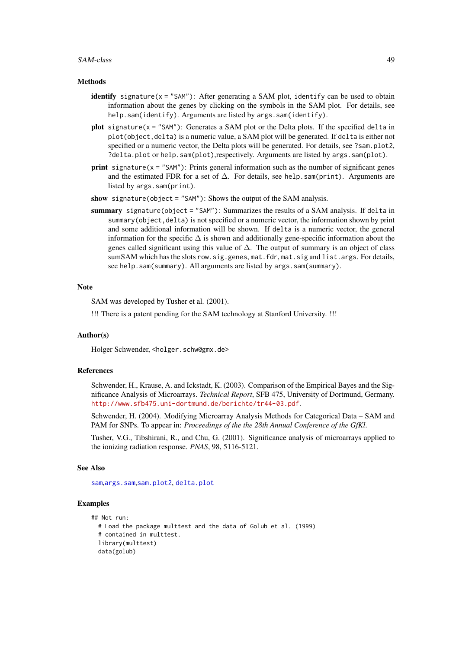#### <span id="page-48-0"></span>SAM-class 49

#### **Methods**

- identify signature( $x =$  "SAM"): After generating a SAM plot, identify can be used to obtain information about the genes by clicking on the symbols in the SAM plot. For details, see help.sam(identify). Arguments are listed by args.sam(identify).
- **plot** signature( $x =$  "SAM"): Generates a SAM plot or the Delta plots. If the specified delta in plot(object,delta) is a numeric value, a SAM plot will be generated. If delta is either not specified or a numeric vector, the Delta plots will be generated. For details, see ?sam.plot2, ?delta.plot or help.sam(plot),respectively. Arguments are listed by args.sam(plot).
- **print** signature( $x =$ "SAM"): Prints general information such as the number of significant genes and the estimated FDR for a set of ∆. For details, see help.sam(print). Arguments are listed by args.sam(print).
- show signature(object = "SAM"): Shows the output of the SAM analysis.
- summary signature(object = "SAM"): Summarizes the results of a SAM analysis. If delta in summary(object, delta) is not specified or a numeric vector, the information shown by print and some additional information will be shown. If delta is a numeric vector, the general information for the specific ∆ is shown and additionally gene-specific information about the genes called significant using this value of ∆. The output of summary is an object of class sumSAM which has the slots row.sig.genes, mat.fdr, mat.sig and list.args. For details, see help.sam(summary). All arguments are listed by args.sam(summary).

#### Note

SAM was developed by Tusher et al. (2001).

!!! There is a patent pending for the SAM technology at Stanford University. !!!

#### Author(s)

Holger Schwender, <holger.schw@gmx.de>

### References

Schwender, H., Krause, A. and Ickstadt, K. (2003). Comparison of the Empirical Bayes and the Significance Analysis of Microarrays. *Technical Report*, SFB 475, University of Dortmund, Germany. <http://www.sfb475.uni-dortmund.de/berichte/tr44-03.pdf>.

Schwender, H. (2004). Modifying Microarray Analysis Methods for Categorical Data – SAM and PAM for SNPs. To appear in: *Proceedings of the the 28th Annual Conference of the GfKl*.

Tusher, V.G., Tibshirani, R., and Chu, G. (2001). Significance analysis of microarrays applied to the ionizing radiation response. *PNAS*, 98, 5116-5121.

#### See Also

[sam](#page-43-1),[args.sam](#page-29-1),[sam.plot2](#page-49-1), [delta.plot](#page-9-1)

### Examples

```
## Not run:
  # Load the package multtest and the data of Golub et al. (1999)
  # contained in multtest.
  library(multtest)
  data(golub)
```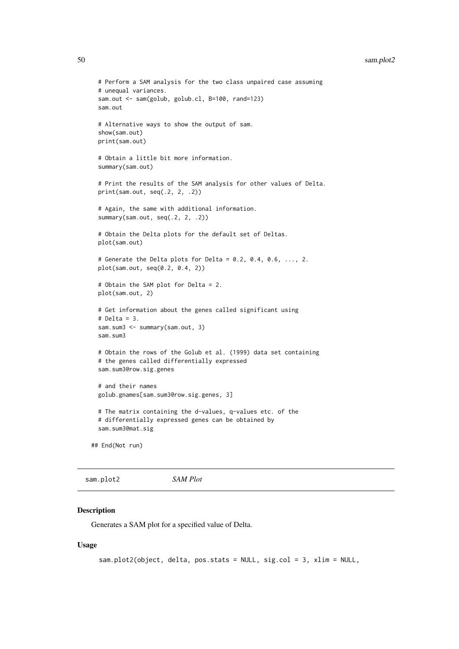```
# Perform a SAM analysis for the two class unpaired case assuming
  # unequal variances.
  sam.out <- sam(golub, golub.cl, B=100, rand=123)
  sam.out
  # Alternative ways to show the output of sam.
  show(sam.out)
  print(sam.out)
  # Obtain a little bit more information.
  summary(sam.out)
  # Print the results of the SAM analysis for other values of Delta.
  print(sam.out, seq(.2, 2, .2))
  # Again, the same with additional information.
  summary(sam.out, seq(.2, 2, .2))
  # Obtain the Delta plots for the default set of Deltas.
  plot(sam.out)
  # Generate the Delta plots for Delta = 0.2, 0.4, 0.6, \ldots, 2.
  plot(sam.out, seq(0.2, 0.4, 2))
  # Obtain the SAM plot for Delta = 2.
  plot(sam.out, 2)
  # Get information about the genes called significant using
  # Delta = 3.
  sam.sum3 <- summary(sam.out, 3)
  sam.sum3
  # Obtain the rows of the Golub et al. (1999) data set containing
  # the genes called differentially expressed
  sam.sum3@row.sig.genes
  # and their names
  golub.gnames[sam.sum3@row.sig.genes, 3]
  # The matrix containing the d-values, q-values etc. of the
  # differentially expressed genes can be obtained by
  sam.sum3@mat.sig
## End(Not run)
```
<span id="page-49-1"></span>sam.plot2 *SAM Plot*

#### Description

Generates a SAM plot for a specified value of Delta.

#### Usage

```
sam.plot2(object, delta, pos.stats = NULL, sig.col = 3, xlim = NULL,
```
<span id="page-49-0"></span>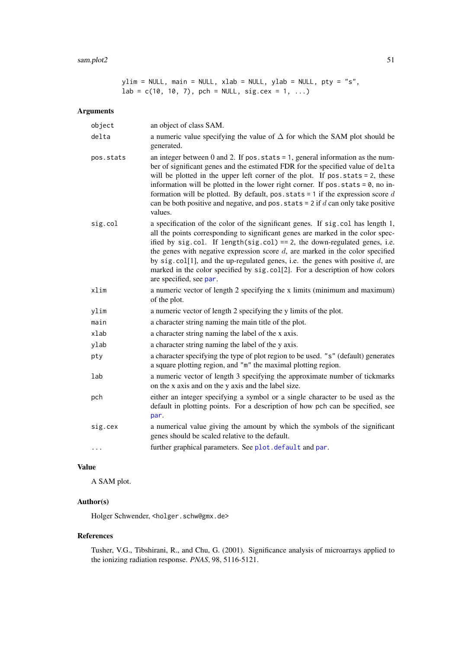#### <span id="page-50-0"></span> $s$ am.plot $2$  51

ylim = NULL, main = NULL, xlab = NULL, ylab = NULL, pty = "s",  $lab = c(10, 10, 7)$ , pch = NULL, sig.cex = 1, ...)

### Arguments

| object    | an object of class SAM.                                                                                                                                                                                                                                                                                                                                                                                                                                                                                                                 |
|-----------|-----------------------------------------------------------------------------------------------------------------------------------------------------------------------------------------------------------------------------------------------------------------------------------------------------------------------------------------------------------------------------------------------------------------------------------------------------------------------------------------------------------------------------------------|
| delta     | a numeric value specifying the value of $\Delta$ for which the SAM plot should be<br>generated.                                                                                                                                                                                                                                                                                                                                                                                                                                         |
| pos.stats | an integer between 0 and 2. If $pos. stats = 1$ , general information as the num-<br>ber of significant genes and the estimated FDR for the specified value of delta<br>will be plotted in the upper left corner of the plot. If $pos. stats = 2$ , these<br>information will be plotted in the lower right corner. If $pos. stats = 0$ , no in-<br>formation will be plotted. By default, pos. stats = 1 if the expression score $d$<br>can be both positive and negative, and pos. stats = $2$ if d can only take positive<br>values. |
| sig.col   | a specification of the color of the significant genes. If sig.col has length 1,<br>all the points corresponding to significant genes are marked in the color spec-<br>ified by sig.col. If length(sig.col) == 2, the down-regulated genes, i.e.<br>the genes with negative expression score $d$ , are marked in the color specified<br>by sig. col[1], and the up-regulated genes, i.e. the genes with positive $d$ , are<br>marked in the color specified by sig.col[2]. For a description of how colors<br>are specified, see par.    |
| xlim      | a numeric vector of length 2 specifying the x limits (minimum and maximum)<br>of the plot.                                                                                                                                                                                                                                                                                                                                                                                                                                              |
| ylim      | a numeric vector of length 2 specifying the y limits of the plot.                                                                                                                                                                                                                                                                                                                                                                                                                                                                       |
| main      | a character string naming the main title of the plot.                                                                                                                                                                                                                                                                                                                                                                                                                                                                                   |
| xlab      | a character string naming the label of the x axis.                                                                                                                                                                                                                                                                                                                                                                                                                                                                                      |
| ylab      | a character string naming the label of the y axis.                                                                                                                                                                                                                                                                                                                                                                                                                                                                                      |
| pty       | a character specifying the type of plot region to be used. "s" (default) generates<br>a square plotting region, and "m" the maximal plotting region.                                                                                                                                                                                                                                                                                                                                                                                    |
| lab       | a numeric vector of length 3 specifying the approximate number of tickmarks<br>on the x axis and on the y axis and the label size.                                                                                                                                                                                                                                                                                                                                                                                                      |
| pch       | either an integer specifying a symbol or a single character to be used as the<br>default in plotting points. For a description of how pch can be specified, see<br>par.                                                                                                                                                                                                                                                                                                                                                                 |
| sig.cex   | a numerical value giving the amount by which the symbols of the significant<br>genes should be scaled relative to the default.                                                                                                                                                                                                                                                                                                                                                                                                          |
| .         | further graphical parameters. See plot.default and par.                                                                                                                                                                                                                                                                                                                                                                                                                                                                                 |

### Value

A SAM plot.

### Author(s)

Holger Schwender, <holger.schw@gmx.de>

#### References

Tusher, V.G., Tibshirani, R., and Chu, G. (2001). Significance analysis of microarrays applied to the ionizing radiation response. *PNAS*, 98, 5116-5121.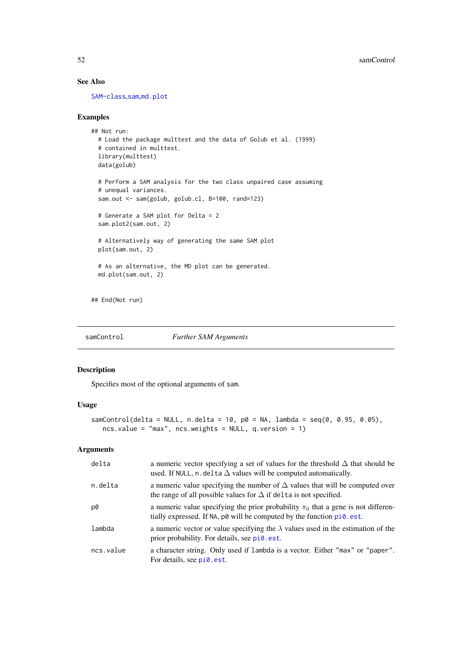### See Also

[SAM-class](#page-47-1),[sam](#page-43-1),[md.plot](#page-35-1)

#### Examples

```
## Not run:
 # Load the package multtest and the data of Golub et al. (1999)
  # contained in multtest.
 library(multtest)
 data(golub)
  # Perform a SAM analysis for the two class unpaired case assuming
  # unequal variances.
  sam.out <- sam(golub, golub.cl, B=100, rand=123)
  # Generate a SAM plot for Delta = 2
  sam.plot2(sam.out, 2)
  # Alternatively way of generating the same SAM plot
  plot(sam.out, 2)
  # As an alternative, the MD plot can be generated.
  md.plot(sam.out, 2)
## End(Not run)
```
<span id="page-51-1"></span>samControl *Further SAM Arguments*

### Description

Specifies most of the optional arguments of sam.

### Usage

```
samControl(delta = NULL, n.delta = 10, p0 = NA, lambda = seq(0, 0.95, 0.05),
   ncs.value = "max", ncs.weights = NULL, q.version = 1)
```

| delta     | a numeric vector specifying a set of values for the threshold $\Delta$ that should be<br>used. If NULL, n. delta $\Delta$ values will be computed automatically.               |
|-----------|--------------------------------------------------------------------------------------------------------------------------------------------------------------------------------|
| n.delta   | a numeric value specifying the number of $\Delta$ values that will be computed over<br>the range of all possible values for $\Delta$ if delta is not specified.                |
| p0        | a numeric value specifying the prior probability $\pi_0$ that a gene is not differen-<br>tially expressed. If NA, $p\omega$ will be computed by the function $pi\omega$ . est. |
| lambda    | a numeric vector or value specifying the $\lambda$ values used in the estimation of the<br>prior probability. For details, see pi0.est.                                        |
| ncs.value | a character string. Only used if lambda is a vector. Either "max" or "paper".<br>For details, see pi0.est.                                                                     |

<span id="page-51-0"></span>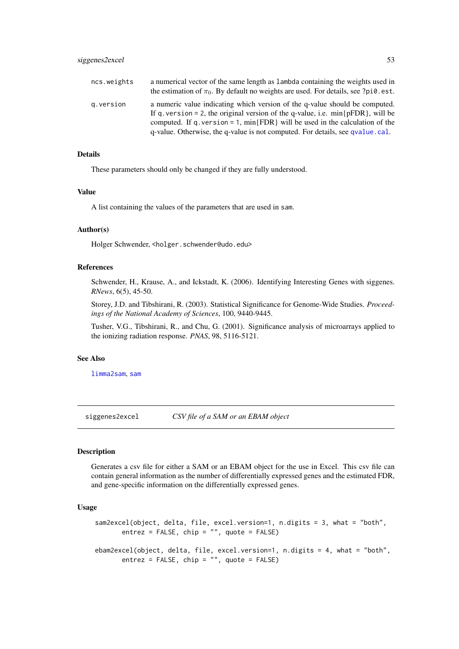<span id="page-52-0"></span>

| ncs.weights | a numerical vector of the same length as lambda containing the weights used in<br>the estimation of $\pi_0$ . By default no weights are used. For details, see ?pi0.est.                                                                                                                                                                |
|-------------|-----------------------------------------------------------------------------------------------------------------------------------------------------------------------------------------------------------------------------------------------------------------------------------------------------------------------------------------|
| q.version   | a numeric value indicating which version of the q-value should be computed.<br>If q. version = 2, the original version of the q-value, i.e. $min\{pFDR\}$ , will be<br>computed. If q, version = 1, $min$ {FDR} will be used in the calculation of the<br>q-value. Otherwise, the q-value is not computed. For details, see qvalue.cal. |

#### Details

These parameters should only be changed if they are fully understood.

#### Value

A list containing the values of the parameters that are used in sam.

#### Author(s)

Holger Schwender, <holger.schwender@udo.edu>

### References

Schwender, H., Krause, A., and Ickstadt, K. (2006). Identifying Interesting Genes with siggenes. *RNews*, 6(5), 45-50.

Storey, J.D. and Tibshirani, R. (2003). Statistical Significance for Genome-Wide Studies. *Proceedings of the National Academy of Sciences*, 100, 9440-9445.

Tusher, V.G., Tibshirani, R., and Chu, G. (2001). Significance analysis of microarrays applied to the ionizing radiation response. *PNAS*, 98, 5116-5121.

#### See Also

[limma2sam](#page-30-2), [sam](#page-43-1)

siggenes2excel *CSV file of a SAM or an EBAM object*

#### Description

Generates a csv file for either a SAM or an EBAM object for the use in Excel. This csv file can contain general information as the number of differentially expressed genes and the estimated FDR, and gene-specific information on the differentially expressed genes.

#### Usage

```
sam2excel(object, delta, file, excel.version=1, n.digits = 3, what = "both",
      entrez = FALSE, chip = ''', quote = FALSE)ebam2excel(object, delta, file, excel.version=1, n.digits = 4, what = "both",
      entrez = FALSE, chip = "", quote = FALSE)
```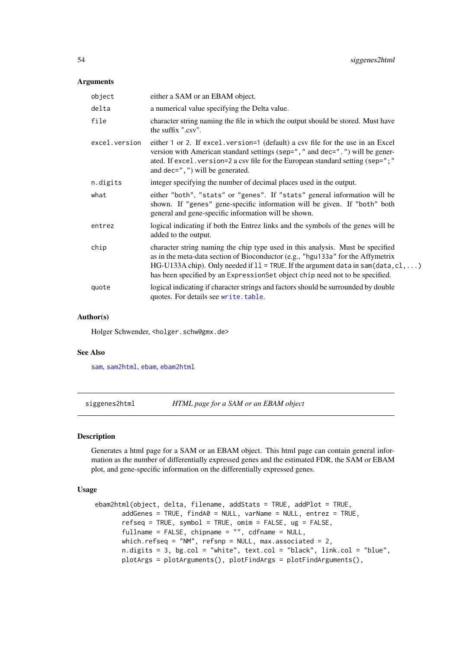#### <span id="page-53-0"></span>Arguments

| object        | either a SAM or an EBAM object.                                                                                                                                                                                                                                                                                                          |
|---------------|------------------------------------------------------------------------------------------------------------------------------------------------------------------------------------------------------------------------------------------------------------------------------------------------------------------------------------------|
| delta         | a numerical value specifying the Delta value.                                                                                                                                                                                                                                                                                            |
| file          | character string naming the file in which the output should be stored. Must have<br>the suffix ".csv".                                                                                                                                                                                                                                   |
| excel.version | either 1 or 2. If excel. version=1 (default) a csv file for the use in an Excel<br>version with American standard settings (sep="," and dec=".") will be gener-<br>ated. If excel. version=2 a csv file for the European standard setting (sep=";"<br>and dec= $", "$ ) will be generated.                                               |
| n.digits      | integer specifying the number of decimal places used in the output.                                                                                                                                                                                                                                                                      |
| what          | either "both", "stats" or "genes". If "stats" general information will be<br>shown. If "genes" gene-specific information will be given. If "both" both<br>general and gene-specific information will be shown.                                                                                                                           |
| entrez        | logical indicating if both the Entrez links and the symbols of the genes will be<br>added to the output.                                                                                                                                                                                                                                 |
| chip          | character string naming the chip type used in this analysis. Must be specified<br>as in the meta-data section of Bioconductor (e.g., "hgu133a" for the Affymetrix<br>HG-U133A chip). Only needed if $11 =$ TRUE. If the argument data in sam(data, c1, )<br>has been specified by an ExpressionSet object chip need not to be specified. |
| quote         | logical indicating if character strings and factors should be surrounded by double<br>quotes. For details see write, table.                                                                                                                                                                                                              |

#### Author(s)

Holger Schwender, <holger.schw@gmx.de>

#### See Also

[sam](#page-43-1), [sam2html](#page-53-1), [ebam](#page-12-1), [ebam2html](#page-53-1)

siggenes2html *HTML page for a SAM or an EBAM object*

### <span id="page-53-1"></span>Description

Generates a html page for a SAM or an EBAM object. This html page can contain general information as the number of differentially expressed genes and the estimated FDR, the SAM or EBAM plot, and gene-specific information on the differentially expressed genes.

### Usage

```
ebam2html(object, delta, filename, addStats = TRUE, addPlot = TRUE,
       addGenes = TRUE, findA0 = NULL, varName = NULL, entrez = TRUE,
       refseq = TRUE, symbol = TRUE, omim = FALSE, ug = FALSE,fullname = FALSE, chipname = "", cdfname = NULL,
      which.refseq = "NM", refsnp = NULL, max.associated = 2,
       n.digits = 3, bg.col = "white", text.col = "black", link.col = "blue",
       plotArgs = plotArguments(), plotFindArgs = plotFindArguments(),
```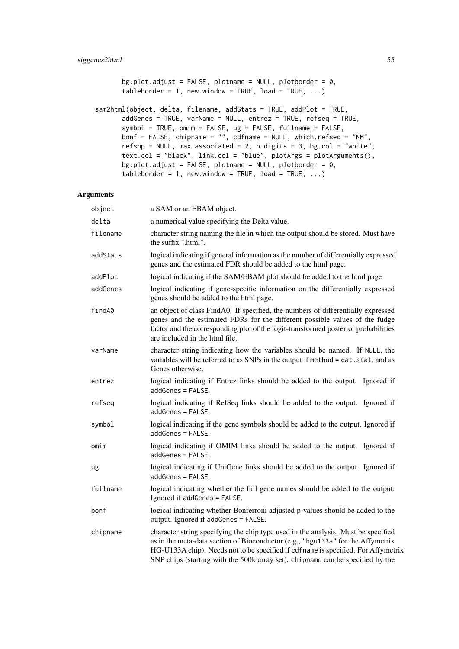```
bg.plot.adjust = FALSE, plotname = NULL, plotborder = 0,
tableborder = 1, new.window = TRUE, load = TRUE, \ldots)
```

```
sam2html(object, delta, filename, addStats = TRUE, addPlot = TRUE,
       addGenes = TRUE, varName = NULL, entrez = TRUE, refseq = TRUE,
       symbol = TRUE, omim = FALSE, ug = FALSE, fullname = FALSE,
       bonf = FALSE, chipname = "", cdfname = NULL, which.refseq = "NM",
       refsnp = NULL, max. associated = 2, n. digits = 3, bg. col = "white",text.col = "black", link.col = "blue", plotArgs = plotArguments(),
       bg.plot.adjust = FALSE, plotname = NULL, plotborder = 0,
       tableborder = 1, new.window = TRUE, load = TRUE, \ldots)
```

| object   | a SAM or an EBAM object.                                                                                                                                                                                                                                                                                                                    |
|----------|---------------------------------------------------------------------------------------------------------------------------------------------------------------------------------------------------------------------------------------------------------------------------------------------------------------------------------------------|
| delta    | a numerical value specifying the Delta value.                                                                                                                                                                                                                                                                                               |
| filename | character string naming the file in which the output should be stored. Must have<br>the suffix ".html".                                                                                                                                                                                                                                     |
| addStats | logical indicating if general information as the number of differentially expressed<br>genes and the estimated FDR should be added to the html page.                                                                                                                                                                                        |
| addPlot  | logical indicating if the SAM/EBAM plot should be added to the html page                                                                                                                                                                                                                                                                    |
| addGenes | logical indicating if gene-specific information on the differentially expressed<br>genes should be added to the html page.                                                                                                                                                                                                                  |
| findA0   | an object of class FindA0. If specified, the numbers of differentially expressed<br>genes and the estimated FDRs for the different possible values of the fudge<br>factor and the corresponding plot of the logit-transformed posterior probabilities<br>are included in the html file.                                                     |
| varName  | character string indicating how the variables should be named. If NULL, the<br>variables will be referred to as SNPs in the output if method = cat.stat, and as<br>Genes otherwise.                                                                                                                                                         |
| entrez   | logical indicating if Entrez links should be added to the output. Ignored if<br>addGenes = FALSE.                                                                                                                                                                                                                                           |
| refseq   | logical indicating if RefSeq links should be added to the output. Ignored if<br>addGenes = FALSE.                                                                                                                                                                                                                                           |
| symbol   | logical indicating if the gene symbols should be added to the output. Ignored if<br>addGenes = FALSE.                                                                                                                                                                                                                                       |
| omim     | logical indicating if OMIM links should be added to the output. Ignored if<br>addGenes = FALSE.                                                                                                                                                                                                                                             |
| ug       | logical indicating if UniGene links should be added to the output. Ignored if<br>addGenes = FALSE.                                                                                                                                                                                                                                          |
| fullname | logical indicating whether the full gene names should be added to the output.<br>Ignored if addGenes = FALSE.                                                                                                                                                                                                                               |
| bonf     | logical indicating whether Bonferroni adjusted p-values should be added to the<br>output. Ignored if addGenes = FALSE.                                                                                                                                                                                                                      |
| chipname | character string specifying the chip type used in the analysis. Must be specified<br>as in the meta-data section of Bioconductor (e.g., "hgu133a" for the Affymetrix<br>HG-U133A chip). Needs not to be specified if cdfname is specified. For Affymetrix<br>SNP chips (starting with the 500k array set), chipname can be specified by the |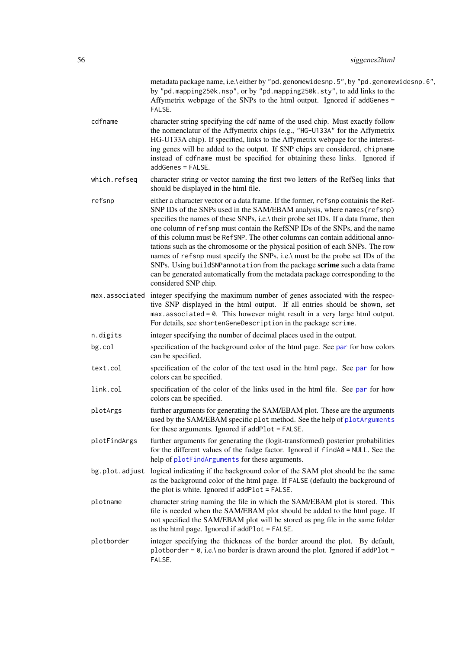<span id="page-55-0"></span>

|              | metadata package name, i.e.\ either by "pd.genomewidesnp.5", by "pd.genomewidesnp.6",<br>by "pd.mapping250k.nsp", or by "pd.mapping250k.sty", to add links to the<br>Affymetrix webpage of the SNPs to the html output. Ignored if addGenes =<br>FALSE.                                                                                                                                                                                                                                                                                                                                                                                                                                                                                                                     |
|--------------|-----------------------------------------------------------------------------------------------------------------------------------------------------------------------------------------------------------------------------------------------------------------------------------------------------------------------------------------------------------------------------------------------------------------------------------------------------------------------------------------------------------------------------------------------------------------------------------------------------------------------------------------------------------------------------------------------------------------------------------------------------------------------------|
| cdfname      | character string specifying the cdf name of the used chip. Must exactly follow<br>the nomenclatur of the Affymetrix chips (e.g., "HG-U133A" for the Affymetrix<br>HG-U133A chip). If specified, links to the Affymetrix webpage for the interest-<br>ing genes will be added to the output. If SNP chips are considered, chipname<br>instead of cdfname must be specified for obtaining these links. Ignored if<br>addGenes = FALSE.                                                                                                                                                                                                                                                                                                                                        |
| which.refseq | character string or vector naming the first two letters of the RefSeq links that<br>should be displayed in the html file.                                                                                                                                                                                                                                                                                                                                                                                                                                                                                                                                                                                                                                                   |
| refsnp       | either a character vector or a data frame. If the former, refsnp containis the Ref-<br>SNP IDs of the SNPs used in the SAM/EBAM analysis, where names (refsnp)<br>specifies the names of these SNPs, i.e.\ their probe set IDs. If a data frame, then<br>one column of refsnp must contain the RefSNP IDs of the SNPs, and the name<br>of this column must be RefSNP. The other columns can contain additional anno-<br>tations such as the chromosome or the physical position of each SNPs. The row<br>names of refsnp must specify the SNPs, i.e.\ must be the probe set IDs of the<br>SNPs. Using buildSNPannotation from the package scrime such a data frame<br>can be generated automatically from the metadata package corresponding to the<br>considered SNP chip. |
|              | max associated integer specifying the maximum number of genes associated with the respec-<br>tive SNP displayed in the html output. If all entries should be shown, set<br>$max. associated = 0$ . This however might result in a very large html output.<br>For details, see shortenGeneDescription in the package scrime.                                                                                                                                                                                                                                                                                                                                                                                                                                                 |
| n.digits     | integer specifying the number of decimal places used in the output.                                                                                                                                                                                                                                                                                                                                                                                                                                                                                                                                                                                                                                                                                                         |
| bg.col       | specification of the background color of the html page. See par for how colors<br>can be specified.                                                                                                                                                                                                                                                                                                                                                                                                                                                                                                                                                                                                                                                                         |
| text.col     | specification of the color of the text used in the html page. See par for how<br>colors can be specified.                                                                                                                                                                                                                                                                                                                                                                                                                                                                                                                                                                                                                                                                   |
| link.col     | specification of the color of the links used in the html file. See par for how<br>colors can be specified.                                                                                                                                                                                                                                                                                                                                                                                                                                                                                                                                                                                                                                                                  |
| plotArgs     | further arguments for generating the SAM/EBAM plot. These are the arguments<br>used by the SAM/EBAM specific plot method. See the help of plotArguments<br>for these arguments. Ignored if addPlot = FALSE.                                                                                                                                                                                                                                                                                                                                                                                                                                                                                                                                                                 |
| plotFindArgs | further arguments for generating the (logit-transformed) posterior probabilities<br>for the different values of the fudge factor. Ignored if $findA0 = NULL$ . See the<br>help of plotFindArguments for these arguments.                                                                                                                                                                                                                                                                                                                                                                                                                                                                                                                                                    |
|              | bg.plot.adjust logical indicating if the background color of the SAM plot should be the same<br>as the background color of the html page. If FALSE (default) the background of<br>the plot is white. Ignored if addPlot = FALSE.                                                                                                                                                                                                                                                                                                                                                                                                                                                                                                                                            |
| plotname     | character string naming the file in which the SAM/EBAM plot is stored. This<br>file is needed when the SAM/EBAM plot should be added to the html page. If<br>not specified the SAM/EBAM plot will be stored as png file in the same folder<br>as the html page. Ignored if addPlot = FALSE.                                                                                                                                                                                                                                                                                                                                                                                                                                                                                 |
| plotborder   | integer specifying the thickness of the border around the plot. By default,<br>plotborder = $0$ , i.e.\ no border is drawn around the plot. Ignored if addPlot =<br>FALSE.                                                                                                                                                                                                                                                                                                                                                                                                                                                                                                                                                                                                  |
|              |                                                                                                                                                                                                                                                                                                                                                                                                                                                                                                                                                                                                                                                                                                                                                                             |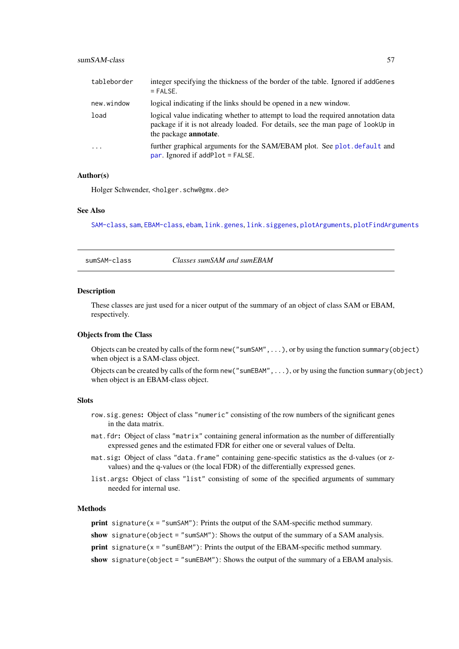<span id="page-56-0"></span>

| tableborder | integer specifying the thickness of the border of the table. Ignored if add Genes<br>$=$ FALSE.                                                                                                      |
|-------------|------------------------------------------------------------------------------------------------------------------------------------------------------------------------------------------------------|
| new.window  | logical indicating if the links should be opened in a new window.                                                                                                                                    |
| load        | logical value indicating whether to attempt to load the required annotation data<br>package if it is not already loaded. For details, see the man page of lookUp in<br>the package <b>annotate</b> . |
| $\cdot$     | further graphical arguments for the SAM/EBAM plot. See plot. default and<br>par. Ignored if $addPlot = FALSE$ .                                                                                      |

#### Author(s)

Holger Schwender, <holger.schw@gmx.de>

#### See Also

[SAM-class](#page-47-1), [sam](#page-43-1), [EBAM-class](#page-15-1), [ebam](#page-12-1), [link.genes](#page-31-1), [link.siggenes](#page-32-1), [plotArguments](#page-39-1), [plotFindArguments](#page-40-1)

sumSAM-class *Classes sumSAM and sumEBAM*

#### Description

These classes are just used for a nicer output of the summary of an object of class SAM or EBAM, respectively.

#### Objects from the Class

Objects can be created by calls of the form new("sumSAM",...), or by using the function summary(object) when object is a SAM-class object.

Objects can be created by calls of the form new("sumEBAM",...), or by using the function summary(object) when object is an EBAM-class object.

### Slots

- row.sig.genes: Object of class "numeric" consisting of the row numbers of the significant genes in the data matrix.
- mat.fdr: Object of class "matrix" containing general information as the number of differentially expressed genes and the estimated FDR for either one or several values of Delta.
- mat.sig: Object of class "data.frame" containing gene-specific statistics as the d-values (or zvalues) and the q-values or (the local FDR) of the differentially expressed genes.
- list.args: Object of class "list" consisting of some of the specified arguments of summary needed for internal use.

#### **Methods**

**print** signature( $x =$ "sumSAM"): Prints the output of the SAM-specific method summary.

show signature(object = "sumSAM"): Shows the output of the summary of a SAM analysis.

**print** signature( $x =$  "sumEBAM"): Prints the output of the EBAM-specific method summary.

show signature(object = "sumEBAM"): Shows the output of the summary of a EBAM analysis.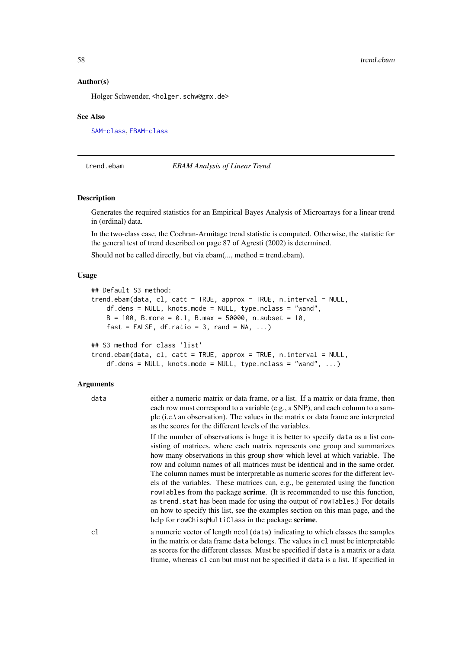#### Author(s)

Holger Schwender, <holger.schw@gmx.de>

#### See Also

[SAM-class](#page-47-1), [EBAM-class](#page-15-1)

<span id="page-57-1"></span>trend.ebam *EBAM Analysis of Linear Trend*

### Description

Generates the required statistics for an Empirical Bayes Analysis of Microarrays for a linear trend in (ordinal) data.

In the two-class case, the Cochran-Armitage trend statistic is computed. Otherwise, the statistic for the general test of trend described on page 87 of Agresti (2002) is determined.

Should not be called directly, but via ebam(..., method = trend.ebam).

### Usage

```
## Default S3 method:
trend.ebam(data, cl, catt = TRUE, approx = TRUE, n.interval = NULL,
   df.dens = NULL, knots.mode = NULL, type.nclass = "wand",
   B = 100, B.more = 0.1, B.max = 50000, n.subset = 10,
    fast = FALSE, df.ratio = 3, rand = NA, ...)## S3 method for class 'list'
```

```
trend.ebam(data, cl, catt = TRUE, approx = TRUE, n.interval = NULL,
   df.dens = NULL, knots.mode = NULL, type.nclass = "wand", ...)
```

| data | either a numeric matrix or data frame, or a list. If a matrix or data frame, then<br>each row must correspond to a variable (e.g., a SNP), and each column to a sam-<br>ple (i.e.) an observation). The values in the matrix or data frame are interpreted<br>as the scores for the different levels of the variables.                                                                                                                                                                                                                                                                                                                                                                                                                                                                                                 |
|------|------------------------------------------------------------------------------------------------------------------------------------------------------------------------------------------------------------------------------------------------------------------------------------------------------------------------------------------------------------------------------------------------------------------------------------------------------------------------------------------------------------------------------------------------------------------------------------------------------------------------------------------------------------------------------------------------------------------------------------------------------------------------------------------------------------------------|
|      | If the number of observations is huge it is better to specify data as a list con-<br>sisting of matrices, where each matrix represents one group and summarizes<br>how many observations in this group show which level at which variable. The<br>row and column names of all matrices must be identical and in the same order.<br>The column names must be interpretable as numeric scores for the different lev-<br>els of the variables. These matrices can, e.g., be generated using the function<br>row Tables from the package <b>scrime</b> . (It is recommended to use this function,<br>as trend. stat has been made for using the output of rowTables.) For details<br>on how to specify this list, see the examples section on this man page, and the<br>help for rowChisqMultiClass in the package scrime. |
| cl   | a numeric vector of length ncol (data) indicating to which classes the samples<br>in the matrix or data frame data belongs. The values in c1 must be interpretable<br>as scores for the different classes. Must be specified if data is a matrix or a data<br>frame, whereas c1 can but must not be specified if data is a list. If specified in                                                                                                                                                                                                                                                                                                                                                                                                                                                                       |

<span id="page-57-0"></span>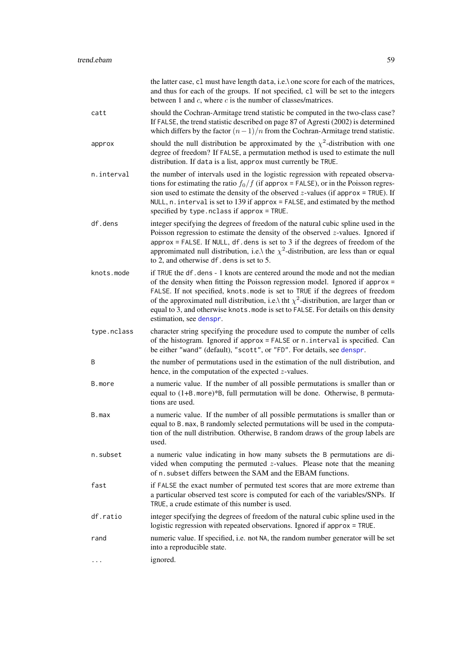<span id="page-58-0"></span>

|             | the latter case, c1 must have length data, i.e. \ one score for each of the matrices,<br>and thus for each of the groups. If not specified, c1 will be set to the integers<br>between 1 and $c$ , where $c$ is the number of classes/matrices.                                                                                                                                                                                                                  |
|-------------|-----------------------------------------------------------------------------------------------------------------------------------------------------------------------------------------------------------------------------------------------------------------------------------------------------------------------------------------------------------------------------------------------------------------------------------------------------------------|
| catt        | should the Cochran-Armitage trend statistic be computed in the two-class case?<br>If FALSE, the trend statistic described on page 87 of Agresti (2002) is determined<br>which differs by the factor $(n-1)/n$ from the Cochran-Armitage trend statistic.                                                                                                                                                                                                        |
| approx      | should the null distribution be approximated by the $\chi^2$ -distribution with one<br>degree of freedom? If FALSE, a permutation method is used to estimate the null<br>distribution. If data is a list, approx must currently be TRUE.                                                                                                                                                                                                                        |
| n.interval  | the number of intervals used in the logistic regression with repeated observa-<br>tions for estimating the ratio $f_0/f$ (if approx = FALSE), or in the Poisson regres-<br>sion used to estimate the density of the observed $z$ -values (if approx = TRUE). If<br>NULL, $n$ . interval is set to 139 if approx = FALSE, and estimated by the method<br>specified by type.nclass if approx = TRUE.                                                              |
| df.dens     | integer specifying the degrees of freedom of the natural cubic spline used in the<br>Poisson regression to estimate the density of the observed $z$ -values. Ignored if<br>approx = FALSE. If NULL, df. dens is set to $3$ if the degrees of freedom of the<br>appromimated null distribution, i.e.\ the $\chi^2$ -distribution, are less than or equal<br>to 2, and otherwise df. dens is set to 5.                                                            |
| knots.mode  | if TRUE the df. dens - 1 knots are centered around the mode and not the median<br>of the density when fitting the Poisson regression model. Ignored if approx =<br>FALSE. If not specified, knots mode is set to TRUE if the degrees of freedom<br>of the approximated null distribution, i.e.\ tht $\chi^2$ -distribution, are larger than or<br>equal to 3, and otherwise knots. mode is set to FALSE. For details on this density<br>estimation, see denspr. |
| type.nclass | character string specifying the procedure used to compute the number of cells<br>of the histogram. Ignored if approx = FALSE or n. interval is specified. Can<br>be either "wand" (default), "scott", or "FD". For details, see denspr.                                                                                                                                                                                                                         |
| B           | the number of permutations used in the estimation of the null distribution, and<br>hence, in the computation of the expected $z$ -values.                                                                                                                                                                                                                                                                                                                       |
| B.more      | a numeric value. If the number of all possible permutations is smaller than or<br>equal to (1+B. more)*B, full permutation will be done. Otherwise, B permuta-<br>tions are used.                                                                                                                                                                                                                                                                               |
| B.max       | a numeric value. If the number of all possible permutations is smaller than or<br>equal to B. max, B randomly selected permutations will be used in the computa-<br>tion of the null distribution. Otherwise, B random draws of the group labels are<br>used.                                                                                                                                                                                                   |
| n.subset    | a numeric value indicating in how many subsets the B permutations are di-<br>vided when computing the permuted $z$ -values. Please note that the meaning<br>of n. subset differs between the SAM and the EBAM functions.                                                                                                                                                                                                                                        |
| fast        | if FALSE the exact number of permuted test scores that are more extreme than<br>a particular observed test score is computed for each of the variables/SNPs. If<br>TRUE, a crude estimate of this number is used.                                                                                                                                                                                                                                               |
| df.ratio    | integer specifying the degrees of freedom of the natural cubic spline used in the<br>logistic regression with repeated observations. Ignored if approx = TRUE.                                                                                                                                                                                                                                                                                                  |
| rand        | numeric value. If specified, i.e. not NA, the random number generator will be set<br>into a reproducible state.                                                                                                                                                                                                                                                                                                                                                 |
|             | ignored.                                                                                                                                                                                                                                                                                                                                                                                                                                                        |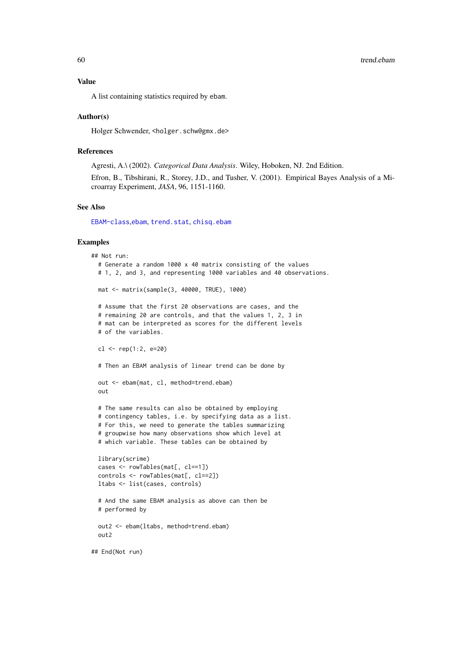#### <span id="page-59-0"></span>Value

A list containing statistics required by ebam.

#### Author(s)

Holger Schwender, <holger.schw@gmx.de>

#### References

Agresti, A.\ (2002). *Categorical Data Analysis*. Wiley, Hoboken, NJ. 2nd Edition.

Efron, B., Tibshirani, R., Storey, J.D., and Tusher, V. (2001). Empirical Bayes Analysis of a Microarray Experiment, *JASA*, 96, 1151-1160.

#### See Also

[EBAM-class](#page-15-1),[ebam](#page-12-1), [trend.stat](#page-60-1), [chisq.ebam](#page-1-1)

#### Examples

```
## Not run:
  # Generate a random 1000 x 40 matrix consisting of the values
  # 1, 2, and 3, and representing 1000 variables and 40 observations.
  mat <- matrix(sample(3, 40000, TRUE), 1000)
  # Assume that the first 20 observations are cases, and the
  # remaining 20 are controls, and that the values 1, 2, 3 in
  # mat can be interpreted as scores for the different levels
  # of the variables.
  cl <- rep(1:2, e=20)
  # Then an EBAM analysis of linear trend can be done by
  out <- ebam(mat, cl, method=trend.ebam)
  out
  # The same results can also be obtained by employing
  # contingency tables, i.e. by specifying data as a list.
  # For this, we need to generate the tables summarizing
  # groupwise how many observations show which level at
  # which variable. These tables can be obtained by
  library(scrime)
  cases <- rowTables(mat[, cl==1])
  controls <- rowTables(mat[, cl==2])
  ltabs <- list(cases, controls)
  # And the same EBAM analysis as above can then be
  # performed by
  out2 <- ebam(ltabs, method=trend.ebam)
  out2
## End(Not run)
```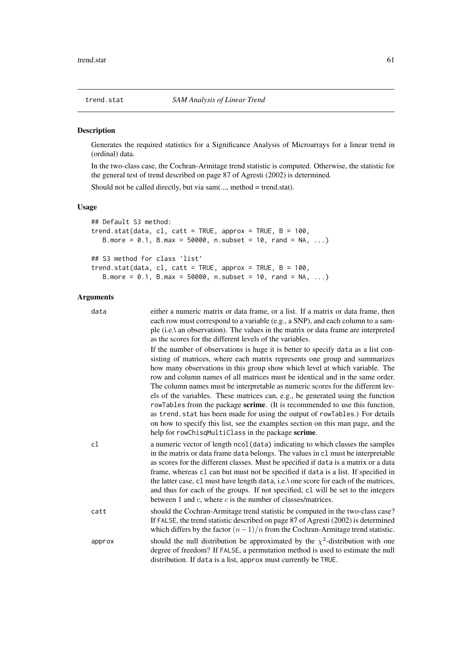<span id="page-60-1"></span><span id="page-60-0"></span>

Generates the required statistics for a Significance Analysis of Microarrays for a linear trend in (ordinal) data.

In the two-class case, the Cochran-Armitage trend statistic is computed. Otherwise, the statistic for the general test of trend described on page 87 of Agresti (2002) is determined.

Should not be called directly, but via sam(..., method = trend.stat).

### Usage

```
## Default S3 method:
trend.stat(data, cl, catt = TRUE, approx = TRUE, B = 100,
   B.more = 0.1, B.max = 50000, n.subset = 10, rand = NA, ...## S3 method for class 'list'
trend.stat(data, cl, catt = TRUE, approx = TRUE, B = 100,
   B.more = 0.1, B.max = 50000, n.subset = 10, rand = NA, ...)
```

| data   | either a numeric matrix or data frame, or a list. If a matrix or data frame, then<br>each row must correspond to a variable (e.g., a SNP), and each column to a sam-<br>ple (i.e.) an observation). The values in the matrix or data frame are interpreted<br>as the scores for the different levels of the variables.                                                                                                                                                                                                                                                                                                                                                                                                                                                                                        |
|--------|---------------------------------------------------------------------------------------------------------------------------------------------------------------------------------------------------------------------------------------------------------------------------------------------------------------------------------------------------------------------------------------------------------------------------------------------------------------------------------------------------------------------------------------------------------------------------------------------------------------------------------------------------------------------------------------------------------------------------------------------------------------------------------------------------------------|
|        | If the number of observations is huge it is better to specify data as a list con-<br>sisting of matrices, where each matrix represents one group and summarizes<br>how many observations in this group show which level at which variable. The<br>row and column names of all matrices must be identical and in the same order.<br>The column names must be interpretable as numeric scores for the different lev-<br>els of the variables. These matrices can, e.g., be generated using the function<br>rowTables from the package scrime. (It is recommended to use this function,<br>as trend. stat has been made for using the output of rowTables.) For details<br>on how to specify this list, see the examples section on this man page, and the<br>help for rowChisqMultiClass in the package scrime. |
| cl     | a numeric vector of length ncol (data) indicating to which classes the samples<br>in the matrix or data frame data belongs. The values in c1 must be interpretable<br>as scores for the different classes. Must be specified if data is a matrix or a data<br>frame, whereas c1 can but must not be specified if data is a list. If specified in<br>the latter case, c1 must have length data, i.e.\ one score for each of the matrices,<br>and thus for each of the groups. If not specified, c1 will be set to the integers<br>between 1 and $c$ , where $c$ is the number of classes/matrices.                                                                                                                                                                                                             |
| catt   | should the Cochran-Armitage trend statistic be computed in the two-class case?<br>If FALSE, the trend statistic described on page 87 of Agresti (2002) is determined<br>which differs by the factor $(n-1)/n$ from the Cochran-Armitage trend statistic.                                                                                                                                                                                                                                                                                                                                                                                                                                                                                                                                                      |
| approx | should the null distribution be approximated by the $\chi^2$ -distribution with one<br>degree of freedom? If FALSE, a permutation method is used to estimate the null<br>distribution. If data is a list, approx must currently be TRUE.                                                                                                                                                                                                                                                                                                                                                                                                                                                                                                                                                                      |
|        |                                                                                                                                                                                                                                                                                                                                                                                                                                                                                                                                                                                                                                                                                                                                                                                                               |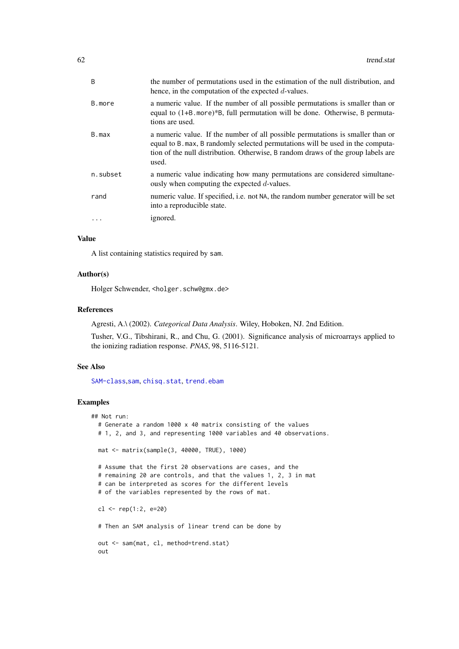<span id="page-61-0"></span>

| $\overline{B}$ | the number of permutations used in the estimation of the null distribution, and<br>hence, in the computation of the expected $d$ -values.                                                                                                                     |
|----------------|---------------------------------------------------------------------------------------------------------------------------------------------------------------------------------------------------------------------------------------------------------------|
| B.more         | a numeric value. If the number of all possible permutations is smaller than or<br>equal to $(1+B$ more)*B, full permutation will be done. Otherwise, B permuta-<br>tions are used.                                                                            |
| B.max          | a numeric value. If the number of all possible permutations is smaller than or<br>equal to B. max, B randomly selected permutations will be used in the computa-<br>tion of the null distribution. Otherwise, B random draws of the group labels are<br>used. |
| n.subset       | a numeric value indicating how many permutations are considered simultane-<br>ously when computing the expected $d$ -values.                                                                                                                                  |
| rand           | numeric value. If specified, i.e. not NA, the random number generator will be set<br>into a reproducible state.                                                                                                                                               |
| $\cdots$       | ignored.                                                                                                                                                                                                                                                      |

### Value

A list containing statistics required by sam.

### Author(s)

Holger Schwender, <holger.schw@gmx.de>

#### References

Agresti, A.\ (2002). *Categorical Data Analysis*. Wiley, Hoboken, NJ. 2nd Edition.

Tusher, V.G., Tibshirani, R., and Chu, G. (2001). Significance analysis of microarrays applied to the ionizing radiation response. *PNAS*, 98, 5116-5121.

### See Also

[SAM-class](#page-47-1), [sam](#page-43-1), [chisq.stat](#page-4-1), [trend.ebam](#page-57-1)

### Examples

```
## Not run:
  # Generate a random 1000 x 40 matrix consisting of the values
  # 1, 2, and 3, and representing 1000 variables and 40 observations.
 mat <- matrix(sample(3, 40000, TRUE), 1000)
  # Assume that the first 20 observations are cases, and the
  # remaining 20 are controls, and that the values 1, 2, 3 in mat
  # can be interpreted as scores for the different levels
  # of the variables represented by the rows of mat.
 cl <- rep(1:2, e=20)
  # Then an SAM analysis of linear trend can be done by
  out <- sam(mat, cl, method=trend.stat)
  out
```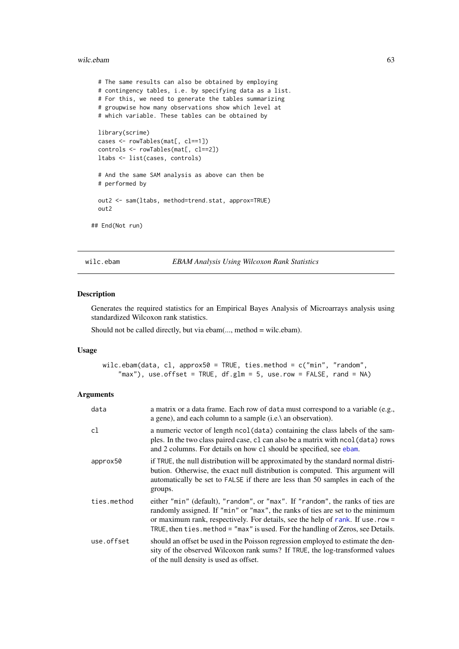#### <span id="page-62-0"></span>wilc.ebam 63

```
# The same results can also be obtained by employing
  # contingency tables, i.e. by specifying data as a list.
  # For this, we need to generate the tables summarizing
  # groupwise how many observations show which level at
  # which variable. These tables can be obtained by
 library(scrime)
 cases <- rowTables(mat[, cl==1])
  controls <- rowTables(mat[, cl==2])
 ltabs <- list(cases, controls)
  # And the same SAM analysis as above can then be
  # performed by
 out2 <- sam(ltabs, method=trend.stat, approx=TRUE)
 out2
## End(Not run)
```
<span id="page-62-1"></span>wilc.ebam *EBAM Analysis Using Wilcoxon Rank Statistics*

#### Description

Generates the required statistics for an Empirical Bayes Analysis of Microarrays analysis using standardized Wilcoxon rank statistics.

Should not be called directly, but via ebam(..., method = wilc.ebam).

#### Usage

wilc.ebam(data, cl, approx50 = TRUE, ties.method = c("min", "random", "max"), use.offset = TRUE,  $df.glm = 5$ , use.row = FALSE, rand = NA)

| data        | a matrix or a data frame. Each row of data must correspond to a variable (e.g.,<br>a gene), and each column to a sample $(i.e.\rangle$ an observation).                                                                                                                                                                                  |
|-------------|------------------------------------------------------------------------------------------------------------------------------------------------------------------------------------------------------------------------------------------------------------------------------------------------------------------------------------------|
| cl          | a numeric vector of length ncol (data) containing the class labels of the sam-<br>ples. In the two class paired case, c1 can also be a matrix with ncol (data) rows<br>and 2 columns. For details on how c1 should be specified, see ebam.                                                                                               |
| approx50    | if TRUE, the null distribution will be approximated by the standard normal distri-<br>bution. Otherwise, the exact null distribution is computed. This argument will<br>automatically be set to FALSE if there are less than 50 samples in each of the<br>groups.                                                                        |
| ties.method | either "min" (default), "random", or "max". If "random", the ranks of ties are<br>randomly assigned. If "min" or "max", the ranks of ties are set to the minimum<br>or maximum rank, respectively. For details, see the help of rank. If use . row =<br>TRUE, then ties. method = "max" is used. For the handling of Zeros, see Details. |
| use.offset  | should an offset be used in the Poisson regression employed to estimate the den-<br>sity of the observed Wilcoxon rank sums? If TRUE, the log-transformed values<br>of the null density is used as offset.                                                                                                                               |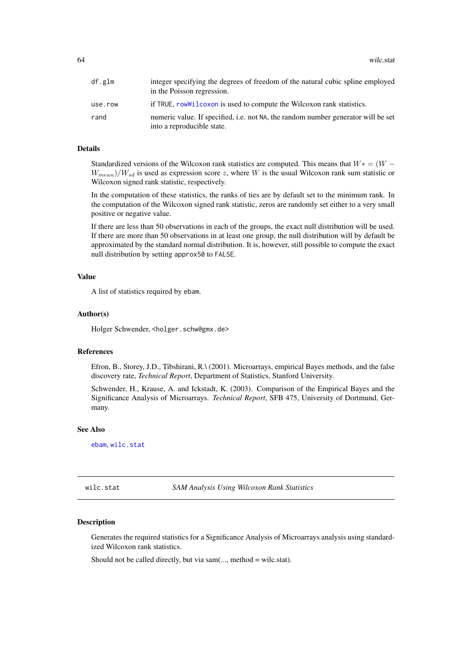<span id="page-63-0"></span>64 wilc.state will be a set of the set of the set of the set of the set of the set of the set of the set of the set of the set of the set of the set of the set of the set of the set of the set of the set of the set of the

| df.glm  | integer specifying the degrees of freedom of the natural cubic spline employed<br>in the Poisson regression.    |
|---------|-----------------------------------------------------------------------------------------------------------------|
| use.row | if TRUE, row will coxon is used to compute the Wilcoxon rank statistics.                                        |
| rand    | numeric value. If specified, i.e. not NA, the random number generator will be set<br>into a reproducible state. |

### Details

Standardized versions of the Wilcoxon rank statistics are computed. This means that  $W* = (W W_{mean}/W_{sd}$  is used as expression score z, where W is the usual Wilcoxon rank sum statistic or Wilcoxon signed rank statistic, respectively.

In the computation of these statistics, the ranks of ties are by default set to the minimum rank. In the computation of the Wilcoxon signed rank statistic, zeros are randomly set either to a very small positive or negative value.

If there are less than 50 observations in each of the groups, the exact null distribution will be used. If there are more than 50 observations in at least one group, the null distribution will by default be approximated by the standard normal distribution. It is, however, still possible to compute the exact null distribution by setting approx50 to FALSE.

#### Value

A list of statistics required by ebam.

#### Author(s)

Holger Schwender, <holger.schw@gmx.de>

#### References

Efron, B., Storey, J.D., Tibshirani, R.\ (2001). Microarrays, empirical Bayes methods, and the false discovery rate, *Technical Report*, Department of Statistics, Stanford University.

Schwender, H., Krause, A. and Ickstadt, K. (2003). Comparison of the Empirical Bayes and the Significance Analysis of Microarrays. *Technical Report*, SFB 475, University of Dortmund, Germany.

### See Also

[ebam](#page-12-1), [wilc.stat](#page-63-1)

<span id="page-63-1"></span>wilc.stat *SAM Analysis Using Wilcoxon Rank Statistics*

#### Description

Generates the required statistics for a Significance Analysis of Microarrays analysis using standardized Wilcoxon rank statistics.

Should not be called directly, but via sam(..., method = wilc.stat).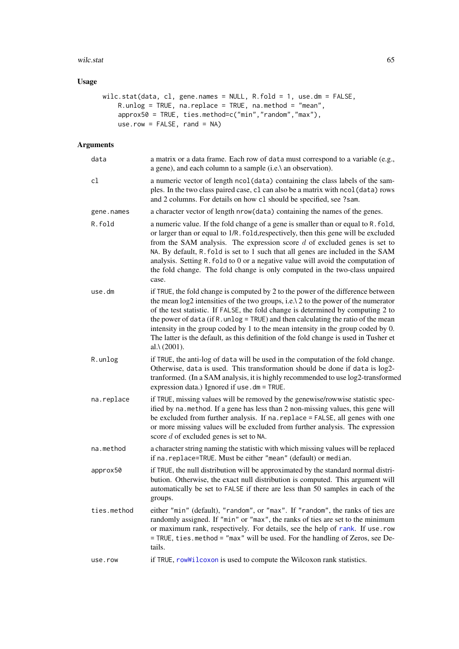#### <span id="page-64-0"></span>wilc.stat 65

### Usage

```
wilc.stat(data, cl, gene.names = NULL, R.fold = 1, use.dm = FALSE,
    R.unlog = TRUE, na.replace = TRUE, na.method = "mean",
    approx50 = TRUE, ties.method=c("min","random","max"),
    userow = FALSE, rand = NA)
```

| data        | a matrix or a data frame. Each row of data must correspond to a variable (e.g.,<br>a gene), and each column to a sample (i.e.) an observation).                                                                                                                                                                                                                                                                                                                                                                                                                  |
|-------------|------------------------------------------------------------------------------------------------------------------------------------------------------------------------------------------------------------------------------------------------------------------------------------------------------------------------------------------------------------------------------------------------------------------------------------------------------------------------------------------------------------------------------------------------------------------|
| cl          | a numeric vector of length ncol (data) containing the class labels of the sam-<br>ples. In the two class paired case, c1 can also be a matrix with ncol (data) rows<br>and 2 columns. For details on how c1 should be specified, see ?sam.                                                                                                                                                                                                                                                                                                                       |
| gene.names  | a character vector of length nrow(data) containing the names of the genes.                                                                                                                                                                                                                                                                                                                                                                                                                                                                                       |
| R.fold      | a numeric value. If the fold change of a gene is smaller than or equal to R. fold,<br>or larger than or equal to 1/R. fold, respectively, then this gene will be excluded<br>from the SAM analysis. The expression score $d$ of excluded genes is set to<br>NA. By default, R. fold is set to 1 such that all genes are included in the SAM<br>analysis. Setting R. fold to 0 or a negative value will avoid the computation of<br>the fold change. The fold change is only computed in the two-class unpaired<br>case.                                          |
| use.dm      | if TRUE, the fold change is computed by 2 to the power of the difference between<br>the mean $log2$ intensities of the two groups, i.e. $\lambda$ 2 to the power of the numerator<br>of the test statistic. If FALSE, the fold change is determined by computing 2 to<br>the power of data (if R. unlog = TRUE) and then calculating the ratio of the mean<br>intensity in the group coded by 1 to the mean intensity in the group coded by 0.<br>The latter is the default, as this definition of the fold change is used in Tusher et<br>al. $\lambda$ (2001). |
| R.unlog     | if TRUE, the anti-log of data will be used in the computation of the fold change.<br>Otherwise, data is used. This transformation should be done if data is log2-<br>tranformed. (In a SAM analysis, it is highly recommended to use log2-transformed<br>expression data.) Ignored if use . dm = TRUE.                                                                                                                                                                                                                                                           |
| na.replace  | if TRUE, missing values will be removed by the genewise/rowwise statistic spec-<br>ified by na. method. If a gene has less than 2 non-missing values, this gene will<br>be excluded from further analysis. If na. replace = FALSE, all genes with one<br>or more missing values will be excluded from further analysis. The expression<br>score $d$ of excluded genes is set to NA.                                                                                                                                                                              |
| na.method   | a character string naming the statistic with which missing values will be replaced<br>if na. replace=TRUE. Must be either "mean" (default) or median.                                                                                                                                                                                                                                                                                                                                                                                                            |
| approx50    | if TRUE, the null distribution will be approximated by the standard normal distri-<br>bution. Otherwise, the exact null distribution is computed. This argument will<br>automatically be set to FALSE if there are less than 50 samples in each of the<br>groups.                                                                                                                                                                                                                                                                                                |
| ties.method | either "min" (default), "random", or "max". If "random", the ranks of ties are<br>randomly assigned. If "min" or "max", the ranks of ties are set to the minimum<br>or maximum rank, respectively. For details, see the help of rank. If use . row<br>= TRUE, ties.method = "max" will be used. For the handling of Zeros, see De-<br>tails.                                                                                                                                                                                                                     |
| use.row     | if TRUE, rowWilcoxon is used to compute the Wilcoxon rank statistics.                                                                                                                                                                                                                                                                                                                                                                                                                                                                                            |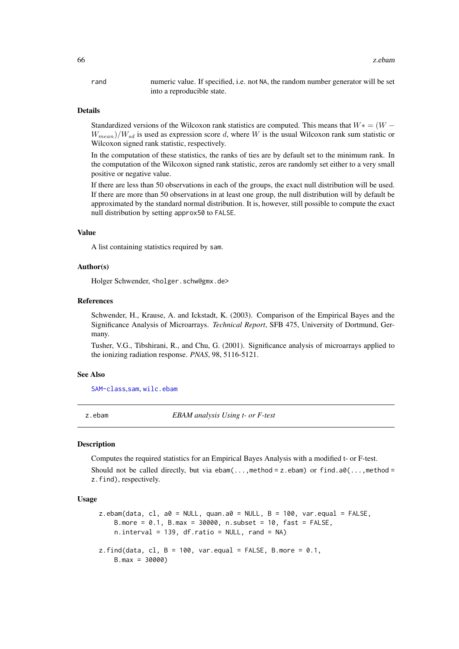<span id="page-65-0"></span>rand numeric value. If specified, i.e. not NA, the random number generator will be set into a reproducible state.

#### Details

Standardized versions of the Wilcoxon rank statistics are computed. This means that  $W^* = (W W_{mean}$ )/ $W_{sd}$  is used as expression score d, where W is the usual Wilcoxon rank sum statistic or Wilcoxon signed rank statistic, respectively.

In the computation of these statistics, the ranks of ties are by default set to the minimum rank. In the computation of the Wilcoxon signed rank statistic, zeros are randomly set either to a very small positive or negative value.

If there are less than 50 observations in each of the groups, the exact null distribution will be used. If there are more than 50 observations in at least one group, the null distribution will by default be approximated by the standard normal distribution. It is, however, still possible to compute the exact null distribution by setting approx50 to FALSE.

### Value

A list containing statistics required by sam.

### Author(s)

Holger Schwender, <holger.schw@gmx.de>

#### References

Schwender, H., Krause, A. and Ickstadt, K. (2003). Comparison of the Empirical Bayes and the Significance Analysis of Microarrays. *Technical Report*, SFB 475, University of Dortmund, Germany.

Tusher, V.G., Tibshirani, R., and Chu, G. (2001). Significance analysis of microarrays applied to the ionizing radiation response. *PNAS*, 98, 5116-5121.

### See Also

[SAM-class](#page-47-1),[sam](#page-43-1), [wilc.ebam](#page-62-1)

<span id="page-65-1"></span>z.ebam *EBAM analysis Using t- or F-test*

#### <span id="page-65-2"></span>Description

Computes the required statistics for an Empirical Bayes Analysis with a modified t- or F-test. Should not be called directly, but via ebam(...,method =  $z$ .ebam) or find.a0(...,method = z.find), respectively.

#### Usage

```
z.ebam(data, cl, a0 = NULL, quan.a0 = NULL, B = 100, var.equal = FALSE,
    B.more = 0.1, B.max = 30000, n.subset = 10, fast = FALSE,
   n.interval = 139, df.ratio = NULL, rand = NA)
z.find(data, cl, B = 100, var.equal = FALSE, B.more = 0.1,
   B.max = 30000)
```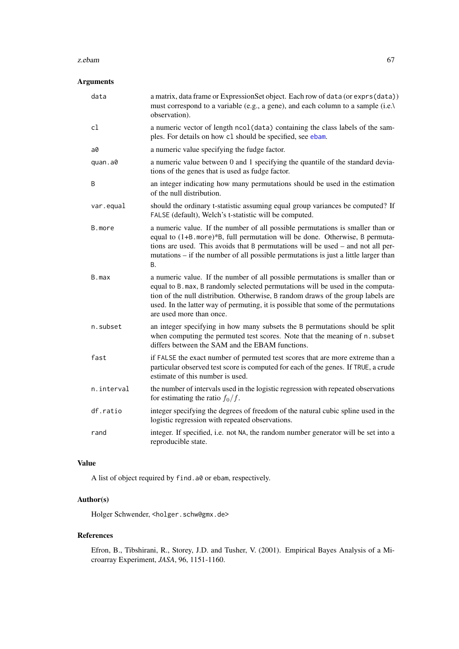#### <span id="page-66-0"></span>z.ebam 67

### Arguments

| data       | a matrix, data frame or ExpressionSet object. Each row of data (or exprs(data))<br>must correspond to a variable (e.g., a gene), and each column to a sample (i.e.)<br>observation).                                                                                                                                                                                   |
|------------|------------------------------------------------------------------------------------------------------------------------------------------------------------------------------------------------------------------------------------------------------------------------------------------------------------------------------------------------------------------------|
| cl         | a numeric vector of length ncol (data) containing the class labels of the sam-<br>ples. For details on how c1 should be specified, see ebam.                                                                                                                                                                                                                           |
| a0         | a numeric value specifying the fudge factor.                                                                                                                                                                                                                                                                                                                           |
| quan.a0    | a numeric value between 0 and 1 specifying the quantile of the standard devia-<br>tions of the genes that is used as fudge factor.                                                                                                                                                                                                                                     |
| B          | an integer indicating how many permutations should be used in the estimation<br>of the null distribution.                                                                                                                                                                                                                                                              |
| var.equal  | should the ordinary t-statistic assuming equal group variances be computed? If<br>FALSE (default), Welch's t-statistic will be computed.                                                                                                                                                                                                                               |
| B.more     | a numeric value. If the number of all possible permutations is smaller than or<br>equal to (1+B. more)*B, full permutation will be done. Otherwise, B permuta-<br>tions are used. This avoids that B permutations will be used – and not all per-<br>mutations - if the number of all possible permutations is just a little larger than<br>В.                         |
| B.max      | a numeric value. If the number of all possible permutations is smaller than or<br>equal to B. max, B randomly selected permutations will be used in the computa-<br>tion of the null distribution. Otherwise, B random draws of the group labels are<br>used. In the latter way of permuting, it is possible that some of the permutations<br>are used more than once. |
| n.subset   | an integer specifying in how many subsets the B permutations should be split<br>when computing the permuted test scores. Note that the meaning of n. subset<br>differs between the SAM and the EBAM functions.                                                                                                                                                         |
| fast       | if FALSE the exact number of permuted test scores that are more extreme than a<br>particular observed test score is computed for each of the genes. If TRUE, a crude<br>estimate of this number is used.                                                                                                                                                               |
| n.interval | the number of intervals used in the logistic regression with repeated observations<br>for estimating the ratio $f_0/f$ .                                                                                                                                                                                                                                               |
| df.ratio   | integer specifying the degrees of freedom of the natural cubic spline used in the<br>logistic regression with repeated observations.                                                                                                                                                                                                                                   |
| rand       | integer. If specified, i.e. not NA, the random number generator will be set into a<br>reproducible state.                                                                                                                                                                                                                                                              |
|            |                                                                                                                                                                                                                                                                                                                                                                        |

### Value

A list of object required by find.a0 or ebam, respectively.

### Author(s)

Holger Schwender, <holger.schw@gmx.de>

### References

Efron, B., Tibshirani, R., Storey, J.D. and Tusher, V. (2001). Empirical Bayes Analysis of a Microarray Experiment, *JASA*, 96, 1151-1160.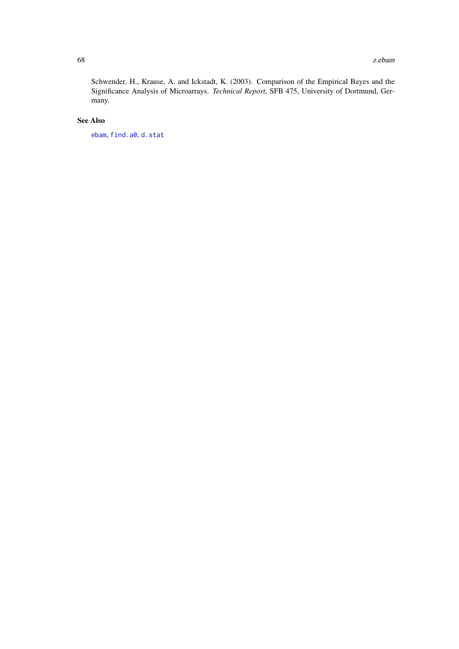<span id="page-67-0"></span>Schwender, H., Krause, A. and Ickstadt, K. (2003). Comparison of the Empirical Bayes and the Significance Analysis of Microarrays. *Technical Report*, SFB 475, University of Dortmund, Germany.

### See Also

[ebam](#page-12-1), [find.a0](#page-18-1), [d.stat](#page-7-1)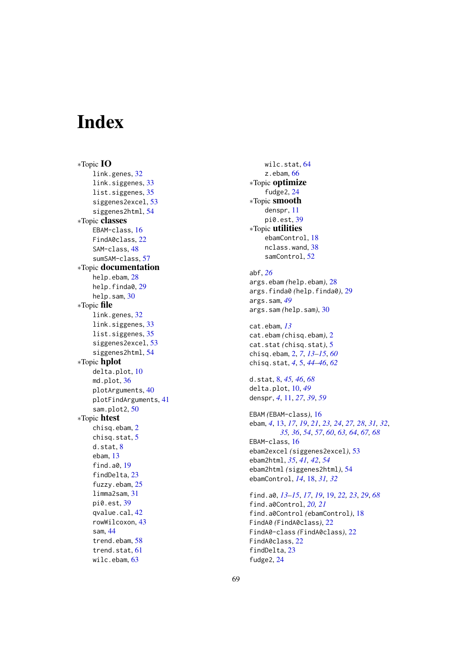# <span id="page-68-0"></span>**Index**

∗Topic IO link.genes , [32](#page-31-0) link.siggenes, [33](#page-32-0) list.siggenes, [35](#page-34-0) siggenes2excel , [53](#page-52-0) siggenes2html , [54](#page-53-0) ∗Topic classes EBAM-class , [16](#page-15-0) FindA0class, [22](#page-21-0) SAM-class , [48](#page-47-0) sumSAM-class, [57](#page-56-0) ∗Topic documentation help.ebam, [28](#page-27-0) help.finda0,[29](#page-28-0) help.sam, [30](#page-29-0) ∗Topic file link.genes , [32](#page-31-0) link.siggenes, [33](#page-32-0) list.siggenes, [35](#page-34-0) siggenes2excel , [53](#page-52-0) siggenes2html , [54](#page-53-0) ∗Topic hplot delta.plot , [10](#page-9-0) md.plot, [36](#page-35-0) plotArguments , [40](#page-39-0) plotFindArguments , [41](#page-40-0) sam.plot2 , [50](#page-49-0) ∗Topic htest chisq.ebam , [2](#page-1-0) chisq.stat , [5](#page-4-0) d.stat , [8](#page-7-0) ebam , [13](#page-12-0) find.a0 , [19](#page-18-0) findDelta , [23](#page-22-0) fuzzy.ebam, [25](#page-24-0) limma2sam , [31](#page-30-0) pi0.est , [39](#page-38-0) qvalue.cal , [42](#page-41-0) rowWilcoxon , [43](#page-42-0) sam , [44](#page-43-0) trend.ebam, [58](#page-57-0) trend.stat , [61](#page-60-0) wilc.ebam , [63](#page-62-0)

wilc.stat , [64](#page-63-0) z.ebam , [66](#page-65-0) ∗Topic optimize fudge2 , [24](#page-23-0) ∗Topic smooth denspr , [11](#page-10-0) pi0.est , [39](#page-38-0) ∗Topic utilities ebamControl , [18](#page-17-0) nclass.wand , [38](#page-37-0) samControl , [52](#page-51-0) abf , *[26](#page-25-0)* args.ebam *(*help.ebam *)* , [28](#page-27-0) args.finda0 *(*help.finda0 *)* , [29](#page-28-0) args.sam , *[49](#page-48-0)* args.sam *(*help.sam *)* , [30](#page-29-0) cat.ebam , *[13](#page-12-0)* cat.ebam *(*chisq.ebam *)* , [2](#page-1-0) cat.stat *(*chisq.stat *)* , [5](#page-4-0) chisq.ebam , [2](#page-1-0) , *[7](#page-6-0)* , *[13](#page-12-0) [–15](#page-14-0)* , *[60](#page-59-0)* chisq.stat , *[4](#page-3-0)* , [5](#page-4-0) , *[44](#page-43-0) [–46](#page-45-0)* , *[62](#page-61-0)* d.stat, [8](#page-7-0), [45](#page-44-0), [46](#page-45-0), [68](#page-67-0) delta.plot , [10](#page-9-0) , *[49](#page-48-0)* denspr , *[4](#page-3-0)* , [11](#page-10-0) , *[27](#page-26-0)* , *[39](#page-38-0)* , *[59](#page-58-0)* EBAM *(*EBAM-class *)* , [16](#page-15-0) ebam, [4](#page-3-0), [13](#page-12-0), [17](#page-16-0), [19](#page-18-0), [21](#page-20-0), [23](#page-22-0), [24](#page-23-0), [27,](#page-26-0) [28](#page-27-0), [31](#page-30-0), [32](#page-31-0), *[35](#page-34-0) , [36](#page-35-0)* , *[54](#page-53-0)* , *[57](#page-56-0)* , *[60](#page-59-0)* , *[63](#page-62-0) , [64](#page-63-0)* , *[67,](#page-66-0) [68](#page-67-0)* EBAM-class, [16](#page-15-0) ebam2excel *(*siggenes2excel *)* , [53](#page-52-0) ebam2html , *[35](#page-34-0)* , *[41](#page-40-0) , [42](#page-41-0)* , *[54](#page-53-0)* ebam2html *(*siggenes2html *)* , [54](#page-53-0) ebamControl , *[14](#page-13-0)* , [18](#page-17-0) , *[31](#page-30-0) , [32](#page-31-0)* find.a0 , *[13](#page-12-0) [–15](#page-14-0)* , *[17](#page-16-0)* , *[19](#page-18-0)* , [19](#page-18-0) , *[22](#page-21-0) , [23](#page-22-0)* , *[29](#page-28-0)* , *[68](#page-67-0)* find.a0Control , *[20](#page-19-0) , [21](#page-20-0)* find.a0Control *(*ebamControl *)* , [18](#page-17-0) FindA0 *(*FindA0class *)* , [22](#page-21-0) FindA0-class *(*FindA0class *)* , [22](#page-21-0) FindA0class, [22](#page-21-0)

findDelta , [23](#page-22-0) fudge2 , [24](#page-23-0)